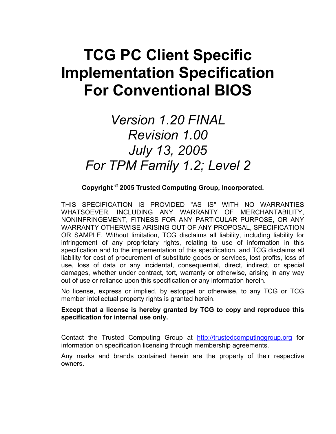# **TCG PC Client Specific Implementation Specification For Conventional BIOS**

# *Version 1.20 FINAL Revision 1.00 July 13, 2005 For TPM Family 1.2; Level 2*

**Copyright © 2005 Trusted Computing Group, Incorporated.** 

THIS SPECIFICATION IS PROVIDED "AS IS" WITH NO WARRANTIES WHATSOEVER, INCLUDING ANY WARRANTY OF MERCHANTABILITY, NONINFRINGEMENT, FITNESS FOR ANY PARTICULAR PURPOSE, OR ANY WARRANTY OTHERWISE ARISING OUT OF ANY PROPOSAL, SPECIFICATION OR SAMPLE. Without limitation, TCG disclaims all liability, including liability for infringement of any proprietary rights, relating to use of information in this specification and to the implementation of this specification, and TCG disclaims all liability for cost of procurement of substitute goods or services, lost profits, loss of use, loss of data or any incidental, consequential, direct, indirect, or special damages, whether under contract, tort, warranty or otherwise, arising in any way out of use or reliance upon this specification or any information herein.

No license, express or implied, by estoppel or otherwise, to any TCG or TCG member intellectual property rights is granted herein.

**Except that a license is hereby granted by TCG to copy and reproduce this specification for internal use only.** 

Contact the Trusted Computing Group at http://trustedcomputinggroup.org for information on specification licensing through membership agreements.

Any marks and brands contained herein are the property of their respective owners.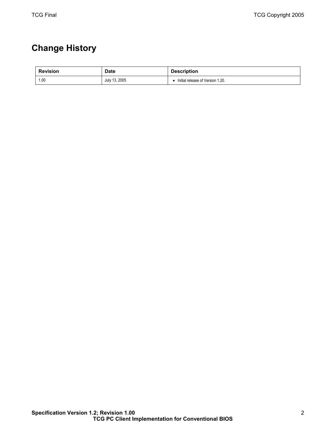# **Change History**

| <b>Revision</b> | <b>Date</b>   | <b>Description</b>               |
|-----------------|---------------|----------------------------------|
| 1.00            | July 13, 2005 | Initial release of Version 1.20. |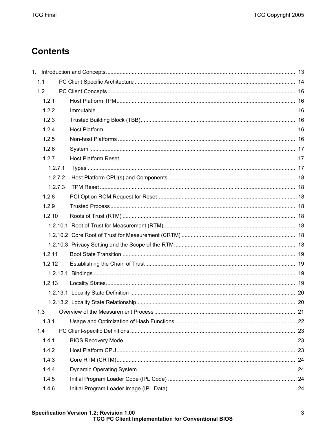# **Contents**

| 1.1     |  |
|---------|--|
| 1.2     |  |
| 1.2.1   |  |
| 1.2.2   |  |
| 1.2.3   |  |
| 1.2.4   |  |
| 1.2.5   |  |
| 1.2.6   |  |
| 1.2.7   |  |
| 1.2.7.1 |  |
| 1.2.7.2 |  |
| 1.2.7.3 |  |
| 1.2.8   |  |
| 1.2.9   |  |
| 1.2.10  |  |
|         |  |
|         |  |
|         |  |
| 1.2.11  |  |
| 1.2.12  |  |
|         |  |
| 1.2.13  |  |
|         |  |
|         |  |
| 1.3     |  |
| 1.3.1   |  |
| 1.4     |  |
| 1.4.1   |  |
| 1.4.2   |  |
| 1.4.3   |  |
| 1.4.4   |  |
| 1.4.5   |  |
| 1.4.6   |  |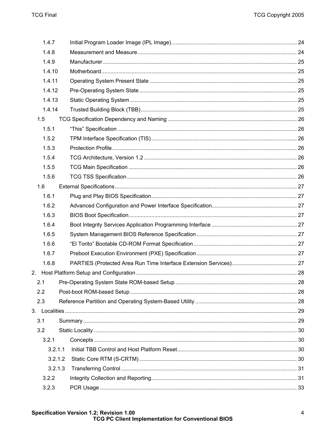| 1.4.7<br>1.4.8<br>1.4.9<br>1.4.10<br>1.4.11<br>1.4.12<br>1.4.13<br>1.4.14<br>1.5.1<br>1.5.2<br>1.5.3<br>1.5.4<br>1.5.5<br>1.5.6<br>1.6.1<br>1.6.2<br>1.6.3<br>1.6.4<br>1.6.5<br>1.6.6<br>1.6.7<br>1.6.8<br>3.2.1<br>3.2.1.1<br>3.2.1.2<br>3.2.1.3<br>3.2.2<br>3.2.3 |  |
|---------------------------------------------------------------------------------------------------------------------------------------------------------------------------------------------------------------------------------------------------------------------|--|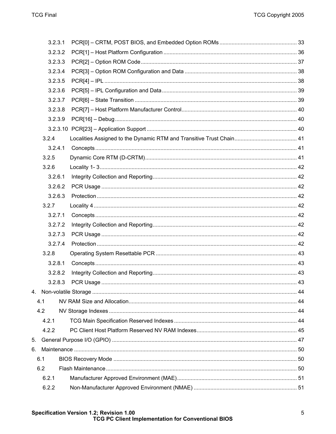|    | 3.2.3.1 |  |
|----|---------|--|
|    | 3.2.3.2 |  |
|    | 3.2.3.3 |  |
|    | 3.2.3.4 |  |
|    | 3.2.3.5 |  |
|    | 3.2.3.6 |  |
|    | 3.2.3.7 |  |
|    | 3.2.3.8 |  |
|    | 3.2.3.9 |  |
|    |         |  |
|    | 3.2.4   |  |
|    | 3.2.4.1 |  |
|    | 3.2.5   |  |
|    | 3.2.6   |  |
|    | 3.2.6.1 |  |
|    | 3.2.6.2 |  |
|    | 3.2.6.3 |  |
|    | 3.2.7   |  |
|    | 3.2.7.1 |  |
|    | 3.2.7.2 |  |
|    | 3.2.7.3 |  |
|    | 3.2.7.4 |  |
|    | 3.2.8   |  |
|    | 3.2.8.1 |  |
|    | 3.2.8.2 |  |
|    | 3.2.8.3 |  |
|    |         |  |
|    | 4.1     |  |
|    | 4.2     |  |
|    | 4.2.1   |  |
|    | 4.2.2   |  |
| 5. |         |  |
| 6. |         |  |
|    | 6.1     |  |
|    | 6.2     |  |
|    | 6.2.1   |  |
|    | 6.2.2   |  |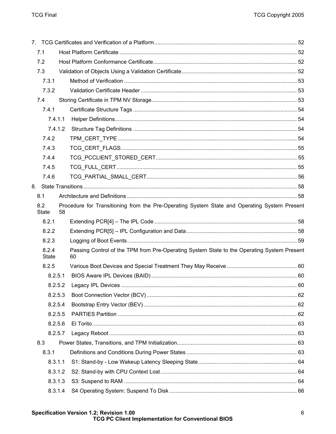| 7.1                 |         |                                                                                                  |  |
|---------------------|---------|--------------------------------------------------------------------------------------------------|--|
| 7.2                 |         |                                                                                                  |  |
| 7.3                 |         |                                                                                                  |  |
| 7.3.1               |         |                                                                                                  |  |
| 7.3.2               |         |                                                                                                  |  |
| 7.4                 |         |                                                                                                  |  |
| 7.4.1               |         |                                                                                                  |  |
|                     | 7.4.1.1 |                                                                                                  |  |
|                     | 7.4.1.2 |                                                                                                  |  |
| 7.4.2               |         |                                                                                                  |  |
| 7.4.3               |         |                                                                                                  |  |
| 7.4.4               |         |                                                                                                  |  |
| 7.4.5               |         |                                                                                                  |  |
| 7.4.6               |         |                                                                                                  |  |
|                     |         |                                                                                                  |  |
| 8.1                 |         |                                                                                                  |  |
| 8.2<br><b>State</b> | 58      | Procedure for Transitioning from the Pre-Operating System State and Operating System Present     |  |
| 8.2.1               |         |                                                                                                  |  |
| 8.2.2               |         |                                                                                                  |  |
| 8.2.3               |         |                                                                                                  |  |
| 8.2.4<br>State      |         | Passing Control of the TPM from Pre-Operating System State to the Operating System Present<br>60 |  |
| 8.2.5               |         |                                                                                                  |  |
|                     | 8.2.5.1 |                                                                                                  |  |
|                     |         |                                                                                                  |  |
|                     | 8.2.5.3 |                                                                                                  |  |
|                     | 8.2.5.4 |                                                                                                  |  |
|                     | 8.2.5.5 |                                                                                                  |  |
|                     | 8.2.5.6 |                                                                                                  |  |
|                     | 8.2.5.7 |                                                                                                  |  |
| 8.3                 |         |                                                                                                  |  |
| 8.3.1               |         |                                                                                                  |  |
|                     | 8.3.1.1 |                                                                                                  |  |
|                     | 8.3.1.2 |                                                                                                  |  |
|                     | 8.3.1.3 |                                                                                                  |  |
|                     | 8.3.1.4 |                                                                                                  |  |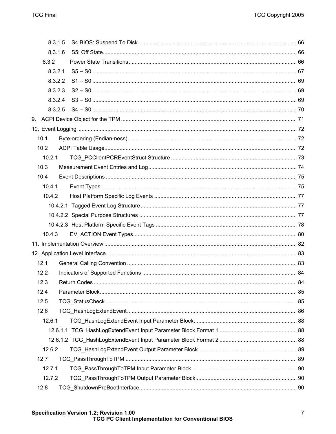| 8.3.1.5 |  |
|---------|--|
| 8.3.1.6 |  |
| 8.3.2   |  |
| 8.3.2.1 |  |
| 8.3.2.2 |  |
| 8.3.2.3 |  |
| 8.3.2.4 |  |
| 8.3.2.5 |  |
|         |  |
|         |  |
| 10.1    |  |
| 10.2    |  |
| 10.2.1  |  |
| 10.3    |  |
| 10.4    |  |
| 10.4.1  |  |
| 10.4.2  |  |
|         |  |
|         |  |
|         |  |
| 10.4.3  |  |
|         |  |
|         |  |
| 12.1    |  |
| 12.2    |  |
| 12.3    |  |
| 12.4    |  |
| 12.5    |  |
| 12.6    |  |
| 12.6.1  |  |
|         |  |
|         |  |
| 12.6.2  |  |
| 12.7    |  |
| 12.7.1  |  |
| 12.7.2  |  |
| 12.8    |  |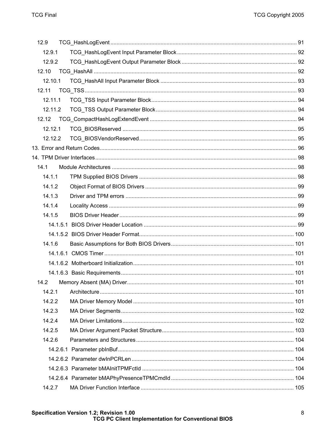| 12.9    |  |
|---------|--|
| 12.9.1  |  |
| 12.9.2  |  |
| 12.10   |  |
| 12.10.1 |  |
| 12.11   |  |
| 12.11.1 |  |
| 12.11.2 |  |
| 12.12   |  |
| 12.12.1 |  |
| 12.12.2 |  |
|         |  |
|         |  |
| 14.1    |  |
| 14.1.1  |  |
| 14.1.2  |  |
| 14.1.3  |  |
| 14.1.4  |  |
| 14.1.5  |  |
|         |  |
|         |  |
| 14.1.6  |  |
|         |  |
|         |  |
|         |  |
| 14.2    |  |
| 14.2.1  |  |
| 14.2.2  |  |
| 14.2.3  |  |
| 14.2.4  |  |
| 14.2.5  |  |
| 14.2.6  |  |
|         |  |
|         |  |
|         |  |
|         |  |
| 14.2.7  |  |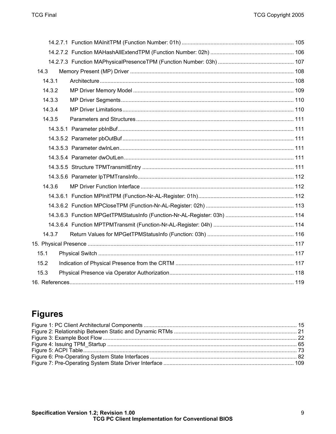| 14.3   |  |
|--------|--|
| 14.3.1 |  |
| 14.3.2 |  |
| 14.3.3 |  |
| 14.3.4 |  |
| 14.3.5 |  |
|        |  |
|        |  |
|        |  |
|        |  |
|        |  |
|        |  |
| 14.3.6 |  |
|        |  |
|        |  |
|        |  |
|        |  |
| 14.3.7 |  |
|        |  |
| 15.1   |  |
| 15.2   |  |
| 15.3   |  |
|        |  |

# **Figures**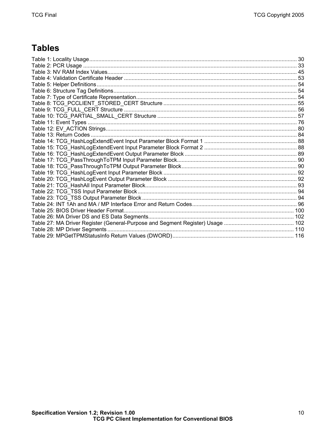# **Tables**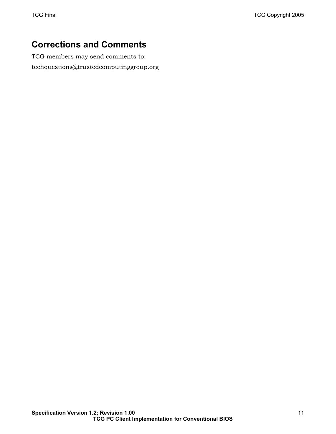# **Corrections and Comments**

TCG members may send comments to: techquestions@trustedcomputinggroup.org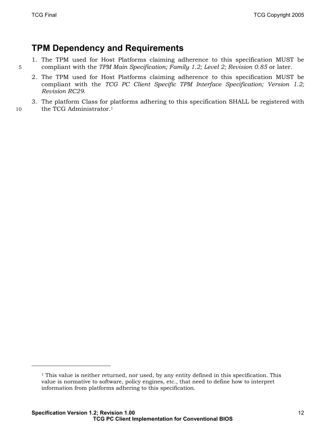# **TPM Dependency and Requirements**

- 1. The TPM used for Host Platforms claiming adherence to this specification MUST be 5 compliant with the *TPM Main Specification; Family 1.2; Level 2; Revision 0.85* or later.
	- 2. The TPM used for Host Platforms claiming adherence to this specification MUST be compliant with the *TCG PC Client Specific TPM Interface Specification; Version 1.2; Revision RC29*.
	- 3. The platform Class for platforms adhering to this specification SHALL be registered with
- 10 the TCG Administrator.<sup>1</sup>

 $\overline{a}$ 

<sup>&</sup>lt;sup>1</sup> This value is neither returned, nor used, by any entity defined in this specification. This value is normative to software, policy engines, etc., that need to define how to interpret information from platforms adhering to this specification.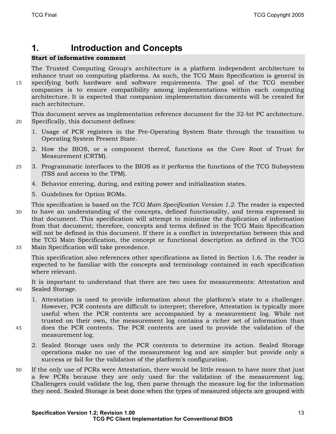# **1. Introduction and Concepts**

#### **Start of informative comment**

The Trusted Computing Group's architecture is a platform independent architecture to enhance trust on computing platforms. As such, the TCG Main Specification is general in 15 specifying both hardware and software requirements. The goal of the TCG member companies is to ensure compatibility among implementations within each computing architecture. It is expected that companion implementation documents will be created for each architecture.

This document serves as implementation reference document for the 32-bit PC architecture. 20 Specifically, this document defines:

- 1. Usage of PCR registers in the Pre-Operating System State through the transition to Operating System Present State.
- 2. How the BIOS, or a component thereof, functions as the Core Root of Trust for Measurement (CRTM).
- 25 3. Programmatic interfaces to the BIOS as it performs the functions of the TCG Subsystem (TSS and access to the TPM).
	- 4. Behavior entering, during, and exiting power and initialization states.
	- 5. Guidelines for Option ROMs.
- This specification is based on the *TCG Main Specification Version 1.2*. The reader is expected 30 to have an understanding of the concepts, defined functionality, and terms expressed in that document. This specification will attempt to minimize the duplication of information from that document; therefore, concepts and terms defined in the TCG Main Specification will not be defined in this document. If there is a conflict in interpretation between this and the TCG Main Specification, the concept or functional description as defined in the TCG 35 Main Specification will take precedence.

This specification also references other specifications as listed in Section 1.6. The reader is expected to be familiar with the concepts and terminology contained in each specification where relevant.

It is important to understand that there are two uses for measurements: Attestation and 40 Sealed Storage.

- 1. Attestation is used to provide information about the platform's state to a challenger. However, PCR contents are difficult to interpret; therefore, Attestation is typically more useful when the PCR contents are accompanied by a measurement log. While not trusted on their own, the measurement log contains a richer set of information than 45 does the PCR contents. The PCR contents are used to provide the validation of the measurement log.
	- 2. Sealed Storage uses only the PCR contents to determine its action. Sealed Storage operations make no use of the measurement log and are simpler but provide only a success or fail for the validation of the platform's configuration.
- 50 If the only use of PCRs were Attestation, there would be little reason to have more that just a few PCRs because they are only used for the validation of the measurement log. Challengers could validate the log, then parse through the measure log for the information they need. Sealed Storage is best done when the types of measured objects are grouped with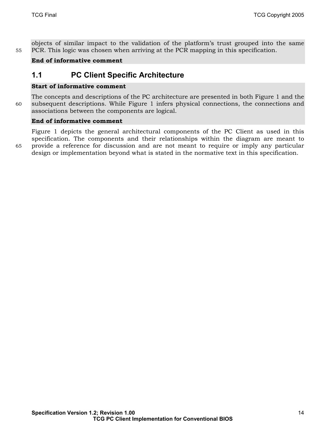objects of similar impact to the validation of the platform's trust grouped into the same 55 PCR. This logic was chosen when arriving at the PCR mapping in this specification.

#### **End of informative comment**

## **1.1 PC Client Specific Architecture**

#### **Start of informative comment**

The concepts and descriptions of the PC architecture are presented in both Figure 1 and the 60 subsequent descriptions. While Figure 1 infers physical connections, the connections and associations between the components are logical.

#### **End of informative comment**

Figure 1 depicts the general architectural components of the PC Client as used in this specification. The components and their relationships within the diagram are meant to 65 provide a reference for discussion and are not meant to require or imply any particular design or implementation beyond what is stated in the normative text in this specification.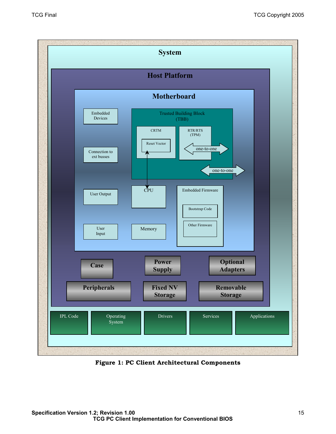

**Figure 1: PC Client Architectural Components**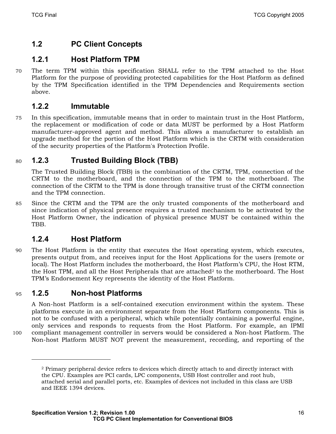# **1.2 PC Client Concepts**

# **1.2.1 Host Platform TPM**

70 The term TPM within this specification SHALL refer to the TPM attached to the Host Platform for the purpose of providing protected capabilities for the Host Platform as defined by the TPM Specification identified in the TPM Dependencies and Requirements section above.

## **1.2.2 Immutable**

75 In this specification, immutable means that in order to maintain trust in the Host Platform, the replacement or modification of code or data MUST be performed by a Host Platform manufacturer-approved agent and method. This allows a manufacturer to establish an upgrade method for the portion of the Host Platform which is the CRTM with consideration of the security properties of the Platform's Protection Profile.

# <sup>80</sup>**1.2.3 Trusted Building Block (TBB)**

The Trusted Building Block (TBB) is the combination of the CRTM, TPM, connection of the CRTM to the motherboard, and the connection of the TPM to the motherboard. The connection of the CRTM to the TPM is done through transitive trust of the CRTM connection and the TPM connection.

85 Since the CRTM and the TPM are the only trusted components of the motherboard and since indication of physical presence requires a trusted mechanism to be activated by the Host Platform Owner, the indication of physical presence MUST be contained within the TBB.

# **1.2.4 Host Platform**

90 The Host Platform is the entity that executes the Host operating system, which executes, presents output from, and receives input for the Host Applications for the users (remote or local). The Host Platform includes the motherboard, the Host Platform's CPU, the Host RTM, the Host TPM, and all the Host Peripherals that are attached<sup>2</sup> to the motherboard. The Host TPM's Endorsement Key represents the identity of the Host Platform.

### <sup>95</sup>**1.2.5 Non-host Platforms**

A Non-host Platform is a self-contained execution environment within the system. These platforms execute in an environment separate from the Host Platform components. This is not to be confused with a peripheral, which while potentially containing a powerful engine, only services and responds to requests from the Host Platform. For example, an IPMI 100 compliant management controller in servers would be considered a Non-host Platform. The Non-host Platform MUST NOT prevent the measurement, recording, and reporting of the

<sup>2</sup> Primary peripheral device refers to devices which directly attach to and directly interact with the CPU. Examples are PCI cards, LPC components, USB Host controller and root hub, attached serial and parallel ports, etc. Examples of devices not included in this class are USB and IEEE 1394 devices.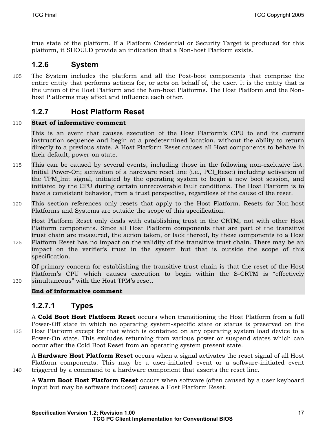true state of the platform. If a Platform Credential or Security Target is produced for this platform, it SHOULD provide an indication that a Non-host Platform exists.

## **1.2.6 System**

105 The System includes the platform and all the Post-boot components that comprise the entire entity that performs actions for, or acts on behalf of, the user. It is the entity that is the union of the Host Platform and the Non-host Platforms. The Host Platform and the Nonhost Platforms may affect and influence each other.

## **1.2.7 Host Platform Reset**

#### 110 **Start of informative comment**

This is an event that causes execution of the Host Platform's CPU to end its current instruction sequence and begin at a predetermined location, without the ability to return directly to a previous state. A Host Platform Reset causes all Host components to behave in their default, power-on state.

- 115 This can be caused by several events, including those in the following non-exclusive list: Initial Power-On; activation of a hardware reset line (i.e., PCI\_Reset) including activation of the TPM\_Init signal, initiated by the operating system to begin a new boot session, and initiated by the CPU during certain unrecoverable fault conditions. The Host Platform is to have a consistent behavior, from a trust perspective, regardless of the cause of the reset.
- 120 This section references only resets that apply to the Host Platform. Resets for Non-host Platforms and Systems are outside the scope of this specification.

Host Platform Reset only deals with establishing trust in the CRTM, not with other Host Platform components. Since all Host Platform components that are part of the transitive trust chain are measured, the action taken, or lack thereof, by these components to a Host

125 Platform Reset has no impact on the validity of the transitive trust chain. There may be an impact on the verifier's trust in the system but that is outside the scope of this specification.

Of primary concern for establishing the transitive trust chain is that the reset of the Host Platform's CPU which causes execution to begin within the S-CRTM is "effectively 130 simultaneous" with the Host TPM's reset.

#### **End of informative comment**

## **1.2.7.1 Types**

A **Cold Boot Host Platform Reset** occurs when transitioning the Host Platform from a full Power-Off state in which no operating system-specific state or status is preserved on the 135 Host Platform except for that which is contained on any operating system load device to a Power-On state. This excludes returning from various power or suspend states which can occur after the Cold Boot Reset from an operating system present state.

A **Hardware Host Platform Reset** occurs when a signal activates the reset signal of all Host Platform components. This may be a user-initiated event or a software-initiated event 140 triggered by a command to a hardware component that asserts the reset line.

A **Warm Boot Host Platform Reset** occurs when software (often caused by a user keyboard input but may be software induced) causes a Host Platform Reset.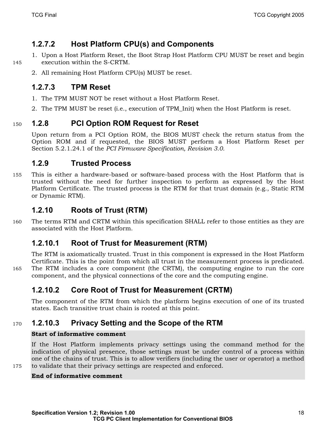# **1.2.7.2 Host Platform CPU(s) and Components**

- 1. Upon a Host Platform Reset, the Boot Strap Host Platform CPU MUST be reset and begin 145 execution within the S-CRTM.
	- 2. All remaining Host Platform CPU(s) MUST be reset.

# **1.2.7.3 TPM Reset**

- 1. The TPM MUST NOT be reset without a Host Platform Reset.
- 2. The TPM MUST be reset (i.e., execution of TPM\_Init) when the Host Platform is reset.

## <sup>150</sup>**1.2.8 PCI Option ROM Request for Reset**

Upon return from a PCI Option ROM, the BIOS MUST check the return status from the Option ROM and if requested, the BIOS MUST perform a Host Platform Reset per Section 5.2.1.24.1 of the *PCI Firmware Specification, Revision 3.0*.

## **1.2.9 Trusted Process**

155 This is either a hardware-based or software-based process with the Host Platform that is trusted without the need for further inspection to perform as expressed by the Host Platform Certificate. The trusted process is the RTM for that trust domain (e.g., Static RTM or Dynamic RTM).

# **1.2.10 Roots of Trust (RTM)**

160 The terms RTM and CRTM within this specification SHALL refer to those entities as they are associated with the Host Platform.

## **1.2.10.1 Root of Trust for Measurement (RTM)**

The RTM is axiomatically trusted. Trust in this component is expressed in the Host Platform Certificate. This is the point from which all trust in the measurement process is predicated. 165 The RTM includes a core component (the CRTM), the computing engine to run the core component, and the physical connections of the core and the computing engine.

# **1.2.10.2 Core Root of Trust for Measurement (CRTM)**

The component of the RTM from which the platform begins execution of one of its trusted states. Each transitive trust chain is rooted at this point.

# <sup>170</sup>**1.2.10.3 Privacy Setting and the Scope of the RTM**

### **Start of informative comment**

If the Host Platform implements privacy settings using the command method for the indication of physical presence, those settings must be under control of a process within one of the chains of trust. This is to allow verifiers (including the user or operator) a method 175 to validate that their privacy settings are respected and enforced.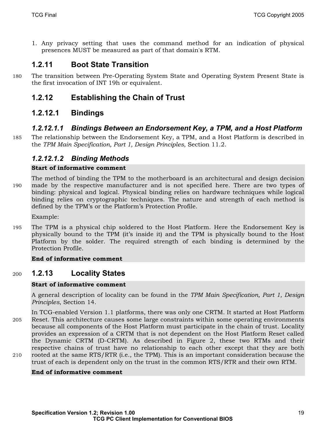1. Any privacy setting that uses the command method for an indication of physical presences MUST be measured as part of that domain's RTM.

# **1.2.11 Boot State Transition**

180 The transition between Pre-Operating System State and Operating System Present State is the first invocation of INT 19h or equivalent.

# **1.2.12 Establishing the Chain of Trust**

## **1.2.12.1 Bindings**

### *1.2.12.1.1 Bindings Between an Endorsement Key, a TPM, and a Host Platform*

185 The relationship between the Endorsement Key, a TPM, and a Host Platform is described in the *TPM Main Specification, Part 1, Design Principles*, Section 11.2.

### *1.2.12.1.2 Binding Methods*

#### **Start of informative comment**

The method of binding the TPM to the motherboard is an architectural and design decision 190 made by the respective manufacturer and is not specified here. There are two types of binding: physical and logical. Physical binding relies on hardware techniques while logical binding relies on cryptographic techniques. The nature and strength of each method is defined by the TPM's or the Platform's Protection Profile.

Example:

195 The TPM is a physical chip soldered to the Host Platform. Here the Endorsement Key is physically bound to the TPM (it's inside it) and the TPM is physically bound to the Host Platform by the solder. The required strength of each binding is determined by the Protection Profile.

#### **End of informative comment**

## <sup>200</sup>**1.2.13 Locality States**

#### **Start of informative comment**

A general description of locality can be found in the *TPM Main Specification, Part 1, Design Principles*, Section 14.

In TCG-enabled Version 1.1 platforms, there was only one CRTM. It started at Host Platform 205 Reset. This architecture causes some large constraints within some operating environments because all components of the Host Platform must participate in the chain of trust. Locality provides an expression of a CRTM that is not dependent on the Host Platform Reset called the Dynamic CRTM (D-CRTM). As described in Figure 2, these two RTMs and their respective chains of trust have no relationship to each other except that they are both 210 rooted at the same RTS/RTR (i.e., the TPM). This is an important consideration because the trust of each is dependent only on the trust in the common RTS/RTR and their own RTM.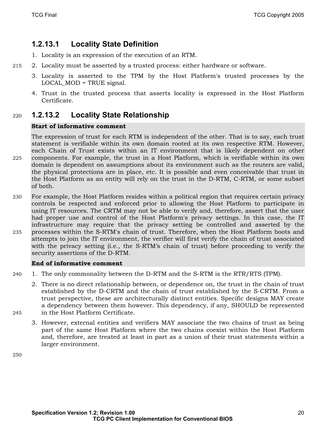## **1.2.13.1 Locality State Definition**

- 1. Locality is an expression of the execution of an RTM.
- 215 2. Locality must be asserted by a trusted process: either hardware or software.
	- 3. Locality is asserted to the TPM by the Host Platform's trusted processes by the LOCAL MOD = TRUE signal.
	- 4. Trust in the trusted process that asserts locality is expressed in the Host Platform Certificate.

## <sup>220</sup>**1.2.13.2 Locality State Relationship**

#### **Start of informative comment**

The expression of trust for each RTM is independent of the other. That is to say, each trust statement is verifiable within its own domain rooted at its own respective RTM. However, each Chain of Trust exists within an IT environment that is likely dependent on other 225 components. For example, the trust in a Host Platform, which is verifiable within its own domain is dependent on assumptions about its environment such as the routers are valid, the physical protections are in place, etc. It is possible and even conceivable that trust in the Host Platform as an entity will rely on the trust in the D-RTM, C-RTM, or some subset of both.

230 For example, the Host Platform resides within a political region that requires certain privacy controls be respected and enforced prior to allowing the Host Platform to participate in using IT resources. The CRTM may not be able to verify and, therefore, assert that the user had proper use and control of the Host Platform's privacy settings. In this case, the IT infrastructure may require that the privacy setting be controlled and asserted by the 235 processes within the S-RTM's chain of trust. Therefore, when the Host Platform boots and attempts to join the IT environment, the verifier will first verify the chain of trust associated with the privacy setting (i.e., the S-RTM's chain of trust) before proceeding to verify the security assertions of the D-RTM.

#### **End of informative comment**

- 240 1. The only commonality between the D-RTM and the S-RTM is the RTR/RTS (TPM).
- 2. There is no direct relationship between, or dependence on, the trust in the chain of trust established by the D-CRTM and the chain of trust established by the S-CRTM. From a trust perspective, these are architecturally distinct entities. Specific designs MAY create a dependency between them however. This dependency, if any, SHOULD be represented 245 in the Host Platform Certificate.
- 
- 3. However, external entities and verifiers MAY associate the two chains of trust as being part of the same Host Platform where the two chains coexist within the Host Platform and, therefore, are treated at least in part as a union of their trust statements within a larger environment.

250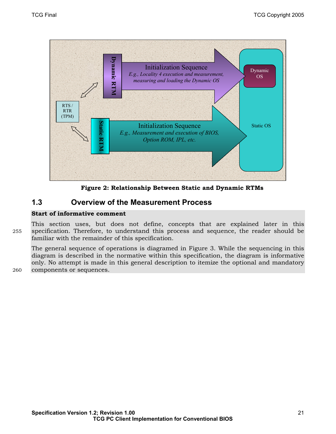

**Figure 2: Relationship Between Static and Dynamic RTMs** 

### **1.3 Overview of the Measurement Process**

#### **Start of informative comment**

This section uses, but does not define, concepts that are explained later in this 255 specification. Therefore, to understand this process and sequence, the reader should be familiar with the remainder of this specification.

The general sequence of operations is diagramed in Figure 3. While the sequencing in this diagram is described in the normative within this specification, the diagram is informative only. No attempt is made in this general description to itemize the optional and mandatory 260 components or sequences.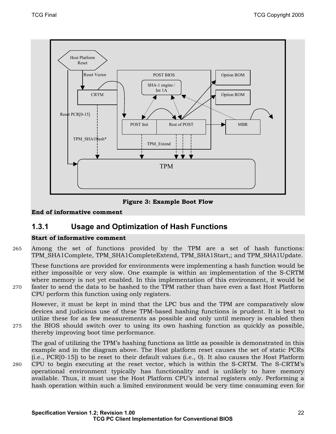

**Figure 3: Example Boot Flow** 

#### **End of informative comment**

# **1.3.1 Usage and Optimization of Hash Functions**

#### **Start of informative comment**

265 Among the set of functions provided by the TPM are a set of hash functions: TPM\_SHA1Complete, TPM\_SHA1CompleteExtend, TPM\_SHA1Start,; and TPM\_SHA1Update.

These functions are provided for environments were implementing a hash function would be either impossible or very slow. One example is within an implementation of the S-CRTM where memory is not yet enabled. In this implementation of this environment, it would be 270 faster to send the data to be hashed to the TPM rather than have even a fast Host Platform CPU perform this function using only registers.

However, it must be kept in mind that the LPC bus and the TPM are comparatively slow devices and judicious use of these TPM-based hashing functions is prudent. It is best to utilize these for as few measurements as possible and only until memory is enabled then 275 the BIOS should switch over to using its own hashing function as quickly as possible, thereby improving boot time performance.

The goal of utilizing the TPM's hashing functions as little as possible is demonstrated in this example and in the diagram above. The Host platform reset causes the set of static PCRs (i.e., PCR[0-15]) to be reset to their default values (i.e., 0). It also causes the Host Platform 280 CPU to begin executing at the reset vector, which is within the S-CRTM. The S-CRTM's operational environment typically has functionality and is unlikely to have memory available. Thus, it must use the Host Platform CPU's internal registers only. Performing a hash operation within such a limited environment would be very time consuming even for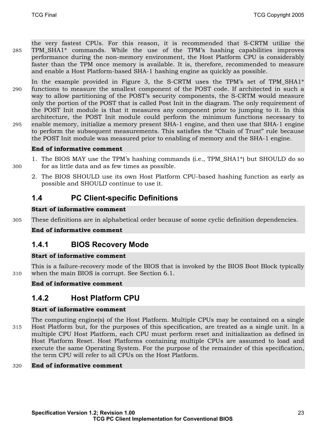- the very fastest CPUs. For this reason, it is recommended that S-CRTM utilize the 285 TPM\_SHA1\* commands. While the use of the TPM's hashing capabilities improves performance during the non-memory environment, the Host Platform CPU is considerably faster than the TPM once memory is available. It is, therefore, recommended to measure and enable a Host Platform-based SHA-1 hashing engine as quickly as possible.
- In the example provided in Figure 3, the S-CRTM uses the TPM's set of TPM SHA1<sup>\*</sup> 290 functions to measure the smallest component of the POST code. If architected in such a way to allow partitioning of the POST's security components, the S-CRTM would measure only the portion of the POST that is called Post Init in the diagram. The only requirement of the POST Init module is that it measures any component prior to jumping to it. In this architecture, the POST Init module could perform the minimum functions necessary to 295 enable memory, initialize a memory present SHA-1 engine, and then use that SHA-1 engine to perform the subsequent measurements. This satisfies the "Chain of Trust" rule because the POST Init module was measured prior to enabling of memory and the SHA-1 engine.

#### **End of informative comment**

- 1. The BIOS MAY use the TPM's hashing commands (i.e., TPM\_SHA1\*) but SHOULD do so 300 for as little data and as few times as possible.
	- 2. The BIOS SHOULD use its own Host Platform CPU-based hashing function as early as possible and SHOULD continue to use it.

### **1.4 PC Client-specific Definitions**

#### **Start of informative comment**

305 These definitions are in alphabetical order because of some cyclic definition dependencies.

#### **End of informative comment**

### **1.4.1 BIOS Recovery Mode**

#### **Start of informative comment**

This is a failure-recovery mode of the BIOS that is invoked by the BIOS Boot Block typically 310 when the main BIOS is corrupt. See Section 6.1.

#### **End of informative comment**

## **1.4.2 Host Platform CPU**

#### **Start of informative comment**

The computing engine(s) of the Host Platform. Multiple CPUs may be contained on a single 315 Host Platform but, for the purposes of this specification, are treated as a single unit. In a multiple CPU Host Platform, each CPU must perform reset and initialization as defined in Host Platform Reset. Host Platforms containing multiple CPUs are assumed to load and execute the same Operating System. For the purpose of the remainder of this specification, the term CPU will refer to all CPUs on the Host Platform.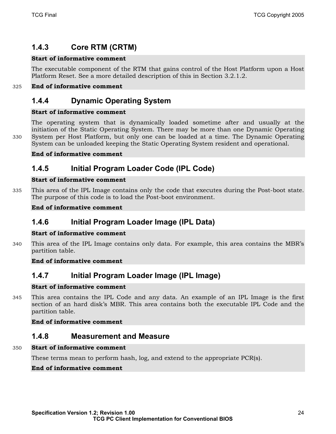# **1.4.3 Core RTM (CRTM)**

#### **Start of informative comment**

The executable component of the RTM that gains control of the Host Platform upon a Host Platform Reset. See a more detailed description of this in Section 3.2.1.2.

#### 325 **End of informative comment**

# **1.4.4 Dynamic Operating System**

#### **Start of informative comment**

The operating system that is dynamically loaded sometime after and usually at the initiation of the Static Operating System. There may be more than one Dynamic Operating 330 System per Host Platform, but only one can be loaded at a time. The Dynamic Operating System can be unloaded keeping the Static Operating System resident and operational.

#### **End of informative comment**

# **1.4.5 Initial Program Loader Code (IPL Code)**

#### **Start of informative comment**

335 This area of the IPL Image contains only the code that executes during the Post-boot state. The purpose of this code is to load the Post-boot environment.

#### **End of informative comment**

# **1.4.6 Initial Program Loader Image (IPL Data)**

#### **Start of informative comment**

340 This area of the IPL Image contains only data. For example, this area contains the MBR's partition table.

#### **End of informative comment**

# **1.4.7 Initial Program Loader Image (IPL Image)**

#### **Start of informative comment**

345 This area contains the IPL Code and any data. An example of an IPL Image is the first section of an hard disk's MBR. This area contains both the executable IPL Code and the partition table.

#### **End of informative comment**

## **1.4.8 Measurement and Measure**

#### 350 **Start of informative comment**

These terms mean to perform hash, log, and extend to the appropriate PCR(s).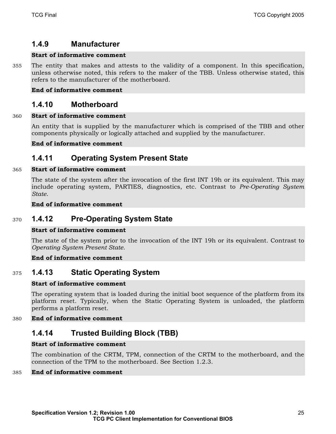### **1.4.9 Manufacturer**

#### **Start of informative comment**

355 The entity that makes and attests to the validity of a component. In this specification, unless otherwise noted, this refers to the maker of the TBB. Unless otherwise stated, this refers to the manufacturer of the motherboard.

#### **End of informative comment**

### **1.4.10 Motherboard**

#### 360 **Start of informative comment**

An entity that is supplied by the manufacturer which is comprised of the TBB and other components physically or logically attached and supplied by the manufacturer.

#### **End of informative comment**

# **1.4.11 Operating System Present State**

#### 365 **Start of informative comment**

The state of the system after the invocation of the first INT 19h or its equivalent. This may include operating system, PARTIES, diagnostics, etc. Contrast to *Pre-Operating System State*.

#### **End of informative comment**

### <sup>370</sup>**1.4.12 Pre-Operating System State**

#### **Start of informative comment**

The state of the system prior to the invocation of the INT 19h or its equivalent. Contrast to *Operating System Present State*.

#### **End of informative comment**

### <sup>375</sup>**1.4.13 Static Operating System**

#### **Start of informative comment**

The operating system that is loaded during the initial boot sequence of the platform from its platform reset. Typically, when the Static Operating System is unloaded, the platform performs a platform reset.

#### 380 **End of informative comment**

# **1.4.14 Trusted Building Block (TBB)**

#### **Start of informative comment**

The combination of the CRTM, TPM, connection of the CRTM to the motherboard, and the connection of the TPM to the motherboard. See Section 1.2.3.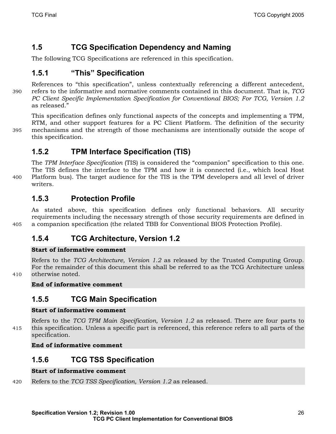# **1.5 TCG Specification Dependency and Naming**

The following TCG Specifications are referenced in this specification.

### **1.5.1 "This" Specification**

References to "this specification", unless contextually referencing a different antecedent, 390 refers to the informative and normative comments contained in this document. That is, *TCG PC Client Specific Implementation Specification for Conventional BIOS; For TCG, Version 1.2* as released."

This specification defines only functional aspects of the concepts and implementing a TPM, RTM, and other support features for a PC Client Platform. The definition of the security 395 mechanisms and the strength of those mechanisms are intentionally outside the scope of this specification.

# **1.5.2 TPM Interface Specification (TIS)**

The *TPM Interface Specification* (TIS) is considered the "companion" specification to this one. The TIS defines the interface to the TPM and how it is connected (i.e., which local Host 400 Platform bus). The target audience for the TIS is the TPM developers and all level of driver writers.

# **1.5.3 Protection Profile**

As stated above, this specification defines only functional behaviors. All security requirements including the necessary strength of those security requirements are defined in 405 a companion specification (the related TBB for Conventional BIOS Protection Profile).

## **1.5.4 TCG Architecture, Version 1.2**

#### **Start of informative comment**

Refers to the *TCG Architecture, Version 1.2* as released by the Trusted Computing Group. For the remainder of this document this shall be referred to as the TCG Architecture unless 410 otherwise noted.

#### **End of informative comment**

## **1.5.5 TCG Main Specification**

#### **Start of informative comment**

Refers to the *TCG TPM Main Specification, Version 1.2* as released. There are four parts to 415 this specification. Unless a specific part is referenced, this reference refers to all parts of the specification.

#### **End of informative comment**

## **1.5.6 TCG TSS Specification**

#### **Start of informative comment**

420 Refers to the *TCG TSS Specification, Version 1.2* as released.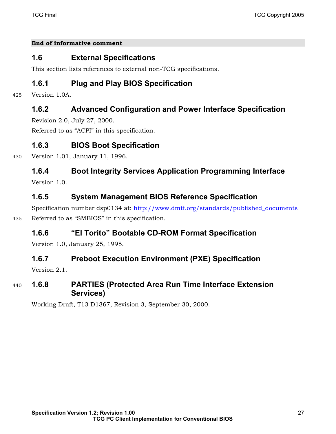#### **End of informative comment**

## **1.6 External Specifications**

This section lists references to external non-TCG specifications.

# **1.6.1 Plug and Play BIOS Specification**

425 Version 1.0A.

# **1.6.2 Advanced Configuration and Power Interface Specification**

Revision 2.0, July 27, 2000.

Referred to as "ACPI" in this specification.

# **1.6.3 BIOS Boot Specification**

430 Version 1.01, January 11, 1996.

# **1.6.4 Boot Integrity Services Application Programming Interface**

Version 1.0.

# **1.6.5 System Management BIOS Reference Specification**

Specification number dsp0134 at: http://www.dmtf.org/standards/published\_documents 435 Referred to as "SMBIOS" in this specification.

# **1.6.6 "El Torito" Bootable CD-ROM Format Specification**

Version 1.0, January 25, 1995.

## **1.6.7 Preboot Execution Environment (PXE) Specification**

Version 2.1.

# <sup>440</sup>**1.6.8 PARTIES (Protected Area Run Time Interface Extension Services)**

Working Draft, T13 D1367, Revision 3, September 30, 2000.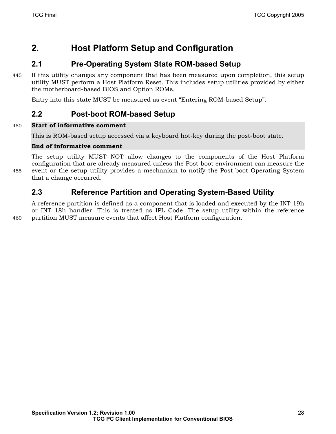# **2. Host Platform Setup and Configuration**

# **2.1 Pre-Operating System State ROM-based Setup**

445 If this utility changes any component that has been measured upon completion, this setup utility MUST perform a Host Platform Reset. This includes setup utilities provided by either the motherboard-based BIOS and Option ROMs.

Entry into this state MUST be measured as event "Entering ROM-based Setup".

## **2.2 Post-boot ROM-based Setup**

#### 450 **Start of informative comment**

This is ROM-based setup accessed via a keyboard hot-key during the post-boot state.

#### **End of informative comment**

The setup utility MUST NOT allow changes to the components of the Host Platform configuration that are already measured unless the Post-boot environment can measure the 455 event or the setup utility provides a mechanism to notify the Post-boot Operating System that a change occurred.

# **2.3 Reference Partition and Operating System-Based Utility**

A reference partition is defined as a component that is loaded and executed by the INT 19h or INT 18h handler. This is treated as IPL Code. The setup utility within the reference 460 partition MUST measure events that affect Host Platform configuration.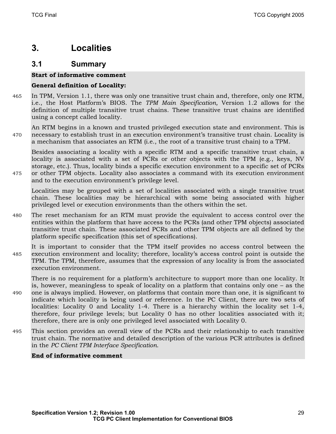# **3. Localities**

### **3.1 Summary**

#### **Start of informative comment**

#### **General definition of Locality:**

465 In TPM, Version 1.1, there was only one transitive trust chain and, therefore, only one RTM, i.e., the Host Platform's BIOS. The *TPM Main Specification,* Version 1.2 allows for the definition of multiple transitive trust chains. These transitive trust chains are identified using a concept called locality.

An RTM begins in a known and trusted privileged execution state and environment. This is 470 necessary to establish trust in an execution environment's transitive trust chain. Locality is a mechanism that associates an RTM (i.e., the root of a transitive trust chain) to a TPM.

Besides associating a locality with a specific RTM and a specific transitive trust chain, a locality is associated with a set of PCRs or other objects with the TPM (e.g., keys, NV storage, etc.). Thus, locality binds a specific execution environment to a specific set of PCRs 475 or other TPM objects. Locality also associates a command with its execution environment and to the execution environment's privilege level.

Localities may be grouped with a set of localities associated with a single transitive trust chain. These localities may be hierarchical with some being associated with higher privileged level or execution environments than the others within the set.

- 480 The reset mechanism for an RTM must provide the equivalent to access control over the entities within the platform that have access to the PCRs (and other TPM objects) associated transitive trust chain. These associated PCRs and other TPM objects are all defined by the platform specific specification (this set of specifications).
- It is important to consider that the TPM itself provides no access control between the 485 execution environment and locality; therefore, locality's access control point is outside the TPM. The TPM, therefore, assumes that the expression of any locality is from the associated execution environment.

There is no requirement for a platform's architecture to support more than one locality. It is, however, meaningless to speak of locality on a platform that contains only one – as the 490 one is always implied. However, on platforms that contain more than one, it is significant to indicate which locality is being used or reference. In the PC Client, there are two sets of localities: Locality 0 and Locality 1-4. There is a hierarchy within the locality set 1-4, therefore, four privilege levels; but Locality 0 has no other localities associated with it; therefore, there are is only one privileged level associated with Locality 0.

495 This section provides an overall view of the PCRs and their relationship to each transitive trust chain. The normative and detailed description of the various PCR attributes is defined in the *PC Client TPM Interface Specification*.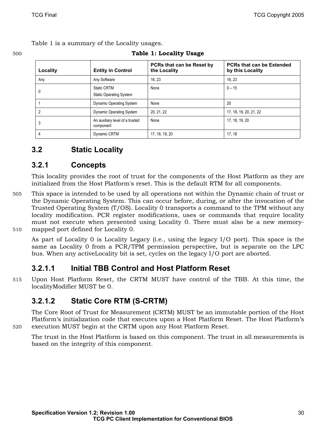Table 1 is a summary of the Locality usages.

| ۰<br>×<br>۰.<br>I<br>۰.<br>M.<br>۰.<br>×<br>v<br>v<br>۰, |
|----------------------------------------------------------|
|----------------------------------------------------------|

| Locality       | <b>Entity in Control</b>                             | PCRs that can be Reset by<br>the Locality | <b>PCRs that can be Extended</b><br>by this Locality |
|----------------|------------------------------------------------------|-------------------------------------------|------------------------------------------------------|
| Any            | Any Software                                         | 16.23                                     | 16.23                                                |
| 0              | <b>Static CRTM</b><br><b>Static Operating System</b> | None                                      | $0 - 15$                                             |
|                | <b>Dynamic Operating System</b>                      | None                                      | 20                                                   |
| $\overline{2}$ | <b>Dynamic Operating System</b>                      | 20, 21, 22                                | 17, 18, 19, 20, 21, 22                               |
| 3              | An auxiliary level of a trusted<br>component         | None                                      | 17, 18, 19, 20                                       |
|                | Dynamic CRTM                                         | 17, 18, 19, 20                            | 17, 18                                               |

500 **Table 1: Locality Usage** 

## **3.2 Static Locality**

### **3.2.1 Concepts**

This locality provides the root of trust for the components of the Host Platform as they are initialized from the Host Platform's reset. This is the default RTM for all components.

505 This space is intended to be used by all operations not within the Dynamic chain of trust or the Dynamic Operating System. This can occur before, during, or after the invocation of the Trusted Operating System (T/OS). Locality 0 transports a command to the TPM without any locality modification. PCR register modifications, uses or commands that require locality must not execute when presented using Locality 0. There must also be a new memory-510 mapped port defined for Locality 0.

As part of Locality 0 is Locality Legacy (i.e., using the legacy I/O port). This space is the same as Locality 0 from a PCR/TPM permission perspective, but is separate on the LPC bus. When any activeLocality bit is set, cycles on the legacy I/O port are aborted.

## **3.2.1.1 Initial TBB Control and Host Platform Reset**

515 Upon Host Platform Reset, the CRTM MUST have control of the TBB. At this time, the localityModifier MUST be 0.

# **3.2.1.2 Static Core RTM (S-CRTM)**

The Core Root of Trust for Measurement (CRTM) MUST be an immutable portion of the Host Platform's initialization code that executes upon a Host Platform Reset. The Host Platform's 520 execution MUST begin at the CRTM upon any Host Platform Reset.

The trust in the Host Platform is based on this component. The trust in all measurements is based on the integrity of this component.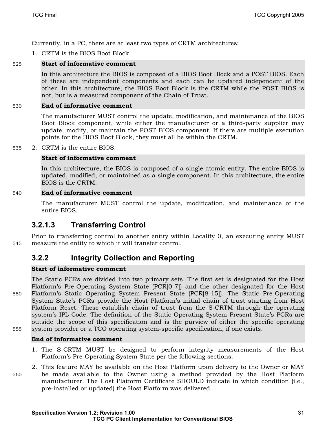Currently, in a PC, there are at least two types of CRTM architectures:

1. CRTM is the BIOS Boot Block.

#### 525 **Start of informative comment**

In this architecture the BIOS is composed of a BIOS Boot Block and a POST BIOS. Each of these are independent components and each can be updated independent of the other. In this architecture, the BIOS Boot Block is the CRTM while the POST BIOS is not, but is a measured component of the Chain of Trust.

#### 530 **End of informative comment**

The manufacturer MUST control the update, modification, and maintenance of the BIOS Boot Block component, while either the manufacturer or a third-party supplier may update, modify, or maintain the POST BIOS component. If there are multiple execution points for the BIOS Boot Block, they must all be within the CRTM.

535 2. CRTM is the entire BIOS.

#### **Start of informative comment**

In this architecture, the BIOS is composed of a single atomic entity. The entire BIOS is updated, modified, or maintained as a single component. In this architecture, the entire BIOS is the CRTM.

#### 540 **End of informative comment**

The manufacturer MUST control the update, modification, and maintenance of the entire BIOS.

# **3.2.1.3 Transferring Control**

Prior to transferring control to another entity within Locality 0, an executing entity MUST 545 measure the entity to which it will transfer control.

# **3.2.2 Integrity Collection and Reporting**

#### **Start of informative comment**

**End of informative comment** 

The Static PCRs are divided into two primary sets. The first set is designated for the Host Platform's Pre-Operating System State (PCR[0-7]) and the other designated for the Host 550 Platform's Static Operating System Present State (PCR[8-15]). The Static Pre-Operating System State's PCRs provide the Host Platform's initial chain of trust starting from Host Platform Reset. These establish chain of trust from the S-CRTM through the operating system's IPL Code. The definition of the Static Operating System Present State's PCRs are outside the scope of this specification and is the purview of either the specific operating 555 system provider or a TCG operating system-specific specification, if one exists.

- 1. The S-CRTM MUST be designed to perform integrity measurements of the Host Platform's Pre-Operating System State per the following sections.
- 2. This feature MAY be available on the Host Platform upon delivery to the Owner or MAY 560 be made available to the Owner using a method provided by the Host Platform manufacturer. The Host Platform Certificate SHOULD indicate in which condition (i.e., pre-installed or updated) the Host Platform was delivered.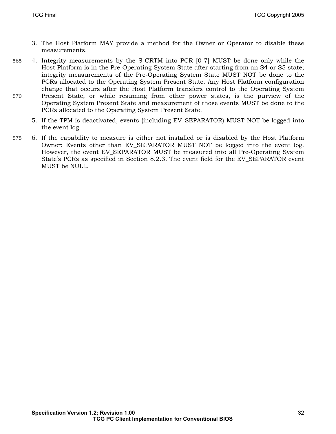- 3. The Host Platform MAY provide a method for the Owner or Operator to disable these measurements.
- 565 4. Integrity measurements by the S-CRTM into PCR [0-7] MUST be done only while the Host Platform is in the Pre-Operating System State after starting from an S4 or S5 state; integrity measurements of the Pre-Operating System State MUST NOT be done to the PCRs allocated to the Operating System Present State. Any Host Platform configuration change that occurs after the Host Platform transfers control to the Operating System 570 Present State, or while resuming from other power states, is the purview of the Operating System Present State and measurement of those events MUST be done to the PCRs allocated to the Operating System Present State.
	- 5. If the TPM is deactivated, events (including EV\_SEPARATOR) MUST NOT be logged into the event log.
- 575 6. If the capability to measure is either not installed or is disabled by the Host Platform Owner: Events other than EV\_SEPARATOR MUST NOT be logged into the event log. However, the event EV\_SEPARATOR MUST be measured into all Pre-Operating System State's PCRs as specified in Section 8.2.3. The event field for the EV\_SEPARATOR event MUST be NULL.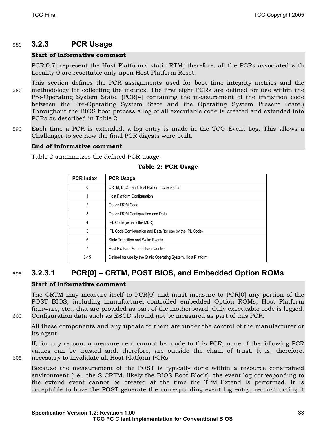# <sup>580</sup>**3.2.3 PCR Usage**

### **Start of informative comment**

PCR[0:7] represent the Host Platform's static RTM; therefore, all the PCRs associated with Locality 0 are resettable only upon Host Platform Reset.

- This section defines the PCR assignments used for boot time integrity metrics and the 585 methodology for collecting the metrics. The first eight PCRs are defined for use within the Pre-Operating System State. (PCR[4] containing the measurement of the transition code between the Pre-Operating System State and the Operating System Present State.) Throughout the BIOS boot process a log of all executable code is created and extended into PCRs as described in Table 2.
- 590 Each time a PCR is extended, a log entry is made in the TCG Event Log. This allows a Challenger to see how the final PCR digests were built.

### **End of informative comment**

Table 2 summarizes the defined PCR usage.

| <b>PCR Index</b> | <b>PCR Usage</b>                                              |
|------------------|---------------------------------------------------------------|
| 0                | CRTM, BIOS, and Host Platform Extensions                      |
|                  | Host Platform Configuration                                   |
| $\overline{2}$   | Option ROM Code                                               |
| 3                | Option ROM Configuration and Data                             |
| 4                | IPL Code (usually the MBR)                                    |
| 5                | IPL Code Configuration and Data (for use by the IPL Code)     |
| 6                | <b>State Transition and Wake Events</b>                       |
|                  | Host Platform Manufacturer Control                            |
| $8 - 15$         | Defined for use by the Static Operating System. Host Platform |

#### **Table 2: PCR Usage**

# <sup>595</sup>**3.2.3.1 PCR[0] – CRTM, POST BIOS, and Embedded Option ROMs**

### **Start of informative comment**

The CRTM may measure itself to PCR[0] and must measure to PCR[0] any portion of the POST BIOS, including manufacturer-controlled embedded Option ROMs, Host Platform firmware, etc., that are provided as part of the motherboard. Only executable code is logged. 600 Configuration data such as ESCD should not be measured as part of this PCR.

All these components and any update to them are under the control of the manufacturer or its agent.

If, for any reason, a measurement cannot be made to this PCR, none of the following PCR values can be trusted and, therefore, are outside the chain of trust. It is, therefore, 605 necessary to invalidate all Host Platform PCRs.

Because the measurement of the POST is typically done within a resource constrained environment (i.e., the S-CRTM, likely the BIOS Boot Block), the event log corresponding to the extend event cannot be created at the time the TPM\_Extend is performed. It is acceptable to have the POST generate the corresponding event log entry, reconstructing it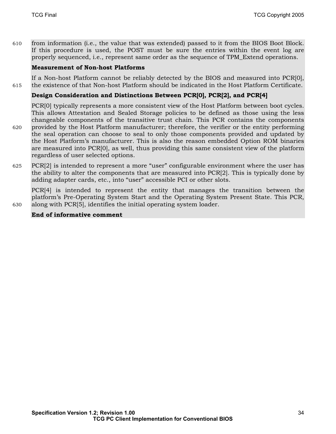610 from information (i.e., the value that was extended) passed to it from the BIOS Boot Block. If this procedure is used, the POST must be sure the entries within the event log are properly sequenced, i.e., represent same order as the sequence of TPM\_Extend operations.

#### **Measurement of Non-host Platforms**

If a Non-host Platform cannot be reliably detected by the BIOS and measured into PCR[0], 615 the existence of that Non-host Platform should be indicated in the Host Platform Certificate.

#### **Design Consideration and Distinctions Between PCR[0], PCR[2], and PCR[4]**

PCR[0] typically represents a more consistent view of the Host Platform between boot cycles. This allows Attestation and Sealed Storage policies to be defined as those using the less changeable components of the transitive trust chain. This PCR contains the components 620 provided by the Host Platform manufacturer; therefore, the verifier or the entity performing the seal operation can choose to seal to only those components provided and updated by the Host Platform's manufacturer. This is also the reason embedded Option ROM binaries are measured into PCR[0], as well, thus providing this same consistent view of the platform regardless of user selected options.

625 PCR[2] is intended to represent a more "user" configurable environment where the user has the ability to alter the components that are measured into PCR[2]. This is typically done by adding adapter cards, etc., into "user" accessible PCI or other slots.

PCR[4] is intended to represent the entity that manages the transition between the platform's Pre-Operating System Start and the Operating System Present State. This PCR, 630 along with PCR[5], identifies the initial operating system loader.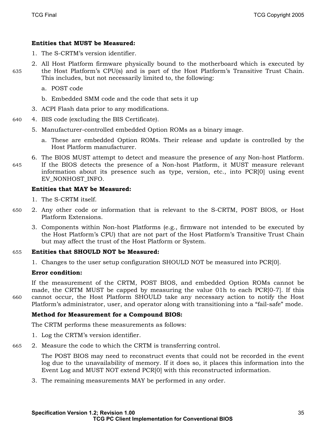#### **Entities that MUST be Measured:**

- 1. The S-CRTM's version identifier.
- 2. All Host Platform firmware physically bound to the motherboard which is executed by 635 the Host Platform's CPU(s) and is part of the Host Platform's Transitive Trust Chain. This includes, but not necessarily limited to, the following:
	- a. POST code
	- b. Embedded SMM code and the code that sets it up
	- 3. ACPI Flash data prior to any modifications.
- 640 4. BIS code (excluding the BIS Certificate).
	- 5. Manufacturer-controlled embedded Option ROMs as a binary image.
		- a. These are embedded Option ROMs. Their release and update is controlled by the Host Platform manufacturer.
	- 6. The BIOS MUST attempt to detect and measure the presence of any Non-host Platform.
- 645 If the BIOS detects the presence of a Non-host Platform, it MUST measure relevant information about its presence such as type, version, etc., into PCR[0] using event EV\_NONHOST\_INFO.

#### **Entities that MAY be Measured:**

- 1. The S-CRTM itself.
- 650 2. Any other code or information that is relevant to the S-CRTM, POST BIOS, or Host Platform Extensions.
	- 3. Components within Non-host Platforms (e.g., firmware not intended to be executed by the Host Platform's CPU) that are not part of the Host Platform's Transitive Trust Chain but may affect the trust of the Host Platform or System.

#### 655 **Entities that SHOULD NOT be Measured:**

1. Changes to the user setup configuration SHOULD NOT be measured into PCR[0].

#### **Error condition:**

If the measurement of the CRTM, POST BIOS, and embedded Option ROMs cannot be made, the CRTM MUST be capped by measuring the value 01h to each PCR[0-7]. If this 660 cannot occur, the Host Platform SHOULD take any necessary action to notify the Host Platform's administrator, user, and operator along with transitioning into a "fail-safe" mode.

#### **Method for Measurement for a Compound BIOS:**

The CRTM performs these measurements as follows:

- 1. Log the CRTM's version identifier.
- 665 2. Measure the code to which the CRTM is transferring control.

The POST BIOS may need to reconstruct events that could not be recorded in the event log due to the unavailability of memory. If it does so, it places this information into the Event Log and MUST NOT extend PCR[0] with this reconstructed information.

3. The remaining measurements MAY be performed in any order.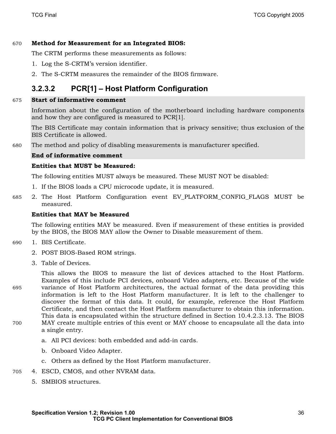#### 670 **Method for Measurement for an Integrated BIOS:**

The CRTM performs these measurements as follows:

- 1. Log the S-CRTM's version identifier.
- 2. The S-CRTM measures the remainder of the BIOS firmware.

# **3.2.3.2 PCR[1] – Host Platform Configuration**

#### 675 **Start of informative comment**

Information about the configuration of the motherboard including hardware components and how they are configured is measured to PCR[1].

The BIS Certificate may contain information that is privacy sensitive; thus exclusion of the BIS Certificate is allowed.

680 The method and policy of disabling measurements is manufacturer specified.

#### **End of informative comment**

#### **Entities that MUST be Measured:**

The following entities MUST always be measured. These MUST NOT be disabled:

- 1. If the BIOS loads a CPU microcode update, it is measured.
- 685 2. The Host Platform Configuration event EV\_PLATFORM\_CONFIG\_FLAGS MUST be measured.

#### **Entities that MAY be Measured**

The following entities MAY be measured. Even if measurement of these entities is provided by the BIOS, the BIOS MAY allow the Owner to Disable measurement of them.

- 690 1. BIS Certificate.
	- 2. POST BIOS-Based ROM strings.
	- 3. Table of Devices.

This allows the BIOS to measure the list of devices attached to the Host Platform. Examples of this include PCI devices, onboard Video adapters, etc. Because of the wide 695 variance of Host Platform architectures, the actual format of the data providing this information is left to the Host Platform manufacturer. It is left to the challenger to discover the format of this data. It could, for example, reference the Host Platform Certificate, and then contact the Host Platform manufacturer to obtain this information. This data is encapsulated within the structure defined in Section 10.4.2.3.13. The BIOS

- 700 MAY create multiple entries of this event or MAY choose to encapsulate all the data into a single entry.
	- a. All PCI devices: both embedded and add-in cards.
	- b. Onboard Video Adapter.
	- c. Others as defined by the Host Platform manufacturer.
- 705 4. ESCD, CMOS, and other NVRAM data.
	- 5. SMBIOS structures.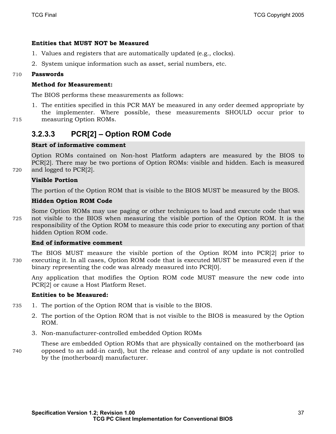### **Entities that MUST NOT be Measured**

- 1. Values and registers that are automatically updated (e.g., clocks).
- 2. System unique information such as asset, serial numbers, etc.

### 710 **Passwords**

### **Method for Measurement:**

The BIOS performs these measurements as follows:

1. The entities specified in this PCR MAY be measured in any order deemed appropriate by the implementer. Where possible, these measurements SHOULD occur prior to 715 measuring Option ROMs.

# **3.2.3.3 PCR[2] – Option ROM Code**

#### **Start of informative comment**

Option ROMs contained on Non-host Platform adapters are measured by the BIOS to PCR[2]. There may be two portions of Option ROMs: visible and hidden. Each is measured 720 and logged to PCR[2].

### **Visible Portion**

The portion of the Option ROM that is visible to the BIOS MUST be measured by the BIOS.

### **Hidden Option ROM Code**

Some Option ROMs may use paging or other techniques to load and execute code that was 725 not visible to the BIOS when measuring the visible portion of the Option ROM. It is the responsibility of the Option ROM to measure this code prior to executing any portion of that hidden Option ROM code.

### **End of informative comment**

The BIOS MUST measure the visible portion of the Option ROM into PCR[2] prior to 730 executing it. In all cases, Option ROM code that is executed MUST be measured even if the binary representing the code was already measured into PCR[0].

Any application that modifies the Option ROM code MUST measure the new code into PCR[2] or cause a Host Platform Reset.

### **Entities to be Measured:**

- 735 1. The portion of the Option ROM that is visible to the BIOS.
	- 2. The portion of the Option ROM that is not visible to the BIOS is measured by the Option ROM.
	- 3. Non-manufacturer-controlled embedded Option ROMs

These are embedded Option ROMs that are physically contained on the motherboard (as 740 opposed to an add-in card), but the release and control of any update is not controlled by the (motherboard) manufacturer.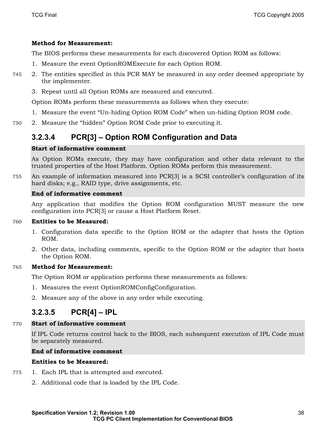### **Method for Measurement:**

The BIOS performs these measurements for each discovered Option ROM as follows:

- 1. Measure the event OptionROMExecute for each Option ROM.
- 745 2. The entities specified in this PCR MAY be measured in any order deemed appropriate by the implementer.
	- 3. Repeat until all Option ROMs are measured and executed.

Option ROMs perform these measurements as follows when they execute:

- 1. Measure the event "Un-hiding Option ROM Code" when un-hiding Option ROM code.
- 750 2. Measure the "hidden" Option ROM Code prior to executing it.

# **3.2.3.4 PCR[3] – Option ROM Configuration and Data**

### **Start of informative comment**

As Option ROMs execute, they may have configuration and other data relevant to the trusted properties of the Host Platform. Option ROMs perform this measurement.

755 An example of information measured into PCR[3] is a SCSI controller's configuration of its hard disks; e.g., RAID type, drive assignments, etc.

### **End of informative comment**

Any application that modifies the Option ROM configuration MUST measure the new configuration into PCR[3] or cause a Host Platform Reset.

### 760 **Entities to be Measured:**

- 1. Configuration data specific to the Option ROM or the adapter that hosts the Option ROM.
- 2. Other data, including comments, specific to the Option ROM or the adapter that hosts the Option ROM.

### 765 **Method for Measurement:**

The Option ROM or application performs these measurements as follows:

- 1. Measures the event OptionROMConfigConfiguration.
- 2. Measure any of the above in any order while executing.

# **3.2.3.5 PCR[4] – IPL**

### 770 **Start of informative comment**

If IPL Code returns control back to the BIOS, each subsequent execution of IPL Code must be separately measured.

### **End of informative comment**

### **Entities to be Measured:**

- 775 1. Each IPL that is attempted and executed.
	- 2. Additional code that is loaded by the IPL Code.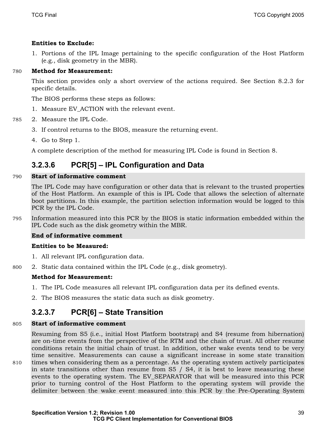### **Entities to Exclude:**

1. Portions of the IPL Image pertaining to the specific configuration of the Host Platform (e.g., disk geometry in the MBR).

### 780 **Method for Measurement:**

This section provides only a short overview of the actions required. See Section 8.2.3 for specific details.

The BIOS performs these steps as follows:

- 1. Measure EV\_ACTION with the relevant event.
- 785 2. Measure the IPL Code.
	- 3. If control returns to the BIOS, measure the returning event.
	- 4. Go to Step 1.

A complete description of the method for measuring IPL Code is found in Section 8.

# **3.2.3.6 PCR[5] – IPL Configuration and Data**

### 790 **Start of informative comment**

The IPL Code may have configuration or other data that is relevant to the trusted properties of the Host Platform. An example of this is IPL Code that allows the selection of alternate boot partitions. In this example, the partition selection information would be logged to this PCR by the IPL Code.

795 Information measured into this PCR by the BIOS is static information embedded within the IPL Code such as the disk geometry within the MBR.

### **End of informative comment**

### **Entities to be Measured:**

- 1. All relevant IPL configuration data.
- 800 2. Static data contained within the IPL Code (e.g., disk geometry).

### **Method for Measurement:**

- 1. The IPL Code measures all relevant IPL configuration data per its defined events.
- 2. The BIOS measures the static data such as disk geometry.

# **3.2.3.7 PCR[6] – State Transition**

### 805 **Start of informative comment**

Resuming from S5 (i.e., initial Host Platform bootstrap) and S4 (resume from hibernation) are on-time events from the perspective of the RTM and the chain of trust. All other resume conditions retain the initial chain of trust. In addition, other wake events tend to be very time sensitive. Measurements can cause a significant increase in some state transition 810 times when considering them as a percentage. As the operating system actively participates in state transitions other than resume from S5 / S4, it is best to leave measuring these events to the operating system. The EV\_SEPARATOR that will be measured into this PCR prior to turning control of the Host Platform to the operating system will provide the delimiter between the wake event measured into this PCR by the Pre-Operating System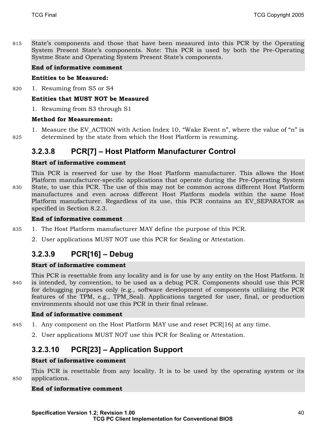815 State's components and those that have been measured into this PCR by the Operating System Present State's components. Note: This PCR is used by both the Pre-Operating Systme State and Operating System Present State's components.

### **End of informative comment**

### **Entities to be Measured:**

820 1. Resuming from S5 or S4

### **Entities that MUST NOT be Measured**

1. Resuming from S3 through S1

### **Method for Measurement:**

1. Measure the EV\_ACTION with Action Index 10, "Wake Event n", where the value of "n" is 825 determined by the state from which the Host Platform is resuming.

# **3.2.3.8 PCR[7] – Host Platform Manufacturer Control**

### **Start of informative comment**

This PCR is reserved for use by the Host Platform manufacturer. This allows the Host Platform manufacturer-specific applications that operate during the Pre-Operating System 830 State, to use this PCR. The use of this may not be common across different Host Platform manufactures and even across different Host Platform models within the same Host Platform manufacturer. Regardless of its use, this PCR contains an EV\_SEPARATOR as specified in Section 8.2.3.

### **End of informative comment**

- 835 1. The Host Platform manufacturer MAY define the purpose of this PCR.
	- 2. User applications MUST NOT use this PCR for Sealing or Attestation.

# **3.2.3.9 PCR[16] – Debug**

### **Start of informative comment**

This PCR is resettable from any locality and is for use by any entity on the Host Platform. It 840 is intended, by convention, to be used as a debug PCR. Components should use this PCR for debugging purposes only (e.g., software development of components utilizing the PCR features of the TPM, e.g., TPM\_Seal). Applications targeted for user, final, or production environments should not use this PCR in their final release.

### **End of informative comment**

- 845 1. Any component on the Host Platform MAY use and reset PCR[16] at any time.
	- 2. User applications MUST NOT use this PCR for Sealing or Attestation.

# **3.2.3.10 PCR[23] – Application Support**

### **Start of informative comment**

This PCR is resettable from any locality. It is to be used by the operating system or its 850 applications.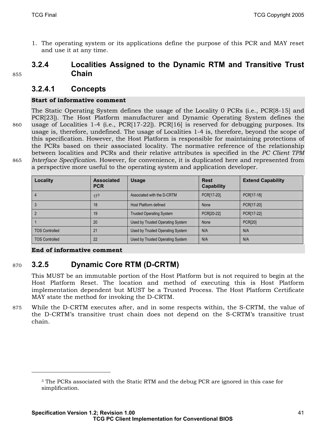1. The operating system or its applications define the purpose of this PCR and MAY reset and use it at any time.

### **3.2.4 Localities Assigned to the Dynamic RTM and Transitive Trust**  <sup>855</sup>**Chain**

### **3.2.4.1 Concepts**

#### **Start of informative comment**

The Static Operating System defines the usage of the Locality 0 PCRs (i.e., PCR[8-15] and PCR[23]). The Host Platform manufacturer and Dynamic Operating System defines the 860 usage of Localities 1-4 (i.e., PCR[17-22]). PCR[16] is reserved for debugging purposes. Its usage is, therefore, undefined. The usage of Localities 1-4 is, therefore, beyond the scope of this specification. However, the Host Platform is responsible for maintaining protections of the PCRs based on their associated locality. The normative reference of the relationship between localities and PCRs and their relative attributes is specified in the *PC Client TPM*  865 *Interface Specification*. However, for convenience, it is duplicated here and represented from a perspective more useful to the operating system and application developer.

| Locality              | <b>Associated</b><br><b>PCR</b> | <b>Usage</b>                     | <b>Rest</b><br><b>Capability</b> | <b>Extend Capability</b> |
|-----------------------|---------------------------------|----------------------------------|----------------------------------|--------------------------|
| $\overline{4}$        | 17 <sup>3</sup>                 | Associated with the D-CRTM       | PCR[17-20].                      | PCR[17-18]               |
| 3                     | 18                              | Host Platform defined            | None                             | PCR[17-20]               |
| $\overline{2}$        | 19                              | <b>Trusted Operating System</b>  | PCR[20-22]                       | PCR[17-22]               |
|                       | 20                              | Used by Trusted Operating System | None                             | <b>PCR[20]</b>           |
| <b>TOS Controlled</b> | 21                              | Used by Trusted Operating System | N/A                              | N/A                      |
| <b>TOS Controlled</b> | 22                              | Used by Trusted Operating System | N/A                              | N/A                      |

**End of informative comment** 

# <sup>870</sup>**3.2.5 Dynamic Core RTM (D-CRTM)**

This MUST be an immutable portion of the Host Platform but is not required to begin at the Host Platform Reset. The location and method of executing this is Host Platform implementation dependent but MUST be a Trusted Process. The Host Platform Certificate MAY state the method for invoking the D-CRTM.

875 While the D-CRTM executes after, and in some respects within, the S-CRTM, the value of the D-CRTM's transitive trust chain does not depend on the S-CRTM's transitive trust chain.

<sup>3</sup> The PCRs associated with the Static RTM and the debug PCR are ignored in this case for simplification.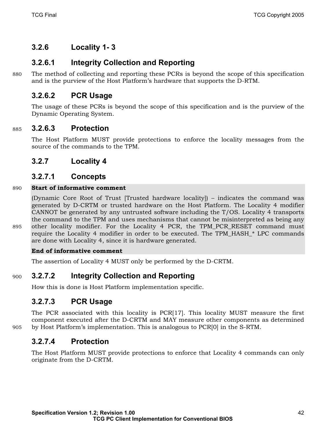# **3.2.6 Locality 1- 3**

# **3.2.6.1 Integrity Collection and Reporting**

880 The method of collecting and reporting these PCRs is beyond the scope of this specification and is the purview of the Host Platform's hardware that supports the D-RTM.

# **3.2.6.2 PCR Usage**

The usage of these PCRs is beyond the scope of this specification and is the purview of the Dynamic Operating System.

### <sup>885</sup>**3.2.6.3 Protection**

The Host Platform MUST provide protections to enforce the locality messages from the source of the commands to the TPM.

### **3.2.7 Locality 4**

## **3.2.7.1 Concepts**

### 890 **Start of informative comment**

(Dynamic Core Root of Trust [Trusted hardware locality]) – indicates the command was generated by D-CRTM or trusted hardware on the Host Platform. The Locality 4 modifier CANNOT be generated by any untrusted software including the T/OS. Locality 4 transports the command to the TPM and uses mechanisms that cannot be misinterpreted as being any 895 other locality modifier. For the Locality 4 PCR, the TPM\_PCR\_RESET command must require the Locality 4 modifier in order to be executed. The TPM\_HASH\_\* LPC commands are done with Locality 4, since it is hardware generated.

### **End of informative comment**

The assertion of Locality 4 MUST only be performed by the D-CRTM.

## <sup>900</sup>**3.2.7.2 Integrity Collection and Reporting**

How this is done is Host Platform implementation specific.

# **3.2.7.3 PCR Usage**

The PCR associated with this locality is PCR[17]. This locality MUST measure the first component executed after the D-CRTM and MAY measure other components as determined 905 by Host Platform's implementation. This is analogous to PCR[0] in the S-RTM.

# **3.2.7.4 Protection**

The Host Platform MUST provide protections to enforce that Locality 4 commands can only originate from the D-CRTM.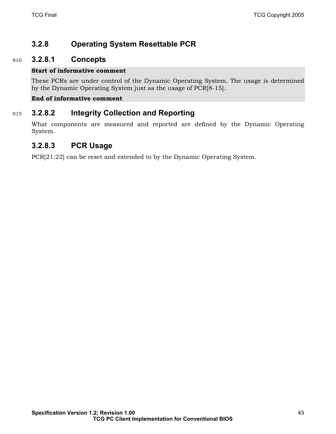# **3.2.8 Operating System Resettable PCR**

### <sup>910</sup>**3.2.8.1 Concepts**

### **Start of informative comment**

These PCRs are under control of the Dynamic Operating System. The usage is determined by the Dynamic Operating System just as the usage of PCR[8-15].

### **End of informative comment**

## <sup>915</sup>**3.2.8.2 Integrity Collection and Reporting**

What components are measured and reported are defined by the Dynamic Operating System.

### **3.2.8.3 PCR Usage**

PCR[21:22] can be reset and extended to by the Dynamic Operating System.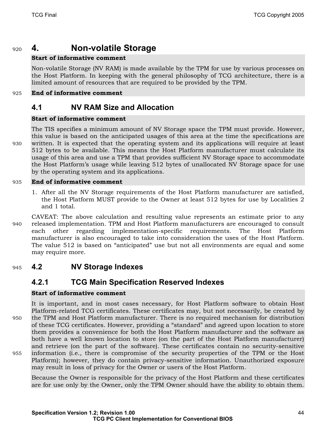# <sup>920</sup>**4. Non-volatile Storage**

### **Start of informative comment**

Non-volatile Storage (NV RAM) is made available by the TPM for use by various processes on the Host Platform. In keeping with the general philosophy of TCG architecture, there is a limited amount of resources that are required to be provided by the TPM.

### 925 **End of informative comment**

## **4.1 NV RAM Size and Allocation**

### **Start of informative comment**

The TIS specifies a minimum amount of NV Storage space the TPM must provide. However, this value is based on the anticipated usages of this area at the time the specifications are 930 written. It is expected that the operating system and its applications will require at least 512 bytes to be available. This means the Host Platform manufacturer must calculate its usage of this area and use a TPM that provides sufficient NV Storage space to accommodate the Host Platform's usage while leaving 512 bytes of unallocated NV Storage space for use by the operating system and its applications.

### 935 **End of informative comment**

- 1. After all the NV Storage requirements of the Host Platform manufacturer are satisfied, the Host Platform MUST provide to the Owner at least 512 bytes for use by Localities 2 and 1 total.
- CAVEAT: The above calculation and resulting value represents an estimate prior to any 940 released implementation. TPM and Host Platform manufacturers are encouraged to consult each other regarding implementation-specific requirements. The Host Platform manufacturer is also encouraged to take into consideration the uses of the Host Platform. The value 512 is based on "anticipated" use but not all environments are equal and some may require more.

### <sup>945</sup>**4.2 NV Storage Indexes**

## **4.2.1 TCG Main Specification Reserved Indexes**

### **Start of informative comment**

It is important, and in most cases necessary, for Host Platform software to obtain Host Platform-related TCG certificates. These certificates may, but not necessarily, be created by 950 the TPM and Host Platform manufacturer. There is no required mechanism for distribution of these TCG certificates. However, providing a "standard" and agreed upon location to store them provides a convenience for both the Host Platform manufacturer and the software as both have a well known location to store (on the part of the Host Platform manufacturer) and retrieve (on the part of the software). These certificates contain no security-sensitive 955 information (i.e., there is compromise of the security properties of the TPM or the Host Platform); however, they do contain privacy-sensitive information. Unauthorized exposure may result in loss of privacy for the Owner or users of the Host Platform.

Because the Owner is responsible for the privacy of the Host Platform and these certificates are for use only by the Owner, only the TPM Owner should have the ability to obtain them.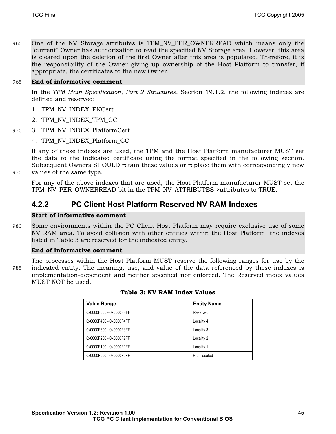960 One of the NV Storage attributes is TPM\_NV\_PER\_OWNERREAD which means only the "current" Owner has authorization to read the specified NV Storage area. However, this area is cleared upon the deletion of the first Owner after this area is populated. Therefore, it is the responsibility of the Owner giving up ownership of the Host Platform to transfer, if appropriate, the certificates to the new Owner.

### 965 **End of informative comment**

In the *TPM Main Specification, Part 2 Structures*, Section 19.1.2, the following indexes are defined and reserved:

- 1. TPM\_NV\_INDEX\_EKCert
- 2. TPM\_NV\_INDEX\_TPM\_CC
- 970 3. TPM\_NV\_INDEX\_PlatformCert
	- 4. TPM\_NV\_INDEX\_Platform\_CC

If any of these indexes are used, the TPM and the Host Platform manufacturer MUST set the data to the indicated certificate using the format specified in the following section. Subsequent Owners SHOULD retain these values or replace them with correspondingly new 975 values of the same type.

For any of the above indexes that are used, the Host Platform manufacturer MUST set the TPM\_NV\_PER\_OWNERREAD bit in the TPM\_NV\_ATTRIBUTES->attributes to TRUE.

### **4.2.2 PC Client Host Platform Reserved NV RAM Indexes**

#### **Start of informative comment**

980 Some environments within the PC Client Host Platform may require exclusive use of some NV RAM area. To avoid collision with other entities within the Host Platform, the indexes listed in Table 3 are reserved for the indicated entity.

#### **End of informative comment**

The processes within the Host Platform MUST reserve the following ranges for use by the 985 indicated entity. The meaning, use, and value of the data referenced by these indexes is implementation-dependent and neither specified nor enforced. The Reserved index values MUST NOT be used.

| <b>Value Range</b>      | <b>Entity Name</b> |
|-------------------------|--------------------|
| 0x0000F500 - 0x0000FFFF | Reserved           |
| 0x0000F400 - 0x0000F4FF | Locality 4         |
| 0x0000F300 - 0x0000F3FF | Locality 3         |
| 0x0000F200 - 0x0000F2FF | Locality 2         |
| 0x0000F100 - 0x0000F1FF | Locality 1         |
| 0x0000F000 - 0x0000F0FF | Preallocated       |

### **Table 3: NV RAM Index Values**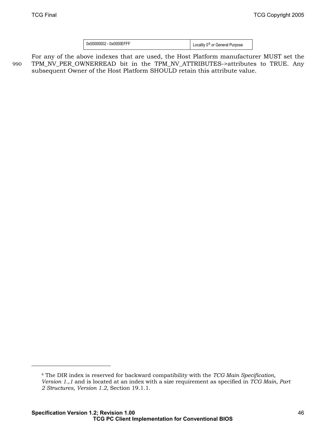| 0x00000002 - 0x0000EFFF | Locality 0 <sup>4</sup> or General Purpose |
|-------------------------|--------------------------------------------|

For any of the above indexes that are used, the Host Platform manufacturer MUST set the 990 TPM\_NV\_PER\_OWNERREAD bit in the TPM\_NV\_ATTRIBUTES->attributes to TRUE. Any subsequent Owner of the Host Platform SHOULD retain this attribute value.

<sup>4</sup> The DIR index is reserved for backward compatibility with the *TCG Main Specification, Version 1.,1* and is located at an index with a size requirement as specified in *TCG Main, Part 2 Structures, Version 1.2*, Section 19.1.1.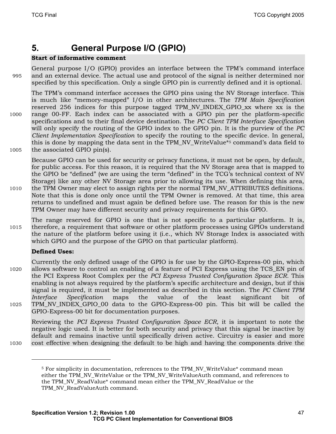# **5. General Purpose I/O (GPIO)**

### **Start of informative comment**

General purpose I/O (GPIO) provides an interface between the TPM's command interface 995 and an external device. The actual use and protocol of the signal is neither determined nor specified by this specification. Only a single GPIO pin is currently defined and it is optional.

The TPM's command interface accesses the GPIO pins using the NV Storage interface. This is much like "memory-mapped" I/O in other architectures. The *TPM Main Specification* reserved 256 indices for this purpose tagged TPM\_NV\_INDEX\_GPIO\_xx where xx is the 1000 range 00-FF. Each index can be associated with a GPIO pin per the platform-specific specifications and to their final device destination. The *PC Client TPM Interface Specification* will only specify the routing of the GPIO index to the GPIO pin. It is the purview of the *PC Client Implementation Specification* to specify the routing to the specific device. In general, this is done by mapping the data sent in the TPM\_NV\_WriteValue\*5 command's data field to 1005 the associated GPIO pin(s).

Because GPIO can be used for security or privacy functions, it must not be open, by default, for public access. For this reason, it is required that the NV Storage area that is mapped to the GPIO be "defined" (we are using the term "defined" in the TCG's technical context of NV Storage) like any other NV Storage area prior to allowing its use. When defining this area,

- 1010 the TPM Owner may elect to assign rights per the normal TPM\_NV\_ATTRIBUTES definitions. Note that this is done only once until the TPM Owner is removed. At that time, this area returns to undefined and must again be defined before use. The reason for this is the new TPM Owner may have different security and privacy requirements for this GPIO.
- The range reserved for GPIO is one that is not specific to a particular platform. It is, 1015 therefore, a requirement that software or other platform processes using GPIOs understand the nature of the platform before using it (i.e., which NV Storage Index is associated with which GPIO and the purpose of the GPIO on that particular platform).

### **Defined Uses:**

Currently the only defined usage of the GPIO is for use by the GPIO-Express-00 pin, which 1020 allows software to control an enabling of a feature of PCI Express using the TCS\_EN pin of the PCI Express Root Complex per the *PCI Express Trusted Configuration Space ECR*. This enabling is not always required by the platform's specific architecture and design, but if this signal is required, it must be implemented as described in this section. The *PC Client TPM Interface Specification* maps the value of the least significant bit of 1025 TPM\_NV\_INDEX\_GPIO\_00 data to the GPIO-Express-00 pin. This bit will be called the GPIO-Express-00 bit for documentation purposes.

Reviewing the *PCI Express Trusted Configuration Space ECR*, it is important to note the negative logic used. It is better for both security and privacy that this signal be inactive by default and remains inactive until specifically driven active. Circuitry is easier and more 1030 cost effective when designing the default to be high and having the components drive the

<sup>&</sup>lt;sup>5</sup> For simplicity in documentation, references to the TPM\_NV\_WriteValue\* command mean either the TPM\_NV\_WriteValue or the TPM\_NV\_WriteValueAuth command, and references to the TPM\_NV\_ReadValue\* command mean either the TPM\_NV\_ReadValue or the TPM\_NV\_ReadValueAuth command.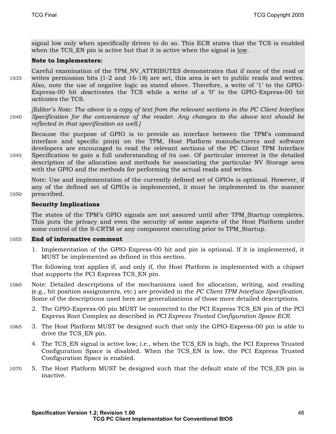signal low only when specifically driven to do so. This ECR states that the TCS is enabled when the TCS EN pin is active but that it is active when the signal is low.

### **Note to Implementers:**

Careful examination of the TPM\_NV\_ATTRIBUTES demonstrates that if none of the read or 1035 writes permission bits (1-2 and 16-18) are set, this area is set to public reads and writes. Also, note the use of negative logic as stated above. Therefore, a write of '1' to the GPIO-Express-00 bit *de*activates the TCS while a write of a '0' to the GPIO-Express-00 bit *activates* the TCS.

*[Editor's Note: The above is a copy of text from the relevant sections in the PC Client Interface*  1040 *Specification for the convenience of the reader. Any changes to the above text should be reflected in that specification as well.]*

Because the purpose of GPIO is to provide an interface between the TPM's command interface and specific pin(s) on the TPM, Host Platform manufacturers and software developers are encouraged to read the relevant sections of the PC Client TPM Interface 1045 Specification to gain a full understanding of its use. Of particular interest is the detailed description of the allocation and methods for associating the particular NV Storage area with the GPIO and the methods for performing the actual reads and writes.

Note: Use and implementation of the currently defined set of GPIOs is optional. However, if any of the defined set of GPIOs is implemented, it must be implemented in the manner 1050 prescribed.

### **Security Implications**

The states of the TPM's GPIO signals are not assured until after TPM\_Startup completes. This puts the privacy and even the security of some aspects of the Host Platform under some control of the S-CRTM or any component executing prior to TPM\_Startup.

### 1055 **End of informative comment**

1. Implementation of the GPIO-Express-00 bit and pin is optional. If it is implemented, it MUST be implemented as defined in this section.

The following text applies if, and only if, the Host Platform is implemented with a chipset that supports the PCI Express TCS\_EN pin.

- 1060 Note: Detailed descriptions of the mechanisms used for allocation, writing, and reading (e.g., bit position assignments, etc.) are provided in the *PC Client TPM Interface Specification*. Some of the descriptions used here are generalizations of those more detailed descriptions.
	- 2. The GPIO-Express-00 pin MUST be connected to the PCI Express TCS\_EN pin of the PCI Express Root Complex as described in *PCI Express Trusted Configuration Space ECR*.
- 1065 3. The Host Platform MUST be designed such that only the GPIO-Express-00 pin is able to drive the TCS\_EN pin.
	- 4. The TCS\_EN signal is active low; i.e., when the TCS\_EN is high, the PCI Express Trusted Configuration Space is disabled. When the TCS\_EN is low, the PCI Express Trusted Configuration Space is enabled.
- 1070 5. The Host Platform MUST be designed such that the default state of the TCS\_EN pin is inactive.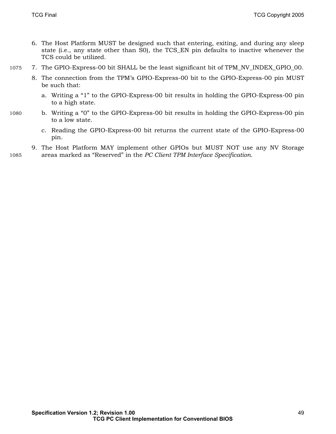- 6. The Host Platform MUST be designed such that entering, exiting, and during any sleep state (i.e., any state other than S0), the TCS\_EN pin defaults to inactive whenever the TCS could be utilized.
- 1075 7. The GPIO-Express-00 bit SHALL be the least significant bit of TPM\_NV\_INDEX\_GPIO\_00.
	- 8. The connection from the TPM's GPIO-Express-00 bit to the GPIO-Express-00 pin MUST be such that:
		- a. Writing a "1" to the GPIO-Express-00 bit results in holding the GPIO-Express-00 pin to a high state.
- 1080 b. Writing a "0" to the GPIO-Express-00 bit results in holding the GPIO-Express-00 pin to a low state.
	- c. Reading the GPIO-Express-00 bit returns the current state of the GPIO-Express-00 pin.
- 9. The Host Platform MAY implement other GPIOs but MUST NOT use any NV Storage 1085 areas marked as "Reserved" in the *PC Client TPM Interface Specification*.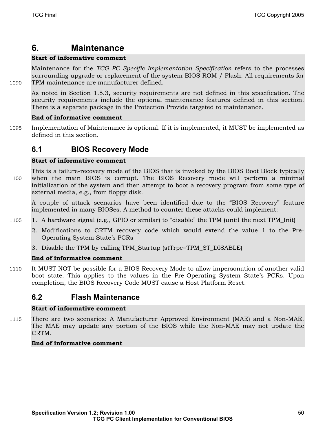# **6. Maintenance**

### **Start of informative comment**

Maintenance for the *TCG PC Specific Implementation Specification* refers to the processes surrounding upgrade or replacement of the system BIOS ROM / Flash. All requirements for 1090 TPM maintenance are manufacturer defined.

As noted in Section 1.5.3, security requirements are not defined in this specification. The security requirements include the optional maintenance features defined in this section. There is a separate package in the Protection Provide targeted to maintenance.

### **End of informative comment**

1095 Implementation of Maintenance is optional. If it is implemented, it MUST be implemented as defined in this section.

# **6.1 BIOS Recovery Mode**

### **Start of informative comment**

This is a failure-recovery mode of the BIOS that is invoked by the BIOS Boot Block typically 1100 when the main BIOS is corrupt. The BIOS Recovery mode will perform a minimal initialization of the system and then attempt to boot a recovery program from some type of external media, e.g., from floppy disk.

A couple of attack scenarios have been identified due to the "BIOS Recovery" feature implemented in many BIOSes. A method to counter these attacks could implement:

- 1105 1. A hardware signal (e.g., GPIO or similar) to "disable" the TPM (until the next TPM\_Init)
	- 2. Modifications to CRTM recovery code which would extend the value 1 to the Pre-Operating System State's PCRs
	- 3. Disable the TPM by calling TPM\_Startup (stTrpe=TPM\_ST\_DISABLE)

### **End of informative comment**

1110 It MUST NOT be possible for a BIOS Recovery Mode to allow impersonation of another valid boot state. This applies to the values in the Pre-Operating System State's PCRs. Upon completion, the BIOS Recovery Code MUST cause a Host Platform Reset.

# **6.2 Flash Maintenance**

### **Start of informative comment**

1115 There are two scenarios: A Manufacturer Approved Environment (MAE) and a Non-MAE. The MAE may update any portion of the BIOS while the Non-MAE may not update the CRTM.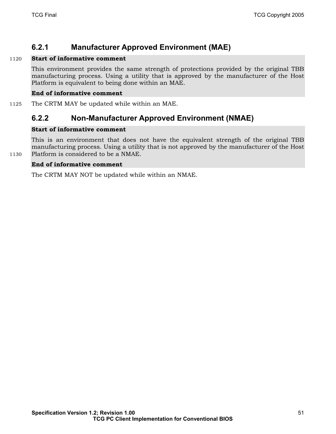# **6.2.1 Manufacturer Approved Environment (MAE)**

### 1120 **Start of informative comment**

This environment provides the same strength of protections provided by the original TBB manufacturing process. Using a utility that is approved by the manufacturer of the Host Platform is equivalent to being done within an MAE.

### **End of informative comment**

1125 The CRTM MAY be updated while within an MAE.

## **6.2.2 Non-Manufacturer Approved Environment (NMAE)**

### **Start of informative comment**

This is an environment that does not have the equivalent strength of the original TBB manufacturing process. Using a utility that is not approved by the manufacturer of the Host 1130 Platform is considered to be a NMAE.

### **End of informative comment**

The CRTM MAY NOT be updated while within an NMAE.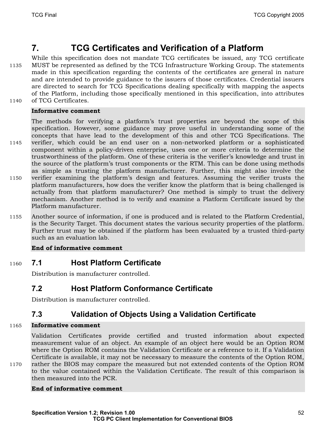# **7. TCG Certificates and Verification of a Platform**

While this specification does not mandate TCG certificates be issued, any TCG certificate 1135 MUST be represented as defined by the TCG Infrastructure Working Group. The statements made in this specification regarding the contents of the certificates are general in nature and are intended to provide guidance to the issuers of those certificates. Credential issuers are directed to search for TCG Specifications dealing specifically with mapping the aspects of the Platform, including those specifically mentioned in this specification, into attributes 1140 of TCG Certificates.

**Informative comment** 

The methods for verifying a platform's trust properties are beyond the scope of this specification. However, some guidance may prove useful in understanding some of the concepts that have lead to the development of this and other TCG Specifications. The 1145 verifier, which could be an end user on a non-networked platform or a sophisticated component within a policy-driven enterprise, uses one or more criteria to determine the trustworthiness of the platform. One of these criteria is the verifier's knowledge and trust in the source of the platform's trust components or the RTM. This can be done using methods as simple as trusting the platform manufacturer. Further, this might also involve the 1150 verifier examining the platform's design and features. Assuming the verifier trusts the platform manufacturers, how does the verifier know the platform that is being challenged is actually from that platform manufacturer? One method is simply to trust the delivery mechanism. Another method is to verify and examine a Platform Certificate issued by the Platform manufacturer.

1155 Another source of information, if one is produced and is related to the Platform Credential, is the Security Target. This document states the various security properties of the platform. Further trust may be obtained if the platform has been evaluated by a trusted third-party such as an evaluation lab.

### **End of informative comment**

## <sup>1160</sup>**7.1 Host Platform Certificate**

Distribution is manufacturer controlled.

## **7.2 Host Platform Conformance Certificate**

Distribution is manufacturer controlled.

# **7.3 Validation of Objects Using a Validation Certificate**

### 1165 **Informative comment**

Validation Certificates provide certified and trusted information about expected measurement value of an object. An example of an object here would be an Option ROM where the Option ROM contains the Validation Certificate or a reference to it. If a Validation Certificate is available, it may not be necessary to measure the contents of the Option ROM, 1170 rather the BIOS may compare the measured but not extended contents of the Option ROM to the value contained within the Validation Certificate. The result of this comparison is then measured into the PCR.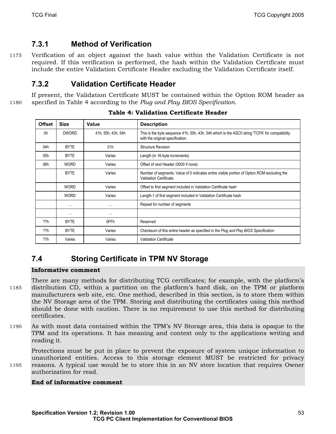# **7.3.1 Method of Verification**

1175 Verification of an object against the hash value within the Validation Certificate is not required. If this verification is performed, the hash within the Validation Certificate must include the entire Validation Certificate Header excluding the Validation Certificate itself.

# **7.3.2 Validation Certificate Header**

If present, the Validation Certificate MUST be contained within the Option ROM header as 1180 specified in Table 4 according to the *Plug and Play BIOS Specification*.

| <b>Offset</b> | <b>Size</b>  | Value              | <b>Description</b>                                                                                                                  |
|---------------|--------------|--------------------|-------------------------------------------------------------------------------------------------------------------------------------|
| 0h            | <b>DWORD</b> | 41h, 50h, 43h, 54h | This is the byte sequence 41h, 50h, 43h, 54h which is the ASCII string 'TCPA' for compatibility<br>with the original specification. |
| 04h           | <b>BYTE</b>  | 01h                | <b>Structure Revision</b>                                                                                                           |
| 05h           | <b>BYTE</b>  | Varies             | Length (in 16-byte increments)                                                                                                      |
| 06h           | <b>WORD</b>  | Varies             | Offset of next Header (0000 if none)                                                                                                |
|               | <b>BYTE</b>  | Varies             | Number of segments. Value of 0 indicates entire visible portion of Option ROM excluding the<br>Validation Certificate.              |
|               | <b>WORD</b>  | Varies             | Offset to first segment included in Validation Certificate hash                                                                     |
|               | <b>WORD</b>  | Varies             | Length-1 of first segment included in Validation Certificate hash                                                                   |
|               | $\cdots$     | $\cdots$           | Repeat for number of segments                                                                                                       |
|               | $\cdots$     | $\cdots$           |                                                                                                                                     |
| ??h           | <b>BYTE</b>  | 0FFh               | Reserved                                                                                                                            |
| ??h           | <b>BYTE</b>  | Varies             | Checksum of this entire header as specified in the Plug and Play BIOS Specification                                                 |
| ??h           | Varies       | Varies             | <b>Validation Certificate</b>                                                                                                       |

**Table 4: Validation Certificate Header** 

# **7.4 Storing Certificate in TPM NV Storage**

### **Informative comment**

- There are many methods for distributing TCG certificates; for example, with the platform's 1185 distribution CD, within a partition on the platform's hard disk, on the TPM or platform manufacturers web site, etc. One method, described in this section, is to store them within the NV Storage area of the TPM. Storing and distributing the certificates using this method should be done with caution. There is no requirement to use this method for distributing certificates.
- 1190 As with most data contained within the TPM's NV Storage area, this data is opaque to the TPM and its operations. It has meaning and context only to the applications writing and reading it.

Protections must be put in place to prevent the exposure of system unique information to unauthorized entities. Access to this storage element MUST be restricted for privacy 1195 reasons. A typical use would be to store this in an NV store location that requires Owner authorization for read.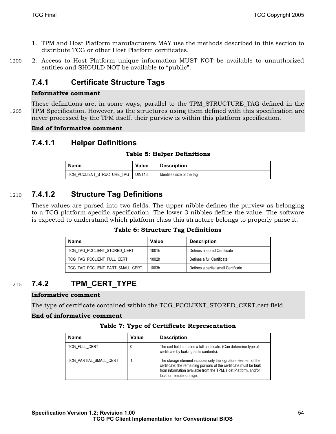- 1. TPM and Host Platform manufacturers MAY use the methods described in this section to distribute TCG or other Host Platform certificates.
- 1200 2. Access to Host Platform unique information MUST NOT be available to unauthorized entities and SHOULD NOT be available to "public".

# **7.4.1 Certificate Structure Tags**

### **Informative comment**

These definitions are, in some ways, parallel to the TPM\_STRUCTURE\_TAG defined in the 1205 TPM Specification. However, as the structures using them defined with this specification are never processed by the TPM itself, their purview is within this platform specification.

### **End of informative comment**

# **7.4.1.1 Helper Definitions**

### **Table 5: Helper Definitions**

| Name                       | Value  | <b>Description</b>         |
|----------------------------|--------|----------------------------|
| TCG PCCLIENT STRUCTURE TAG | UINT16 | Identifies size of the tag |

## <sup>1210</sup>**7.4.1.2 Structure Tag Definitions**

These values are parsed into two fields. The upper nibble defines the purview as belonging to a TCG platform specific specification. The lower 3 nibbles define the value. The software is expected to understand which platform class this structure belongs to properly parse it.

### **Table 6: Structure Tag Definitions**

| Name                             | Value | <b>Description</b>                  |  |
|----------------------------------|-------|-------------------------------------|--|
| TCG TAG PCCLIENT STORED CERT     | 1001h | Defines a stored Certificate        |  |
| TCG TAG PCCLIENT FULL CERT       | 1002h | Defines a full Certificate          |  |
| TCG TAG PCCLIENT PART SMALL CERT | 1003h | Defines a partial small Certificate |  |

# <sup>1215</sup>**7.4.2 TPM\_CERT\_TYPE**

### **Informative comment**

The type of certificate contained within the TCG\_PCCLIENT\_STORED\_CERT.cert field.

### **End of informative comment**

### **Table 7: Type of Certificate Representation**

| <b>Value</b><br><b>Name</b> |   | <b>Description</b>                                                                                                                                                                                                                   |  |  |
|-----------------------------|---|--------------------------------------------------------------------------------------------------------------------------------------------------------------------------------------------------------------------------------------|--|--|
| TCG FULL CERT               | U | The cert field contains a full certificate. (Can determine type of<br>certificate by looking at its contents).                                                                                                                       |  |  |
| TCG PARTIAL SMALL CERT      |   | The storage element includes only the signature element of the<br>certificate; the remaining portions of the certificate must be built<br>from information available from the TPM, Host Platform, and/or<br>local or remote storage. |  |  |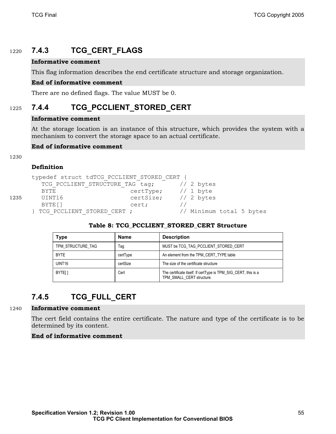# <sup>1220</sup>**7.4.3 TCG\_CERT\_FLAGS**

#### **Informative comment**

This flag information describes the end certificate structure and storage organization.

#### **End of informative comment**

There are no defined flags. The value MUST be 0.

# <sup>1225</sup>**7.4.4 TCG\_PCCLIENT\_STORED\_CERT**

### **Informative comment**

At the storage location is an instance of this structure, which provides the system with a mechanism to convert the storage space to an actual certificate.

### **End of informative comment**

1230

### **Definition**

|      | typedef struct tdTCG PCCLIENT STORED CERT { |                        |                          |
|------|---------------------------------------------|------------------------|--------------------------|
|      | TCG PCCLIENT STRUCTURE TAG tag;             |                        | // 2 bytes               |
|      | BYTE.                                       | $certType;$ // 1 byte  |                          |
| 1235 | UINT16                                      | certSize; $// 2 bytes$ |                          |
|      | BYTE <sup>[]</sup>                          | cert;                  |                          |
|      | TCG PCCLIENT STORED CERT ;                  |                        | // Minimum total 5 bytes |

### **Table 8: TCG\_PCCLIENT\_STORED\_CERT Structure**

| <b>Type</b>        | <b>Name</b>                                 | <b>Description</b>                                                                          |  |  |
|--------------------|---------------------------------------------|---------------------------------------------------------------------------------------------|--|--|
| TPM STRUCTURE TAG  | Tag<br>MUST be TCG_TAG_PCCLIENT_STORED_CERT |                                                                                             |  |  |
| <b>BYTE</b>        | certType                                    | An element from the TPM CERT TYPE table                                                     |  |  |
| UINT <sub>16</sub> | certSize                                    | The size of the certificate structure                                                       |  |  |
| BYTEI 1            | Cert                                        | The certificate itself. If certType is TPM_SIG_CERT, this is a<br>TPM SMALL CERT structure. |  |  |

# **7.4.5 TCG\_FULL\_CERT**

### 1240 **Informative comment**

The cert field contains the entire certificate. The nature and type of the certificate is to be determined by its content.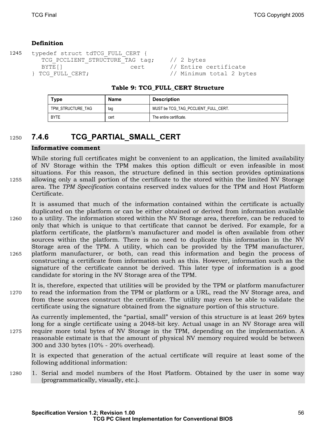#### **Definition**

1245 typedef struct tdTCG FULL CERT { TCG PCCLIENT STRUCTURE TAG tag; // 2 bytes BYTE[] cert // Entire certificate } TCG\_FULL\_CERT; // Minimum total 2 bytes

#### **Table 9: TCG\_FULL\_CERT Structure**

| <b>Type</b>       | Name | <b>Description</b>                  |
|-------------------|------|-------------------------------------|
| TPM STRUCTURE TAG | tag  | MUST be TCG TAG PCCLIENT FULL CERT. |
| <b>BYTE</b>       | cert | The entire certificate.             |

### 1250 **7.4.6 TCG PARTIAL SMALL CERT**

#### **Informative comment**

While storing full certificates might be convenient to an application, the limited availability of NV Storage within the TPM makes this option difficult or even infeasible in most situations. For this reason, the structure defined in this section provides optimizations 1255 allowing only a small portion of the certificate to the stored within the limited NV Storage area. The *TPM Specification* contains reserved index values for the TPM and Host Platform Certificate.

It is assumed that much of the information contained within the certificate is actually duplicated on the platform or can be either obtained or derived from information available 1260 to a utility. The information stored within the NV Storage area, therefore, can be reduced to only that which is unique to that certificate that cannot be derived. For example, for a platform certificate, the platform's manufacturer and model is often available from other sources within the platform. There is no need to duplicate this information in the NV Storage area of the TPM. A utility, which can be provided by the TPM manufacturer, 1265 platform manufacturer, or both, can read this information and begin the process of constructing a certificate from information such as this. However, information such as the signature of the certificate cannot be derived. This later type of information is a good candidate for storing in the NV Storage area of the TPM.

It is, therefore, expected that utilities will be provided by the TPM or platform manufacturer 1270 to read the information from the TPM or platform or a URL, read the NV Storage area, and from these sources construct the certificate. The utility may even be able to validate the certificate using the signature obtained from the signature portion of this structure.

As currently implemented, the "partial, small" version of this structure is at least 269 bytes long for a single certificate using a 2048-bit key. Actual usage in an NV Storage area will 1275 require more total bytes of NV Storage in the TPM, depending on the implementation. A reasonable estimate is that the amount of physical NV memory required would be between 300 and 330 bytes (10% - 20% overhead).

It is expected that generation of the actual certificate will require at least some of the following additional information:

1280 1. Serial and model numbers of the Host Platform. Obtained by the user in some way (programmatically, visually, etc.).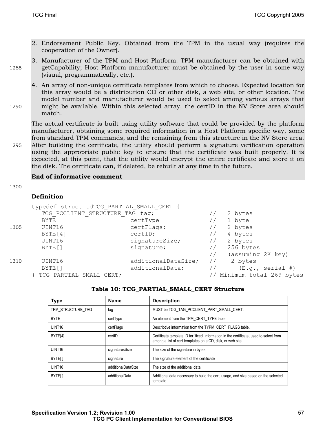- 2. Endorsement Public Key. Obtained from the TPM in the usual way (requires the cooperation of the Owner).
- 3. Manufacturer of the TPM and Host Platform. TPM manufacturer can be obtained with 1285 getCapability; Host Platform manufacturer must be obtained by the user in some way (visual, programmatically, etc.).
- 4. An array of non-unique certificate templates from which to choose. Expected location for this array would be a distribution CD or other disk, a web site, or other location. The model number and manufacturer would be used to select among various arrays that 1290 might be available. Within this selected array, the certID in the NV Store area should match.

The actual certificate is built using utility software that could be provided by the platform manufacturer, obtaining some required information in a Host Platform specific way, some from standard TPM commands, and the remaining from this structure in the NV Store area. 1295 After building the certificate, the utility should perform a signature verification operation using the appropriate public key to ensure that the certificate was built properly. It is expected, at this point, that the utility would encrypt the entire certificate and store it on the disk. The certificate can, if deleted, be rebuilt at any time in the future.

#### **End of informative comment**

#### 1300

#### **Definition**

|      | typedef struct tdTCG PARTIAL SMALL CERT { |                     |                            |
|------|-------------------------------------------|---------------------|----------------------------|
|      | TCG PCCLIENT STRUCTURE TAG tag;           |                     | 2 bytes                    |
|      | <b>BYTE</b>                               | certType            | 1 byte                     |
| 1305 | UINT16                                    | certFlags;          | 2 bytes                    |
|      | BYTE[4]                                   | certID;             | 4 bytes                    |
|      | UINT16                                    | signatureSize;      | 2 bytes                    |
|      | BYTE <sup>[]</sup>                        | signature;          | 256 bytes                  |
|      |                                           |                     | (assuming 2K key)          |
| 1310 | UINT16                                    | additionalDataSize; | // 2 bytes                 |
|      | BYTE <sup>[]</sup>                        | additionalData;     | $(E.q.,$ serial #)         |
|      | TCG PARTIAL SMALL CERT;                   |                     | // Minimum total 269 bytes |

#### **Table 10: TCG\_PARTIAL\_SMALL\_CERT Structure**

| <b>Type</b>        | <b>Name</b>        | <b>Description</b>                                                                                                                                    |  |
|--------------------|--------------------|-------------------------------------------------------------------------------------------------------------------------------------------------------|--|
| TPM STRUCTURE TAG  | tag                | MUST be TCG_TAG_PCCLIENT_PART_SMALL_CERT.                                                                                                             |  |
| <b>BYTE</b>        | certType           | An element from the TPM_CERT_TYPE table.                                                                                                              |  |
| UINT <sub>16</sub> | certFlags          | Descriptive information from the TYPM CERT FLAGS table.                                                                                               |  |
| BYTE[4]            | certID             | Certificate template ID for 'fixed' information in the certificate, used to select from<br>among a list of cert templates on a CD, disk, or web site. |  |
| UINT <sub>16</sub> | signaturesSize     | The size of the signature in bytes                                                                                                                    |  |
| BYTEI 1            | signature          | The signature element of the certificate                                                                                                              |  |
| UINT <sub>16</sub> | additionalDataSize | The size of the additional data.                                                                                                                      |  |
| BYTEI 1            | additionalData     | Additional data necessary to build the cert, usage, and size based on the selected<br>template                                                        |  |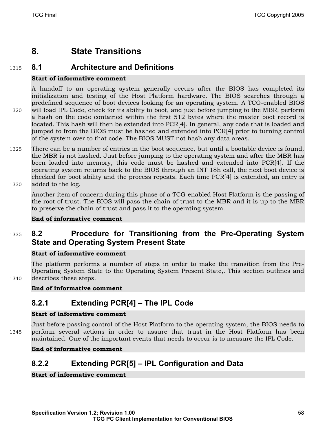# **8. State Transitions**

# <sup>1315</sup>**8.1 Architecture and Definitions**

### **Start of informative comment**

A handoff to an operating system generally occurs after the BIOS has completed its initialization and testing of the Host Platform hardware. The BIOS searches through a predefined sequence of boot devices looking for an operating system. A TCG-enabled BIOS 1320 will load IPL Code, check for its ability to boot, and just before jumping to the MBR, perform a hash on the code contained within the first 512 bytes where the master boot record is located. This hash will then be extended into PCR[4]. In general, any code that is loaded and jumped to from the BIOS must be hashed and extended into PCR[4] prior to turning control of the system over to that code. The BIOS MUST not hash any data areas.

1325 There can be a number of entries in the boot sequence, but until a bootable device is found, the MBR is not hashed. Just before jumping to the operating system and after the MBR has been loaded into memory, this code must be hashed and extended into PCR[4]. If the operating system returns back to the BIOS through an INT 18h call, the next boot device is checked for boot ability and the process repeats. Each time PCR[4] is extended, an entry is 1330 added to the log.

Another item of concern during this phase of a TCG-enabled Host Platform is the passing of the root of trust. The BIOS will pass the chain of trust to the MBR and it is up to the MBR to preserve the chain of trust and pass it to the operating system.

### **End of informative comment**

# <sup>1335</sup>**8.2 Procedure for Transitioning from the Pre-Operating System State and Operating System Present State**

### **Start of informative comment**

The platform performs a number of steps in order to make the transition from the Pre-Operating System State to the Operating System Present State,. This section outlines and 1340 describes these steps.

### **End of informative comment**

# **8.2.1 Extending PCR[4] – The IPL Code**

### **Start of informative comment**

Just before passing control of the Host Platform to the operating system, the BIOS needs to 1345 perform several actions in order to assure that trust in the Host Platform has been maintained. One of the important events that needs to occur is to measure the IPL Code.

### **End of informative comment**

# **8.2.2 Extending PCR[5] – IPL Configuration and Data**

### **Start of informative comment**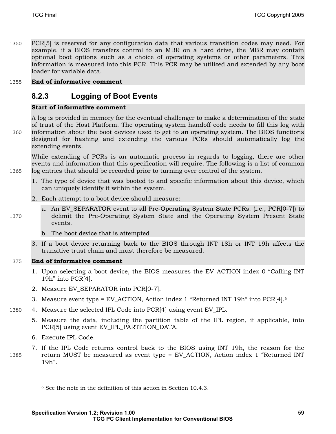1350 PCR[5] is reserved for any configuration data that various transition codes may need. For example, if a BIOS transfers control to an MBR on a hard drive, the MBR may contain optional boot options such as a choice of operating systems or other parameters. This information is measured into this PCR. This PCR may be utilized and extended by any boot loader for variable data.

### 1355 **End of informative comment**

# **8.2.3 Logging of Boot Events**

### **Start of informative comment**

A log is provided in memory for the eventual challenger to make a determination of the state of trust of the Host Platform. The operating system handoff code needs to fill this log with 1360 information about the boot devices used to get to an operating system. The BIOS functions designed for hashing and extending the various PCRs should automatically log the extending events.

While extending of PCRs is an automatic process in regards to logging, there are other events and information that this specification will require. The following is a list of common 1365 log entries that should be recorded prior to turning over control of the system.

- 1. The type of device that was booted to and specific information about this device, which can uniquely identify it within the system.
- 2. Each attempt to a boot device should measure:
- a. An EV\_SEPARATOR event to all Pre-Operating System State PCRs. (i.e., PCR[0-7]) to 1370 delimit the Pre-Operating System State and the Operating System Present State events.
	- b. The boot device that is attempted
	- 3. If a boot device returning back to the BIOS through INT 18h or INT 19h affects the transitive trust chain and must therefore be measured.

### 1375 **End of informative comment**

- 1. Upon selecting a boot device, the BIOS measures the EV\_ACTION index 0 "Calling INT 19h" into PCR[4].
- 2. Measure EV\_SEPARATOR into PCR[0-7].
- 3. Measure event type = EV ACTION, Action index 1 "Returned INT 19h" into PCR[4].<sup>6</sup>
- 1380 4. Measure the selected IPL Code into PCR[4] using event EV\_IPL.
	- 5. Measure the data, including the partition table of the IPL region, if applicable, into PCR[5] using event EV\_IPL\_PARTITION\_DATA.
	- 6. Execute IPL Code.

7. If the IPL Code returns control back to the BIOS using INT 19h, the reason for the 1385 return MUST be measured as event type = EV\_ACTION, Action index 1 "Returned INT 19h".

<sup>6</sup> See the note in the definition of this action in Section 10.4.3.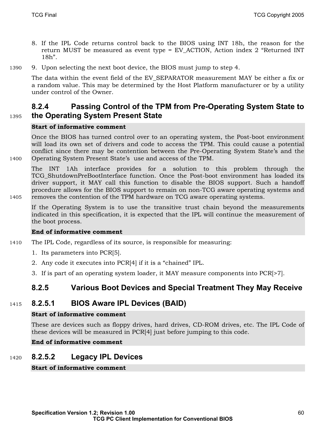- 8. If the IPL Code returns control back to the BIOS using INT 18h, the reason for the return MUST be measured as event type = EV\_ACTION, Action index 2 "Returned INT 18h".
- 1390 9. Upon selecting the next boot device, the BIOS must jump to step 4.

The data within the event field of the EV\_SEPARATOR measurement MAY be either a fix or a random value. This may be determined by the Host Platform manufacturer or by a utility under control of the Owner.

### **8.2.4 Passing Control of the TPM from Pre-Operating System State to**  <sup>1395</sup>**the Operating System Present State**

### **Start of informative comment**

Once the BIOS has turned control over to an operating system, the Post-boot environment will load its own set of drivers and code to access the TPM. This could cause a potential conflict since there may be contention between the Pre-Operating System State's and the 1400 Operating System Present State's use and access of the TPM.

The INT 1Ah interface provides for a solution to this problem through the TCG\_ShutdownPreBootInterface function. Once the Post-boot environment has loaded its driver support, it MAY call this function to disable the BIOS support. Such a handoff procedure allows for the BIOS support to remain on non-TCG aware operating systems and 1405 removes the contention of the TPM hardware on TCG aware operating systems.

If the Operating System is to use the transitive trust chain beyond the measurements indicated in this specification, it is expected that the IPL will continue the measurement of the boot process.

### **End of informative comment**

- 1410 The IPL Code, regardless of its source, is responsible for measuring:
	- 1. Its parameters into PCR[5].
	- 2. Any code it executes into PCR[4] if it is a "chained" IPL.
	- 3. If is part of an operating system loader, it MAY measure components into PCR[>7].

## **8.2.5 Various Boot Devices and Special Treatment They May Receive**

# <sup>1415</sup>**8.2.5.1 BIOS Aware IPL Devices (BAID)**

### **Start of informative comment**

These are devices such as floppy drives, hard drives, CD-ROM drives, etc. The IPL Code of these devices will be measured in PCR[4] just before jumping to this code.

### **End of informative comment**

# <sup>1420</sup>**8.2.5.2 Legacy IPL Devices**

### **Start of informative comment**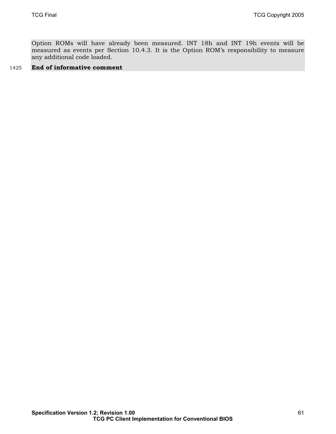Option ROMs will have already been measured. INT 18h and INT 19h events will be measured as events per Section 10.4.3. It is the Option ROM's responsibility to measure any additional code loaded.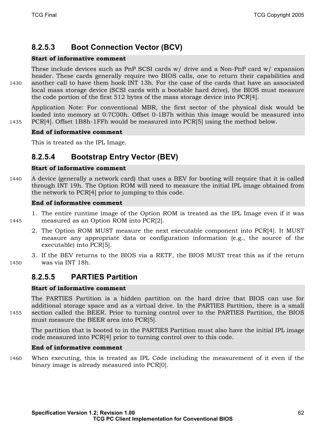# **8.2.5.3 Boot Connection Vector (BCV)**

### **Start of informative comment**

These include devices such as PnP SCSI cards w/ drive and a Non-PnP card w/ expansion header. These cards generally require two BIOS calls, one to return their capabilities and 1430 another call to have them hook INT 13h. For the case of the cards that have an associated local mass storage device (SCSI cards with a bootable hard drive), the BIOS must measure the code portion of the first 512 bytes of the mass storage device into PCR[4].

Application Note: For conventional MBR, the first sector of the physical disk would be loaded into memory at 0:7C00h. Offset 0-1B7h within this image would be measured into 1435 PCR[4]. Offset 1B8h-1FFh would be measured into PCR[5] using the method below.

### **End of informative comment**

This is treated as the IPL Image.

## **8.2.5.4 Bootstrap Entry Vector (BEV)**

#### **Start of informative comment**

1440 A device (generally a network card) that uses a BEV for booting will require that it is called through INT 19h. The Option ROM will need to measure the initial IPL image obtained from the network to PCR[4] prior to jumping to this code.

### **End of informative comment**

- 1. The entire runtime image of the Option ROM is treated as the IPL Image even if it was 1445 measured as an Option ROM into PCR[2].
	- 2. The Option ROM MUST measure the next executable component into PCR[4]. It MUST measure any appropriate data or configuration information (e.g., the source of the executable) into PCR[5].
- 3. If the BEV returns to the BIOS via a RETF, the BIOS MUST treat this as if the return 1450 was via INT 18h.

## **8.2.5.5 PARTIES Partition**

### **Start of informative comment**

The PARTIES Partition is a hidden partition on the hard drive that BIOS can use for additional storage space and as a virtual drive. In the PARTIES Partition, there is a small 1455 section called the BEER. Prior to turning control over to the PARTIES Partition, the BIOS must measure the BEER area into PCR[5].

The partition that is booted to in the PARTIES Partition must also have the initial IPL image code measured into PCR[4] prior to turning control over to this code.

### **End of informative comment**

1460 When executing, this is treated as IPL Code including the measurement of it even if the binary image is already measured into PCR[0].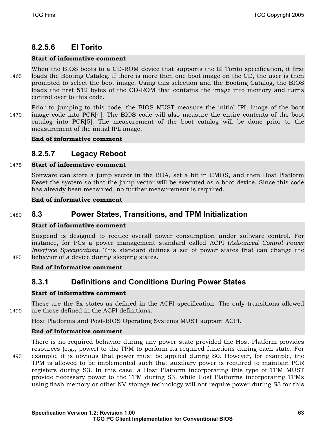# **8.2.5.6 El Torito**

### **Start of informative comment**

- When the BIOS boots to a CD-ROM device that supports the El Torito specification, it first 1465 loads the Booting Catalog. If there is more then one boot image on the CD, the user is then prompted to select the boot image. Using this selection and the Booting Catalog, the BIOS loads the first 512 bytes of the CD-ROM that contains the image into memory and turns control over to this code.
- Prior to jumping to this code, the BIOS MUST measure the initial IPL image of the boot 1470 image code into PCR[4]. The BIOS code will also measure the entire contents of the boot catalog into PCR[5]. The measurement of the boot catalog will be done prior to the measurement of the initial IPL image.

### **End of informative comment**

# **8.2.5.7 Legacy Reboot**

### 1475 **Start of informative comment**

Software can store a jump vector in the BDA, set a bit in CMOS, and then Host Platform Reset the system so that the jump vector will be executed as a boot device. Since this code has already been measured, no further measurement is required.

### **End of informative comment**

## <sup>1480</sup>**8.3 Power States, Transitions, and TPM Initialization**

### **Start of informative comment**

Suspend is designed to reduce overall power consumption under software control. For instance, for PCs a power management standard called ACPI (*Advanced Control Power Interface Specification*). This standard defines a set of power states that can change the 1485 behavior of a device during sleeping states.

### **End of informative comment**

## **8.3.1 Definitions and Conditions During Power States**

### **Start of informative comment**

These are the Sx states as defined in the ACPI specification. The only transitions allowed 1490 are those defined in the ACPI definitions.

Host Platforms and Post-BIOS Operating Systems MUST support ACPI.

### **End of informative comment**

There is no required behavior during any power state provided the Host Platform provides resources (e.g., power) to the TPM to perform its required functions during each state. For 1495 example, it is obvious that power must be applied during S0. However, for example, the TPM is allowed to be implemented such that auxiliary power is required to maintain PCR registers during S3. In this case, a Host Platform incorporating this type of TPM MUST provide necessary power to the TPM during S3, while Host Platforms incorporating TPMs using flash memory or other NV storage technology will not require power during S3 for this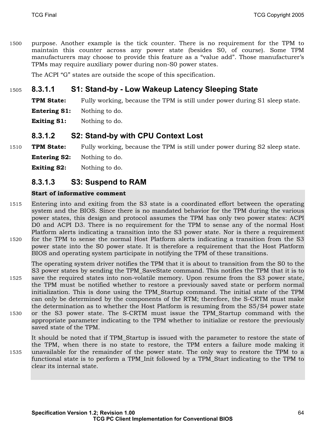1500 purpose. Another example is the tick counter. There is no requirement for the TPM to maintain this counter across any power state (besides S0, of course). Some TPM manufacturers may choose to provide this feature as a "value add". Those manufacturer's TPMs may require auxiliary power during non-S0 power states.

The ACPI "G" states are outside the scope of this specification.

### <sup>1505</sup>**8.3.1.1 S1: Stand-by - Low Wakeup Latency Sleeping State**

- **TPM State:** Fully working, because the TPM is still under power during S1 sleep state.
- **Entering S1:** Nothing to do.
- **Exiting S1:** Nothing to do.

### **8.3.1.2 S2: Stand-by with CPU Context Lost**

- 1510 **TPM State:** Fully working, because the TPM is still under power during S2 sleep state.
	- **Entering S2:** Nothing to do.
	- **Exiting S2:** Nothing to do.

### **8.3.1.3 S3: Suspend to RAM**

#### **Start of informative comment**

1515 Entering into and exiting from the S3 state is a coordinated effort between the operating system and the BIOS. Since there is no mandated behavior for the TPM during the various power states, this design and protocol assumes the TPM has only two power states: ACPI D0 and ACPI D3. There is no requirement for the TPM to sense any of the normal Host Platform alerts indicating a transition into the S3 power state. Nor is there a requirement 1520 for the TPM to sense the normal Host Platform alerts indicating a transition from the S3 power state into the S0 power state. It is therefore a requirement that the Host Platform BIOS and operating system participate in notifying the TPM of these transitions.

The operating system driver notifies the TPM that it is about to transition from the S0 to the S3 power states by sending the TPM\_SaveState command. This notifies the TPM that it is to 1525 save the required states into non-volatile memory. Upon resume from the S3 power state, the TPM must be notified whether to restore a previously saved state or perform normal initialization. This is done using the TPM\_Startup command. The initial state of the TPM can only be determined by the components of the RTM; therefore, the S-CRTM must make the determination as to whether the Host Platform is resuming from the S5/S4 power state 1530 or the S3 power state. The S-CRTM must issue the TPM\_Startup command with the appropriate parameter indicating to the TPM whether to initialize or restore the previously saved state of the TPM.

It should be noted that if TPM\_Startup is issued with the parameter to restore the state of the TPM, when there is no state to restore, the TPM enters a failure mode making it 1535 unavailable for the remainder of the power state. The only way to restore the TPM to a functional state is to perform a TPM\_Init followed by a TPM\_Start indicating to the TPM to clear its internal state.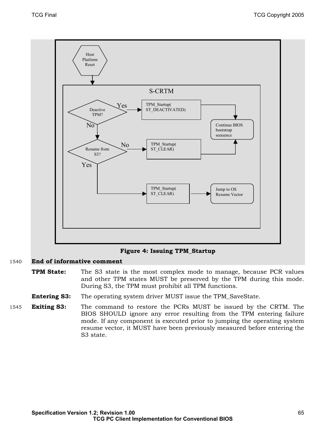

- **TPM State:** The S3 state is the most complex mode to manage, because PCR values and other TPM states MUST be preserved by the TPM during this mode. During S3, the TPM must prohibit all TPM functions.
- **Entering S3:** The operating system driver MUST issue the TPM\_SaveState.
- 1545 **Exiting S3:** The command to restore the PCRs MUST be issued by the CRTM. The BIOS SHOULD ignore any error resulting from the TPM entering failure mode. If any component is executed prior to jumping the operating system resume vector, it MUST have been previously measured before entering the S3 state.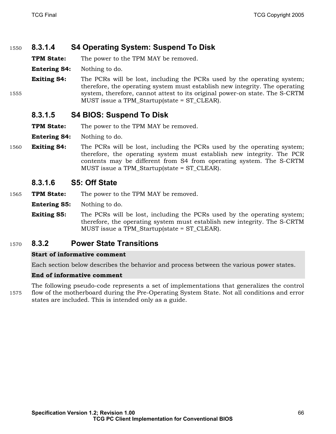### <sup>1550</sup>**8.3.1.4 S4 Operating System: Suspend To Disk**

**TPM State:** The power to the TPM MAY be removed.

**Entering S4:** Nothing to do.

**Exiting S4:** The PCRs will be lost, including the PCRs used by the operating system; therefore, the operating system must establish new integrity. The operating 1555 system, therefore, cannot attest to its original power-on state. The S-CRTM MUST issue a TPM\_Startup(state = ST\_CLEAR).

### **8.3.1.5 S4 BIOS: Suspend To Disk**

**TPM State:** The power to the TPM MAY be removed.

**Entering S4:** Nothing to do.

1560 **Exiting S4:** The PCRs will be lost, including the PCRs used by the operating system; therefore, the operating system must establish new integrity. The PCR contents may be different from S4 from operating system. The S-CRTM MUST issue a TPM\_Startup(state = ST\_CLEAR).

### **8.3.1.6 S5: Off State**

1565 **TPM State:** The power to the TPM MAY be removed.

**Entering S5:** Nothing to do.

**Exiting S5:** The PCRs will be lost, including the PCRs used by the operating system; therefore, the operating system must establish new integrity. The S-CRTM MUST issue a TPM\_Startup(state = ST\_CLEAR).

### <sup>1570</sup>**8.3.2 Power State Transitions**

#### **Start of informative comment**

Each section below describes the behavior and process between the various power states.

### **End of informative comment**

The following pseudo-code represents a set of implementations that generalizes the control 1575 flow of the motherboard during the Pre-Operating System State. Not all conditions and error states are included. This is intended only as a guide.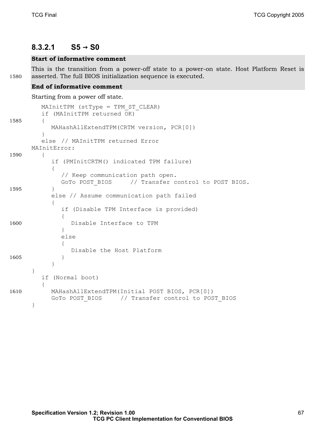### **8.3.2.1 S5** → **S0**

#### **Start of informative comment**

This is the transition from a power-off state to a power-on state. Host Platform Reset is 1580 asserted. The full BIOS initialization sequence is executed.

```
Starting from a power off state.
```

```
 MAInitTPM (stType = TPM_ST_CLEAR) 
          if (MAInitTPM returned OK) 
1585 { 
             MAHashAllExtendTPM(CRTM version, PCR[0]) 
          } 
          else // MAInitTPM returned Error 
      MAInitError: 
1590 { 
             if (PMInitCRTM() indicated TPM failure) 
       \left\{\begin{array}{ccc} \end{array}\right\} // Keep communication path open. 
               GoTo POST BIOS // Transfer control to POST BIOS.
1595 } 
             else // Assume communication path failed 
       \left\{\begin{array}{ccc} \end{array}\right\} if (Disable TPM Interface is provided) 
       \{1600 Disable Interface to TPM 
        } 
                else 
       \{ Disable the Host Platform 
1605 } 
              } 
      } 
          if (Normal boot) 
           { 
1610 MAHashAllExtendTPM(Initial POST BIOS, PCR[0]) 
            GoTo POST BIOS // Transfer control to POST BIOS
       }
```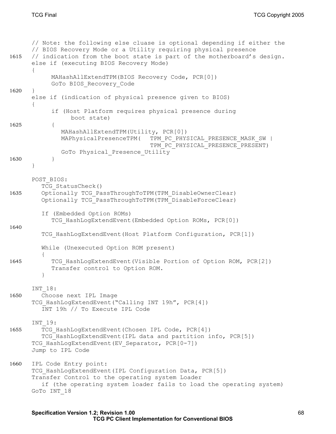```
// Note: the following else cluase is optional depending if either the 
      // BIOS Recovery Mode or a Utility requiring physical presence 
1615 // indication from the boot state is part of the motherboard's design.
      else if (executing BIOS Recovery Mode) 
      { 
            MAHashAllExtendTPM(BIOS Recovery Code, PCR[0]) 
            GoTo BIOS_Recovery_Code 
1620 } 
      else if (indication of physical presence given to BIOS) 
      { 
             if (Host Platform requires physical presence during 
                  boot state) 
1625 { 
               MAHashAllExtendTPM(Utility, PCR[0]) 
              MAPhysicalPresenceTPM( TPM PC PHYSICAL PRESENCE MASK SW |
                                        TPM_PC_PHYSICAL_PRESENCE_PRESENT)
               GoTo Physical_Presence_Utility 
1630 } 
      } 
      POST_BIOS: 
          TCG_StatusCheck() 
1635 Optionally TCG_PassThroughToTPM(TPM_DisableOwnerClear) 
          Optionally TCG_PassThroughToTPM(TPM_DisableForceClear) 
          If (Embedded Option ROMs) 
           TCG HashLogExtendEvent(Embedded Option ROMs, PCR[0])
1640 
         TCG HashLogExtendEvent(Host Platform Configuration, PCR[1])
          While (Unexecuted Option ROM present) 
          { 
1645 TCG_HashLogExtendEvent(Visible Portion of Option ROM, PCR[2]) 
            Transfer control to Option ROM. 
          } 
      INT_18: 
1650 Choose next IPL Image 
      TCG HashLogExtendEvent("Calling INT 19h", PCR[4])
          INT 19h // To Execute IPL Code 
      INT_19: 
1655 TCG_HashLogExtendEvent(Chosen IPL Code, PCR[4]) 
         TCG HashLogExtendEvent(IPL data and partition info, PCR[5])
      TCG_HashLogExtendEvent(EV_Separator, PCR[0-7])
      Jump to IPL Code 
1660 IPL Code Entry point: 
      TCG HashLogExtendEvent(IPL Configuration Data, PCR[5])
      Transfer Control to the operating system Loader 
          if (the operating system loader fails to load the operating system) 
      GoTo INT_18
```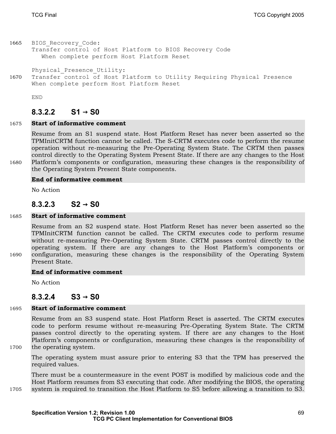1665 BIOS Recovery Code: Transfer control of Host Platform to BIOS Recovery Code When complete perform Host Platform Reset

Physical Presence Utility:

1670 Transfer control of Host Platform to Utility Requiring Physical Presence When complete perform Host Platform Reset

END

### **8.3.2.2 S1** → **S0**

1675 **Start of informative comment** 

Resume from an S1 suspend state. Host Platform Reset has never been asserted so the TPMInitCRTM function cannot be called. The S-CRTM executes code to perform the resume operation without re-measuring the Pre-Operating System State. The CRTM then passes control directly to the Operating System Present State. If there are any changes to the Host 1680 Platform's components or configuration, measuring these changes is the responsibility of the Operating System Present State components.

#### **End of informative comment**

No Action

### $8.3.2.3$   $S2 \rightarrow S0$

1685 **Start of informative comment** 

Resume from an S2 suspend state. Host Platform Reset has never been asserted so the TPMInitCRTM function cannot be called. The CRTM executes code to perform resume without re-measuring Pre-Operating System State. CRTM passes control directly to the operating system. If there are any changes to the Host Platform's components or 1690 configuration, measuring these changes is the responsibility of the Operating System Present State.

#### **End of informative comment**

No Action

### $8.3.2.4$   $S3 \rightarrow S0$

#### 1695 **Start of informative comment**

Resume from an S3 suspend state. Host Platform Reset is asserted. The CRTM executes code to perform resume without re-measuring Pre-Operating System State. The CRTM passes control directly to the operating system. If there are any changes to the Host Platform's components or configuration, measuring these changes is the responsibility of 1700 the operating system.

The operating system must assure prior to entering S3 that the TPM has preserved the required values.

There must be a countermeasure in the event POST is modified by malicious code and the Host Platform resumes from S3 executing that code. After modifying the BIOS, the operating 1705 system is required to transition the Host Platform to S5 before allowing a transition to S3.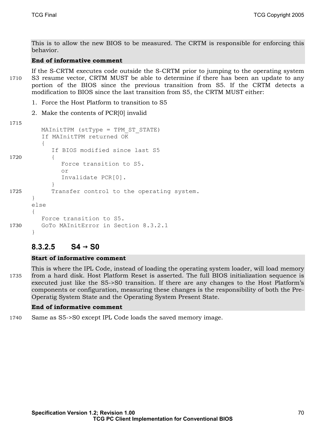This is to allow the new BIOS to be measured. The CRTM is responsible for enforcing this behavior.

### **End of informative comment**

If the S-CRTM executes code outside the S-CRTM prior to jumping to the operating system 1710 S3 resume vector, CRTM MUST be able to determine if there has been an update to any portion of the BIOS since the previous transition from S5. If the CRTM detects a modification to BIOS since the last transition from S5, the CRTM MUST either:

- 1. Force the Host Platform to transition to S5
- 2. Make the contents of PCR[0] invalid

```
1715 
         MAInitTPM (stType = TPM ST STATE)
          If MAInitTPM returned OK 
          { 
             If BIOS modified since last S5 
1720 { 
                Force transition to S5. 
                or 
                Invalidate PCR[0]. 
             } 
1725 Transfer control to the operating system. 
      } 
      else 
      { 
          Force transition to S5. 
1730 GoTo MAInitError in Section 8.3.2.1 
      }
```
## **8.3.2.5 S4** → **S0**

### **Start of informative comment**

This is where the IPL Code, instead of loading the operating system loader, will load memory 1735 from a hard disk. Host Platform Reset is asserted. The full BIOS initialization sequence is executed just like the S5->S0 transition. If there are any changes to the Host Platform's components or configuration, measuring these changes is the responsibility of both the Pre-Operatig System State and the Operating System Present State.

### **End of informative comment**

1740 Same as S5->S0 except IPL Code loads the saved memory image.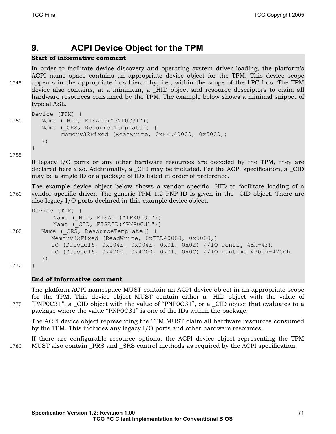# **9. ACPI Device Object for the TPM**

### **Start of informative comment**

In order to facilitate device discovery and operating system driver loading, the platform's ACPI name space contains an appropriate device object for the TPM. This device scope 1745 appears in the appropriate bus hierarchy; i.e., within the scope of the LPC bus. The TPM device also contains, at a minimum, a \_HID object and resource descriptors to claim all hardware resources consumed by the TPM. The example below shows a minimal snippet of typical ASL.

```
Device (TPM) { 
1750 Name (HID, EISAID("PNP0C31"))
         Name ( CRS, ResourceTemplate() {
                Memory32Fixed (ReadWrite, 0xFED40000, 0x5000,) 
          }) 
      } 
1755
```
If legacy I/O ports or any other hardware resources are decoded by the TPM, they are declared here also. Additionally, a \_CID may be included. Per the ACPI specification, a \_CID may be a single ID or a package of IDs listed in order of preference.

The example device object below shows a vendor specific \_HID to facilitate loading of a 1760 vendor specific driver. The generic TPM 1.2 PNP ID is given in the \_CID object. There are also legacy I/O ports declared in this example device object.

```
Device (TPM) { 
            Name ( HID, EISAID("IFX0101"))
            Name (CID, EISAID("PNP0C31"))
1765 Name (CRS, ResourceTemplate) {
            Memory32Fixed (ReadWrite, 0xFED40000, 0x5000,) 
            IO (Decode16, 0x004E, 0x004E, 0x01, 0x02) //IO config 4Eh-4Fh 
            IO (Decode16, 0x4700, 0x4700, 0x01, 0x0C) //IO runtime 4700h-470Ch 
          }) 
1770 }
```
### **End of informative comment**

The platform ACPI namespace MUST contain an ACPI device object in an appropriate scope for the TPM. This device object MUST contain either a \_HID object with the value of 1775 "PNP0C31", a \_CID object with the value of "PNP0C31", or a \_CID object that evaluates to a package where the value "PNP0C31" is one of the IDs within the package.

The ACPI device object representing the TPM MUST claim all hardware resources consumed by the TPM. This includes any legacy I/O ports and other hardware resources.

If there are configurable resource options, the ACPI device object representing the TPM 1780 MUST also contain \_PRS and \_SRS control methods as required by the ACPI specification.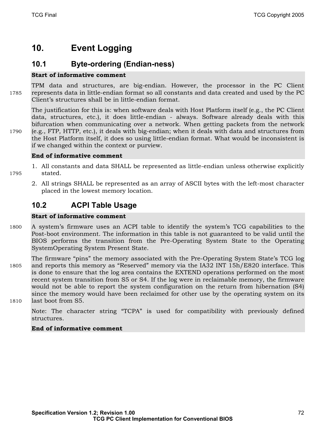# **10. Event Logging**

# **10.1 Byte-ordering (Endian-ness)**

### **Start of informative comment**

TPM data and structures, are big-endian. However, the processor in the PC Client 1785 represents data in little-endian format so all constants and data created and used by the PC Client's structures shall be in little-endian format.

The justification for this is: when software deals with Host Platform itself (e.g., the PC Client data, structures, etc.), it does little-endian - always. Software already deals with this bifurcation when communicating over a network. When getting packets from the network 1790 (e.g., FTP, HTTP, etc.), it deals with big-endian; when it deals with data and structures from the Host Platform itself, it does so using little-endian format. What would be inconsistent is if we changed within the context or purview.

### **End of informative comment**

- 1. All constants and data SHALL be represented as little-endian unless otherwise explicitly 1795 stated.
	- 2. All strings SHALL be represented as an array of ASCII bytes with the left-most character placed in the lowest memory location.

# **10.2 ACPI Table Usage**

### **Start of informative comment**

1800 A system's firmware uses an ACPI table to identify the system's TCG capabilities to the Post-boot environment. The information in this table is not guaranteed to be valid until the BIOS performs the transition from the Pre-Operating System State to the Operating SystemOperating System Present State.

The firmware "pins" the memory associated with the Pre-Operating System State's TCG log 1805 and reports this memory as "Reserved" memory via the IA32 INT 15h/E820 interface. This is done to ensure that the log area contains the EXTEND operations performed on the most recent system transition from S5 or S4. If the log were in reclaimable memory, the firmware would not be able to report the system configuration on the return from hibernation (S4) since the memory would have been reclaimed for other use by the operating system on its 1810 last boot from S5.

Note: The character string "TCPA" is used for compatibility with previously defined structures.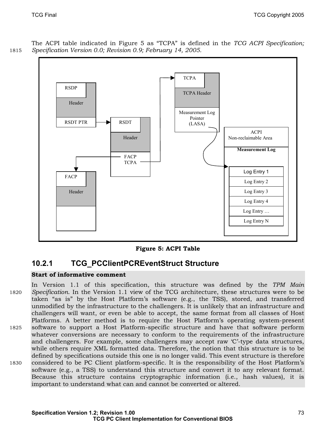The ACPI table indicated in Figure 5 as "TCPA" is defined in the *TCG ACPI Specification;*  1815 *Specification Version 0.0; Revision 0.9; February 14, 2005.*



**Figure 5: ACPI Table** 

### **10.2.1 TCG\_PCClientPCREventStruct Structure**

#### **Start of informative comment**

In Version 1.1 of this specification, this structure was defined by the *TPM Main*  1820 *Specification*. In the Version 1.1 view of the TCG architecture, these structures were to be taken "as is" by the Host Platform's software (e.g., the TSS), stored, and transferred unmodified by the infrastructure to the challengers. It is unlikely that an infrastructure and challengers will want, or even be able to accept, the same format from all classes of Host Platforms. A better method is to require the Host Platform's operating system-present 1825 software to support a Host Platform-specific structure and have that software perform whatever conversions are necessary to conform to the requirements of the infrastructure and challengers. For example, some challengers may accept raw 'C'-type data structures, while others require XML formatted data. Therefore, the notion that this structure is to be defined by specifications outside this one is no longer valid. This event structure is therefore 1830 considered to be PC Client platform-specific. It is the responsibility of the Host Platform's software (e.g., a TSS) to understand this structure and convert it to any relevant format. Because this structure contains cryptographic information (i.e., hash values), it is important to understand what can and cannot be converted or altered.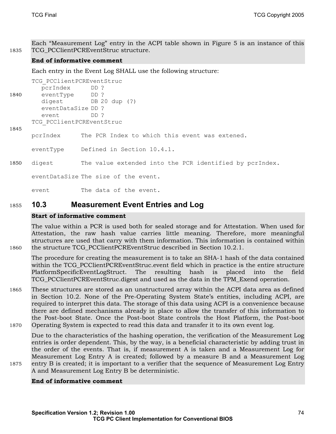Each "Measurement Log" entry in the ACPI table shown in Figure 5 is an instance of this 1835 TCG\_PCClientPCREventStruc structure.

#### **End of informative comment**

Each entry in the Event Log SHALL use the following structure:

TCG\_PCClientPCREventStruc pcrIndex DD ? 1840 eventType DD ? digest DB 20 dup (?) eventDataSize DD ? event DD ? TCG\_PCClientPCREventStruc 1845 pcrIndex The PCR Index to which this event was extened.

eventType Defined in Section 10.4.1.

1850 digest The value extended into the PCR identified by pcrIndex.

eventDataSize The size of the event.

event The data of the event.

#### <sup>1855</sup>**10.3 Measurement Event Entries and Log**

#### **Start of informative comment**

The value within a PCR is used both for sealed storage and for Attestation. When used for Attestation, the raw hash value carries little meaning. Therefore, more meaningful structures are used that carry with them information. This information is contained within 1860 the structure TCG\_PCClientPCREventStruc described in Section 10.2.1.

The procedure for creating the measurement is to take an SHA-1 hash of the data contained within the TCG\_PCClientPCREventStruc.event field which in practice is the entire structure PlatformSpecificEventLogStruct. The resulting hash is placed into the field TCG\_PCClientPCREventStruc.digest and used as the data in the TPM\_Exend operation.

1865 These structures are stored as an unstructured array within the ACPI data area as defined in Section 10.2. None of the Pre-Operating System State's entities, including ACPI, are required to interpret this data. The storage of this data using ACPI is a convenience because there are defined mechanisms already in place to allow the transfer of this information to the Post-boot State. Once the Post-boot State controls the Host Platform, the Post-boot 1870 Operating System is expected to read this data and transfer it to its own event log.

Due to the characteristics of the hashing operation, the verification of the Measurement Log entries is order dependent. This, by the way, is a beneficial characteristic by adding trust in the order of the events. That is, if measurement A is taken and a Measurement Log for Measurement Log Entry A is created; followed by a measure B and a Measurement Log 1875 entry B is created; it is important to a verifier that the sequence of Measurement Log Entry A and Measurement Log Entry B be deterministic.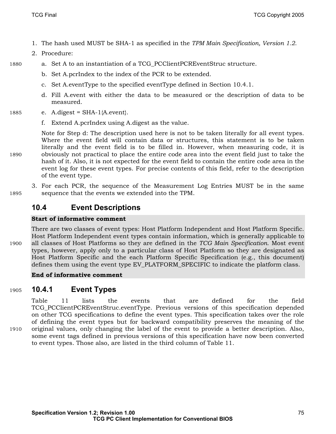- 1. The hash used MUST be SHA-1 as specified in the *TPM Main Specification, Version 1.2*.
- 2. Procedure:
- 1880 a. Set A to an instantiation of a TCG\_PCClientPCREventStruc structure.
	- b. Set A.pcrIndex to the index of the PCR to be extended.
	- c. Set A.eventType to the specified eventType defined in Section 10.4.1.
	- d. Fill A.event with either the data to be measured or the description of data to be measured.
- 1885 e. A.digest = SHA-1 $\{A$ .event $\}$ .
	- f. Extend A.pcrIndex using A.digest as the value.

Note for Step d: The description used here is not to be taken literally for all event types. Where the event field will contain data or structures, this statement is to be taken literally and the event field is to be filled in. However, when measuring code, it is 1890 obviously not practical to place the entire code area into the event field just to take the hash of it. Also, it is not expected for the event field to contain the entire code area in the event log for these event types. For precise contents of this field, refer to the description of the event type.

3. For each PCR, the sequence of the Measurement Log Entries MUST be in the same 1895 sequence that the events we extended into the TPM.

### **10.4 Event Descriptions**

#### **Start of informative comment**

There are two classes of event types: Host Platform Independent and Host Platform Specific. Host Platform Independent event types contain information, which is generally applicable to 1900 all classes of Host Platforms so they are defined in the *TCG Main Specification*. Most event types, however, apply only to a particular class of Host Platform so they are designated as Host Platform Specific and the each Platform Specific Specification (e.g., this document) defines them using the event type EV\_PLATFORM\_SPECIFIC to indicate the platform class.

#### **End of informative comment**

#### <sup>1905</sup>**10.4.1 Event Types**

Table 11 lists the events that are defined for the field TCG\_PCClientPCREventStruc.eventType. Previous versions of this specification depended on other TCG specifications to define the event types. This specification takes over the role of defining the event types but for backward compatibility preserves the meaning of the 1910 original values, only changing the label of the event to provide a better description. Also, some event tags defined in previous versions of this specification have now been converted to event types. Those also, are listed in the third column of Table 11.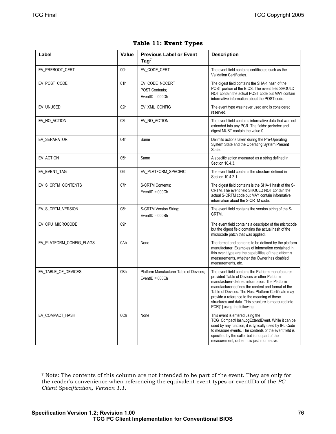$\overline{a}$ 

|  |  |  | Table 11: Event Types |
|--|--|--|-----------------------|
|--|--|--|-----------------------|

| Label                    | Value | <b>Previous Label or Event</b><br>Tag <sup>7</sup>           | <b>Description</b>                                                                                                                                                                                                                                                                                                                                                                                      |
|--------------------------|-------|--------------------------------------------------------------|---------------------------------------------------------------------------------------------------------------------------------------------------------------------------------------------------------------------------------------------------------------------------------------------------------------------------------------------------------------------------------------------------------|
| EV_PREBOOT_CERT          | 00h   | EV_CODE_CERT                                                 | The event field contains certificates such as the<br>Validation Certificates.                                                                                                                                                                                                                                                                                                                           |
| EV_POST_CODE             | 01h   | EV_CODE_NOCERT<br>POST Contents:<br>EventID = $000Dh$        | The digest field contains the SHA-1 hash of the<br>POST portion of the BIOS. The event field SHOULD<br>NOT contain the actual POST code but MAY contain<br>informative information about the POST code.                                                                                                                                                                                                 |
| EV_UNUSED                | 02h   | EV_XML_CONFIG                                                | The event type was never used and is considered<br>reserved.                                                                                                                                                                                                                                                                                                                                            |
| EV_NO_ACTION             | 03h   | EV_NO_ACTION                                                 | The event field contains informative data that was not<br>extended into any PCR. The fields: pcrindex and<br>digest MUST contain the value 0.                                                                                                                                                                                                                                                           |
| EV_SEPARATOR             | 04h   | Same                                                         | Delimits actions taken during the Pre-Operating<br>System State and the Operating System Present<br>State.                                                                                                                                                                                                                                                                                              |
| EV_ACTION                | 05h   | Same                                                         | A specific action measured as a string defined in<br>Section 10.4.3.                                                                                                                                                                                                                                                                                                                                    |
| EV_EVENT_TAG             | 06h   | EV_PLATFORM_SPECIFIC                                         | The event field contains the structure defined in<br>Section 10.4.2.1.                                                                                                                                                                                                                                                                                                                                  |
| EV S CRTM CONTENTS       | 07h   | S-CRTM Contents:<br>EventID = $000Ch$                        | The digest field contains is the SHA-1 hash of the S-<br>CRTM. The event field SHOULD NOT contain the<br>actual S-CRTM code but MAY contain informative<br>information about the S-CRTM code.                                                                                                                                                                                                           |
| EV S CRTM VERSION        | 08h   | S-CRTM Version String;<br>EventID = $000Bh$                  | The event field contains the version string of the S-<br>CRTM.                                                                                                                                                                                                                                                                                                                                          |
| EV_CPU_MICROCODE         | 09h   |                                                              | The event field contains a descriptor of the microcode<br>but the digest field contains the actual hash of the<br>microcode patch that was applied.                                                                                                                                                                                                                                                     |
| EV_PLATFORM_CONFIG_FLAGS | 0Ah   | None                                                         | The format and contents to be defined by the platform<br>manufacturer. Examples of information contained in<br>this event type are the capabilities of the platform's<br>measurements, whether the Owner has disabled<br>measurements, etc.                                                                                                                                                             |
| EV_TABLE_OF_DEVICES      | 0Bh   | Platform Manufacturer Table of Devices;<br>EventID = $000Eh$ | The event field contains the Platform manufacturer-<br>provided Table of Devices or other Platform<br>manufacturer-defined information. The Platform<br>manufacturer defines the content and format of the<br>Table of Devices. The Host Platform Certificate may<br>provide a reference to the meaning of these<br>structures and data. This structure is measured into<br>PCR[1] using the following. |
| EV COMPACT HASH          | 0Ch   | None                                                         | This event is entered using the<br>TCG_CompactHashLogExtendEvent. While it can be<br>used by any function, it is typically used by IPL Code<br>to measure events. The contents of the event field is<br>specified by the caller but is not part of the<br>measurement; rather, it is just informative.                                                                                                  |

<sup>7</sup> Note: The contents of this column are not intended to be part of the event. They are only for the reader's convenience when referencing the equivalent event types or eventIDs of the *PC Client Specification, Version 1.1*.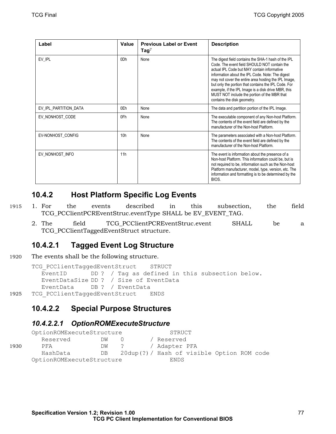| Label                 | <b>Value</b>    | <b>Previous Label or Event</b><br>Tag $7$ | <b>Description</b>                                                                                                                                                                                                                                                                                                                                                                                                                                           |
|-----------------------|-----------------|-------------------------------------------|--------------------------------------------------------------------------------------------------------------------------------------------------------------------------------------------------------------------------------------------------------------------------------------------------------------------------------------------------------------------------------------------------------------------------------------------------------------|
| EV IPL                | 0 <sub>Dh</sub> | None                                      | The digest field contains the SHA-1 hash of the IPL<br>Code. The event field SHOULD NOT contain the<br>actual IPL Code but MAY contain informative<br>information about the IPL Code. Note: The digest<br>may not cover the entire area hosting the IPL Image,<br>but only the portion that contains the IPL Code. For<br>example, if the IPL Image is a disk drive MBR, this<br>MUST NOT include the portion of the MBR that<br>contains the disk geometry. |
| EV IPL PARTITION DATA | 0Eh             | None                                      | The data and partition portion of the IPL Image.                                                                                                                                                                                                                                                                                                                                                                                                             |
| EV_NONHOST_CODE       | 0Fh             | None                                      | The executable component of any Non-host Platform.<br>The contents of the event field are defined by the<br>manufacturer of the Non-host Platform                                                                                                                                                                                                                                                                                                            |
| EV-NONHOST CONFIG     | 10 <sub>h</sub> | None                                      | The parameters associated with a Non-host Platform.<br>The contents of the event field are defined by the<br>manufacturer of the Non-host Platform.                                                                                                                                                                                                                                                                                                          |
| EV NONHOST INFO       | 11h             |                                           | The event is information about the presence of a<br>Non-host Platform. This information could be, but is<br>not required to be, information such as the Non-host<br>Platform manufacturer, model, type, version, etc. The<br>information and formatting is to be determined by the<br>BIOS.                                                                                                                                                                  |

# **10.4.2 Host Platform Specific Log Events**

- 1915 1. For the events described in this subsection, the field TCG\_PCClientPCREventStruc.eventType SHALL be EV\_EVENT\_TAG.
	- 2. The field TCG\_PCClientPCREventStruc.event SHALL be a TCG\_PCClientTaggedEventStruct structure.

# **10.4.2.1 Tagged Event Log Structure**

1920 The events shall be the following structure.

```
TCG PCClientTaggedEventStruct STRUCT
         EventID DD ? / Tag as defined in this subsection below. 
         EventDataSize DD ? / Size of EventData 
         EventData DB ? / EventData 
1925 TCG_PCClientTaggedEventStruct ENDS
```
### **10.4.2.2 Special Purpose Structures**

### *10.4.2.2.1 OptionROMExecuteStructure*

|      | OptionROMExecuteStructure |    |            | STRUCT                                     |
|------|---------------------------|----|------------|--------------------------------------------|
|      | Reserved                  | DM |            | Reserved                                   |
| 1930 | PFA                       | DM | $\ddot{?}$ | / Adapter PFA                              |
|      | HashData                  | DB |            | 20dup(?) / Hash of visible Option ROM code |
|      | OptionROMExecuteStructure |    |            | ENDS                                       |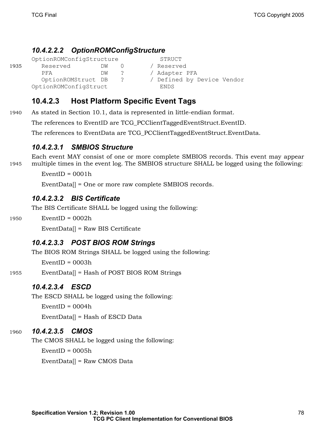## *10.4.2.2.2 OptionROMConfigStructure*

|      | OptionROMConfigStructure |    |               | STRUCT                   |
|------|--------------------------|----|---------------|--------------------------|
| 1935 | Reserved                 | DM |               | Reserved                 |
|      | PFA                      | DM | -2            | / Adapter PFA            |
|      | OptionROMStruct DB       |    | $\mathcal{L}$ | Defined by Device Vendor |
|      | OptionROMConfigStruct    |    |               | ENDS                     |

# **10.4.2.3 Host Platform Specific Event Tags**

1940 As stated in Section 10.1, data is represented in little-endian format.

The references to EventID are TCG\_PCClientTaggedEventStruct.EventID.

The references to EventData are TCG\_PCClientTaggedEventStruct.EventData.

#### *10.4.2.3.1 SMBIOS Structure*

Each event MAY consist of one or more complete SMBIOS records. This event may appear 1945 multiple times in the event log. The SMBIOS structure SHALL be logged using the following:

 $EventID = 0001h$ 

EventData[] = One or more raw complete SMBIOS records.

#### *10.4.2.3.2 BIS Certificate*

The BIS Certificate SHALL be logged using the following:

1950 EventID = 0002h

EventData[] = Raw BIS Certificate

### *10.4.2.3.3 POST BIOS ROM Strings*

The BIOS ROM Strings SHALL be logged using the following:

 $EventID = 0003h$ 

1955 EventData[] = Hash of POST BIOS ROM Strings

### *10.4.2.3.4 ESCD*

The ESCD SHALL be logged using the following:

 $EventID = 0004h$ 

EventData[] = Hash of ESCD Data

#### <sup>1960</sup>*10.4.2.3.5 CMOS*

The CMOS SHALL be logged using the following:

 $EventID = 0005h$ 

EventData[] = Raw CMOS Data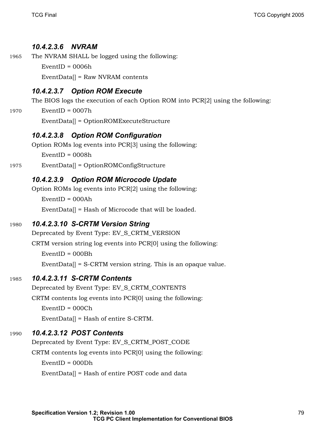### *10.4.2.3.6 NVRAM*

1965 The NVRAM SHALL be logged using the following:  $EventID = 0006h$ 

EventData[] = Raw NVRAM contents

### *10.4.2.3.7 Option ROM Execute*

The BIOS logs the execution of each Option ROM into PCR[2] using the following:

1970 EventID = 0007h

EventData[] = OptionROMExecuteStructure

### *10.4.2.3.8 Option ROM Configuration*

Option ROMs log events into PCR[3] using the following:  $EventID = 0008h$ 

1975 EventData[] = OptionROMConfigStructure

### *10.4.2.3.9 Option ROM Microcode Update*

Option ROMs log events into PCR[2] using the following:

 $EventID = 000Ah$ 

EventData[] = Hash of Microcode that will be loaded.

### <sup>1980</sup>*10.4.2.3.10 S-CRTM Version String*

Deprecated by Event Type: EV\_S\_CRTM\_VERSION

CRTM version string log events into PCR[0] using the following:

 $EventID = 000Bh$ 

EventData[] = S-CRTM version string. This is an opaque value.

### <sup>1985</sup>*10.4.2.3.11 S-CRTM Contents*

Deprecated by Event Type: EV\_S\_CRTM\_CONTENTS CRTM contents log events into PCR[0] using the following:  $EventID = 000Ch$ EventData[] = Hash of entire S-CRTM.

### <sup>1990</sup>*10.4.2.3.12 POST Contents*

Deprecated by Event Type: EV\_S\_CRTM\_POST\_CODE CRTM contents log events into PCR[0] using the following:  $EventID = 000Dh$ EventData[] = Hash of entire POST code and data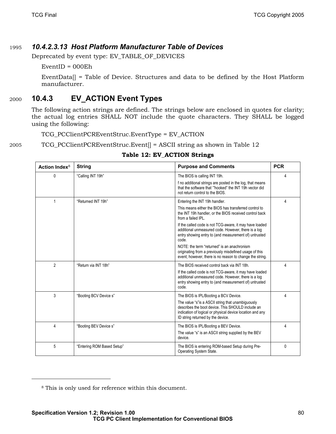#### <sup>1995</sup>*10.4.2.3.13 Host Platform Manufacturer Table of Devices*

Deprecated by event type: EV\_TABLE\_OF\_DEVICES

 $EventID = 000Eh$ 

 EventData[] = Table of Device. Structures and data to be defined by the Host Platform manufacturer.

### <sup>2000</sup>**10.4.3 EV\_ACTION Event Types**

The following action strings are defined. The strings below are enclosed in quotes for clarity; the actual log entries SHALL NOT include the quote characters. They SHALL be logged using the following:

TCG\_PCClientPCREventStruc.EventType = EV\_ACTION

2005 TCG\_PCClientPCREventStruc.Event[] = ASCII string as shown in Table 12

| <b>Action Index<sup>8</sup></b> | <b>String</b>              | <b>Purpose and Comments</b>                                                                                                                                                                                                                                                                | <b>PCR</b> |
|---------------------------------|----------------------------|--------------------------------------------------------------------------------------------------------------------------------------------------------------------------------------------------------------------------------------------------------------------------------------------|------------|
| 0                               | "Calling INT 19h"          | The BIOS is calling INT 19h.<br>f no additional strings are posted in the log, that means<br>that the software that "hooked" the INT 19h vector did<br>not return control to the BIOS.                                                                                                     | 4          |
| 1                               | "Returned INT 19h"         | Entering the INT 19h handler.<br>This means either the BIOS has transferred control to<br>the INT 19h handler, or the BIOS received control back<br>from a failed IPL.<br>If the called code is not TCG-aware, it may have loaded                                                          | 4          |
|                                 |                            | additional unmeasured code. However, there is a log<br>entry showing entry to (and measurement of) untrusted<br>code.<br>NOTE: the term "returned" is an anachronism<br>originating from a previously misdefined usage of this<br>event; however, there is no reason to change the string. |            |
| $\overline{2}$                  | "Return via INT 18h"       | The BIOS received control back via INT 18h.<br>If the called code is not TCG-aware, it may have loaded<br>additional unmeasured code. However, there is a log<br>entry showing entry to (and measurement of) untrusted<br>code.                                                            | 4          |
| 3                               | "Booting BCV Device s"     | The BIOS is IPL/Booting a BCV Device.<br>The value "s" is a ASCII string that unambiquously<br>describes the boot device. This SHOULD include an<br>indication of logical or physical device location and any<br>ID string returned by the device.                                         | 4          |
| 4                               | "Booting BEV Device s"     | The BIOS is IPL/Booting a BEV Device.<br>The value "s" is an ASCII string supplied by the BEV<br>device.                                                                                                                                                                                   | 4          |
| 5                               | "Entering ROM Based Setup" | The BIOS is entering ROM-based Setup during Pre-<br>Operating System State.                                                                                                                                                                                                                | 0          |

#### **Table 12: EV\_ACTION Strings**

<sup>8</sup> This is only used for reference within this document.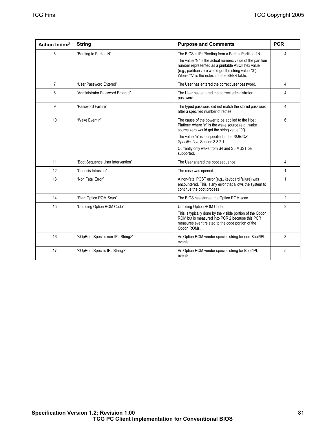| Action Index <sup>8</sup> | <b>String</b>                                       | <b>Purpose and Comments</b>                                                                                                                                                                                                                                                                         | <b>PCR</b>     |
|---------------------------|-----------------------------------------------------|-----------------------------------------------------------------------------------------------------------------------------------------------------------------------------------------------------------------------------------------------------------------------------------------------------|----------------|
| 6                         | "Booting to Parties N"                              | The BIOS is IPL/Booting from a Parties Partition #N.<br>The value "N" is the actual numeric value of the partition<br>number represented as a printable ASCII hex value<br>(e.g., partition zero would get the string value "0").<br>Where "N" is the index into the BEER table.                    | 4              |
| $\overline{7}$            | "User Password Entered"                             | The User has entered the correct user password.                                                                                                                                                                                                                                                     | 4              |
| 8                         | "Administrator Password Entered"                    | The User has entered the correct administrator<br>password.                                                                                                                                                                                                                                         | 4              |
| 9                         | "Password Failure"                                  | The typed password did not match the stored password<br>after a specified number of retries.                                                                                                                                                                                                        | 4              |
| 10                        | "Wake Event n"                                      | The cause of the power to be applied to the Host<br>Platform where "n" is the wake source (e.g., wake<br>source zero would get the string value "0").<br>The value "n" is as specified in the SMBIOS<br>Specification, Section 3.3.2.1.<br>Currently only wake from S4 and S5 MUST be<br>supported. | 6              |
| 11                        | "Boot Sequence User Intervention"                   | The User altered the boot sequence.                                                                                                                                                                                                                                                                 | 4              |
| 12                        | "Chassis Intrusion"                                 | The case was opened.                                                                                                                                                                                                                                                                                | $\mathbf{1}$   |
| 13                        | "Non Fatal Error"                                   | A non-fatal POST error (e.g., keyboard failure) was<br>encountered. This is any error that allows the system to<br>continue the boot process                                                                                                                                                        | $\mathbf{1}$   |
| 14                        | "Start Option ROM Scan"                             | The BIOS has started the Option ROM scan.                                                                                                                                                                                                                                                           | 2              |
| 15                        | "Unhiding Option ROM Code"                          | Unhiding Option ROM Code.<br>This is typically done by the visible portion of the Option<br>ROM but is measured into PCR 2 because this PCR<br>measures event related to the code portion of the<br>Option ROMs.                                                                                    | $\overline{2}$ |
| 16                        | " <oprom non-ipl="" specific="" string="">"</oprom> | An Option ROM vendor specific string for non-Boot/IPL<br>events.                                                                                                                                                                                                                                    | 3              |
| 17                        | " <oprom ipl="" specific="" string="">"</oprom>     | An Option ROM vendor specific string for Boot/IPL<br>events.                                                                                                                                                                                                                                        | 5              |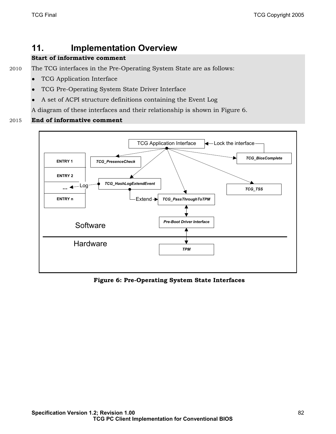# **11. Implementation Overview**

#### **Start of informative comment**

2010 The TCG interfaces in the Pre-Operating System State are as follows:

- TCG Application Interface
- TCG Pre-Operating System State Driver Interface
- A set of ACPI structure definitions containing the Event Log

A diagram of these interfaces and their relationship is shown in Figure 6.



**Figure 6: Pre-Operating System State Interfaces**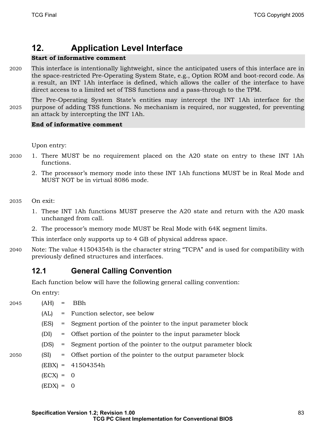# **12. Application Level Interface**

#### **Start of informative comment**

2020 This interface is intentionally lightweight, since the anticipated users of this interface are in the space-restricted Pre-Operating System State, e.g., Option ROM and boot-record code. As a result, an INT 1Ah interface is defined, which allows the caller of the interface to have direct access to a limited set of TSS functions and a pass-through to the TPM.

The Pre-Operating System State's entities may intercept the INT 1Ah interface for the 2025 purpose of adding TSS functions. No mechanism is required, nor suggested, for preventing an attack by intercepting the INT 1Ah.

#### **End of informative comment**

Upon entry:

- 2030 1. There MUST be no requirement placed on the A20 state on entry to these INT 1Ah functions.
	- 2. The processor's memory mode into these INT 1Ah functions MUST be in Real Mode and MUST NOT be in virtual 8086 mode.
- 2035 On exit:
	- 1. These INT 1Ah functions MUST preserve the A20 state and return with the A20 mask unchanged from call.
	- 2. The processor's memory mode MUST be Real Mode with 64K segment limits.

This interface only supports up to 4 GB of physical address space.

2040 Note: The value 41504354h is the character string "TCPA" and is used for compatibility with previously defined structures and interfaces.

### **12.1 General Calling Convention**

Each function below will have the following general calling convention:

On entry:

2045 (AH) = BBh

- (AL) = Function selector, see below
- (ES) = Segment portion of the pointer to the input parameter block
- (DI) = Offset portion of the pointer to the input parameter block
- (DS) = Segment portion of the pointer to the output parameter block

2050 (SI) = Offset portion of the pointer to the output parameter block

- (EBX) = 41504354h
- $(ECX) = 0$
- $(EDX) = 0$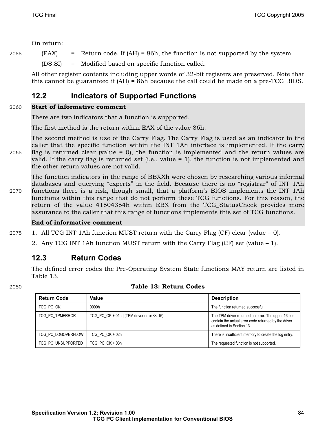On return:

2055 (EAX) = Return code. If  $(AH) = 86h$ , the function is not supported by the system.

(DS:SI) = Modified based on specific function called.

All other register contents including upper words of 32-bit registers are preserved. Note that this cannot be guaranteed if (AH) = 86h because the call could be made on a pre-TCG BIOS.

### **12.2 Indicators of Supported Functions**

#### 2060 **Start of informative comment**

There are two indicators that a function is supported.

The first method is the return within EAX of the value 86h.

The second method is use of the Carry Flag. The Carry Flag is used as an indicator to the caller that the specific function within the INT 1Ah interface is implemented. If the carry 2065 flag is returned clear (value = 0), the function is implemented and the return values are valid. If the carry flag is returned set (i.e., value = 1), the function is not implemented and the other return values are not valid.

The function indicators in the range of BBXXh were chosen by researching various informal databases and querying "experts" in the field. Because there is no "registrar" of INT 1Ah 2070 functions there is a risk, though small, that a platform's BIOS implements the INT 1Ah functions within this range that do not perform these TCG functions. For this reason, the return of the value 41504354h within EBX from the TCG\_StatusCheck provides more assurance to the caller that this range of functions implements this set of TCG functions.

#### **End of informative comment**

- 2075 1. All TCG INT 1Ah function MUST return with the Carry Flag (CF) clear (value  $= 0$ ).
	- 2. Any TCG INT 1Ah function MUST return with the Carry Flag (CF) set (value 1).

### **12.3 Return Codes**

The defined error codes the Pre-Operating System State functions MAY return are listed in Table 13.

| 2080 | Table 13: Return Codes |
|------|------------------------|
|      |                        |

| <b>Return Code</b> | Value                                        | <b>Description</b>                                                                                                                       |
|--------------------|----------------------------------------------|------------------------------------------------------------------------------------------------------------------------------------------|
| TCG PC OK          | 0000h                                        | The function returned successful.                                                                                                        |
| TCG PC TPMERROR    | TCG PC $OK + 01h$   (TPM driver error << 16) | The TPM driver returned an error. The upper 16 bits<br>contain the actual error code returned by the driver<br>as defined in Section 13. |
| TCG PC LOGOVERFLOW | TCG PC $OK + 02h$                            | There is insufficient memory to create the log entry.                                                                                    |
| TCG PC UNSUPPORTED | TCG PC $OK + 03h$                            | The requested function is not supported.                                                                                                 |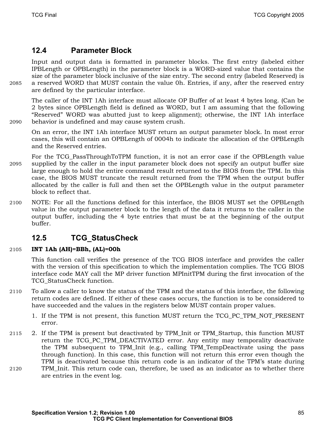## **12.4 Parameter Block**

Input and output data is formatted in parameter blocks. The first entry (labeled either IPBLength or OPBLength) in the parameter block is a WORD-sized value that contains the size of the parameter block inclusive of the size entry. The second entry (labeled Reserved) is 2085 a reserved WORD that MUST contain the value 0h. Entries, if any, after the reserved entry are defined by the particular interface.

The caller of the INT 1Ah interface must allocate OP Buffer of at least 4 bytes long. (Can be 2 bytes since OPBLength field is defined as WORD, but I am assuming that the following "Reserved" WORD was abutted just to keep alignment); otherwise, the INT 1Ah interface 2090 behavior is undefined and may cause system crush.

On an error, the INT 1Ah interface MUST return an output parameter block. In most error cases, this will contain an OPBLength of 0004h to indicate the allocation of the OPBLength and the Reserved entries.

- For the TCG\_PassThroughToTPM function, it is not an error case if the OPBLength value 2095 supplied by the caller in the input parameter block does not specify an output buffer size large enough to hold the entire command result returned to the BIOS from the TPM. In this case, the BIOS MUST truncate the result returned from the TPM when the output buffer allocated by the caller is full and then set the OPBLength value in the output parameter block to reflect that.
- 2100 NOTE: For all the functions defined for this interface, the BIOS MUST set the OPBLength value in the output parameter block to the length of the data it returns to the caller in the output buffer, including the 4 byte entries that must be at the beginning of the output buffer.

### **12.5 TCG\_StatusCheck**

#### 2105 **INT 1Ah (AH)=BBh, (AL)=00h**

This function call verifies the presence of the TCG BIOS interface and provides the caller with the version of this specification to which the implementation complies. The TCG BIOS interface code MAY call the MP driver function MPInitTPM during the first invocation of the TCG StatusCheck function.

- 2110 To allow a caller to know the status of the TPM and the status of this interface, the following return codes are defined. If either of these cases occurs, the function is to be considered to have succeeded and the values in the registers below MUST contain proper values.
	- 1. If the TPM is not present, this function MUST return the TCG\_PC\_TPM\_NOT\_PRESENT error.
- 2115 2. If the TPM is present but deactivated by TPM\_Init or TPM\_Startup, this function MUST return the TCG\_PC\_TPM\_DEACTIVATED error. Any entity may temporality deactivate the TPM subsequent to TPM\_Init (e.g., calling TPM\_TempDeactivate using the pass through function). In this case, this function will not return this error even though the TPM is deactivated because this return code is an indicator of the TPM's state during
- 2120 TPM\_Init. This return code can, therefore, be used as an indicator as to whether there are entries in the event log.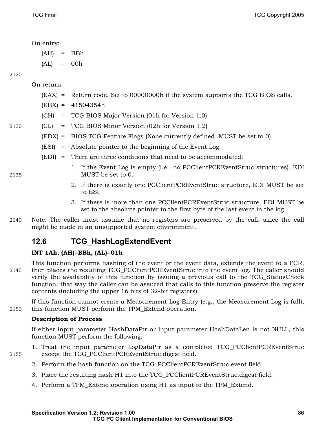On entry:

- $(AH) = BBh$
- $(AL) = 00h$

2125

On return:

- (EAX) = Return code. Set to 00000000h if the system supports the TCG BIOS calls.
- (EBX) = 41504354h
- (CH) = TCG BIOS Major Version (01h for Version 1.0)
- 2130 (CL) = TCG BIOS Minor Version (02h for Version 1.2)
	- (EDX) = BIOS TCG Feature Flags (None currently defined. MUST be set to 0)
	- (ESI) = Absolute pointer to the beginning of the Event Log
	- (EDI) = There are three conditions that need to be accommodated:
- 1. If the Event Log is empty (i.e., no PCClientPCREventStruc structures), EDI 2135 MUST be set to 0.
	- 2. If there is exactly one PCClientPCREventStruc structure, EDI MUST be set to ESI.
	- 3. If there is more than one PCClientPCREventStruc structure, EDI MUST be set to the absolute pointer to the first byte of the last event in the log.
- 2140 Note: The caller must assume that no registers are preserved by the call, since the call might be made in an unsupported system environment.

# **12.6 TCG\_HashLogExtendEvent**

#### **INT 1Ah, (AH)=BBh, (AL)=01h**

This function performs hashing of the event or the event data, extends the event to a PCR, 2145 then places the resulting TCG\_PCClientPCREventStruc into the event log. The caller should verify the availability of this function by issuing a previous call to the TCG\_StatusCheck function, that way the caller can be assured that calls to this function preserve the register contents (including the upper 16 bits of 32-bit registers).

If this function cannot create a Measurement Log Entry (e.g., the Measurement Log is full), 2150 this function MUST perform the TPM\_Extend operation.

#### **Description of Process**

If either input parameter HashDataPtr or input parameter HashDataLen is not NULL, this function MUST perform the following:

- 1. Treat the input parameter LogDataPtr as a completed TCG\_PCClientPCREventStruc 2155 except the TCG\_PCClientPCREventStruc.digest field.
	- 2. Perform the hash function on the TCG\_PCClientPCREventStruc.event field.
	- 3. Place the resulting hash H1 into the TCG\_PCClientPCREventStruc.digest field.
	- 4. Perform a TPM\_Extend operation using H1 as input to the TPM\_Extend.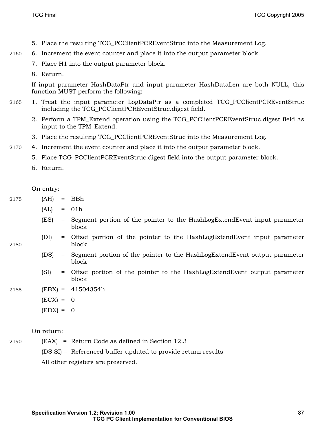- 5. Place the resulting TCG\_PCClientPCREventStruc into the Measurement Log.
- 2160 6. Increment the event counter and place it into the output parameter block.
	- 7. Place H1 into the output parameter block.
	- 8. Return.

If input parameter HashDataPtr and input parameter HashDataLen are both NULL, this function MUST perform the following:

- 2165 1. Treat the input parameter LogDataPtr as a completed TCG\_PCClientPCREventStruc including the TCG\_PCClientPCREventStruc.digest field.
	- 2. Perform a TPM\_Extend operation using the TCG\_PCClientPCREventStruc.digest field as input to the TPM\_Extend.
	- 3. Place the resulting TCG\_PCClientPCREventStruc into the Measurement Log.
- 2170 4. Increment the event counter and place it into the output parameter block.
	- 5. Place TCG\_PCClientPCREventStruc.digest field into the output parameter block.
	- 6. Return.

On entry:

2175 (AH) = BBh

- $(AL) = 01h$
- (ES) = Segment portion of the pointer to the HashLogExtendEvent input parameter block
- (DI) = Offset portion of the pointer to the HashLogExtendEvent input parameter 2180 block
	- (DS) = Segment portion of the pointer to the HashLogExtendEvent output parameter block
	- (SI) = Offset portion of the pointer to the HashLogExtendEvent output parameter block

2185 (EBX) = 41504354h

- $(ECX) = 0$
- $(EDX) = 0$

#### On return:

- 2190 (EAX) = Return Code as defined in Section 12.3
	- (DS:SI) = Referenced buffer updated to provide return results

All other registers are preserved.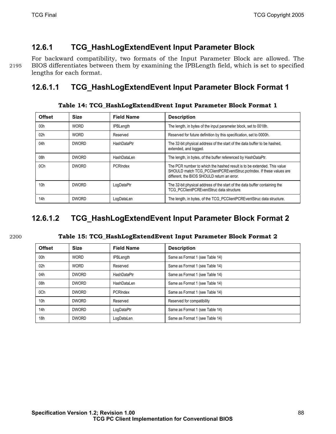# **12.6.1 TCG\_HashLogExtendEvent Input Parameter Block**

For backward compatibility, two formats of the Input Parameter Block are allowed. The 2195 BIOS differentiates between them by examining the IPBLength field, which is set to specified lengths for each format.

# **12.6.1.1 TCG\_HashLogExtendEvent Input Parameter Block Format 1**

| <b>Offset</b>   | <b>Size</b>  | <b>Field Name</b> | <b>Description</b>                                                                                                                                                                             |
|-----------------|--------------|-------------------|------------------------------------------------------------------------------------------------------------------------------------------------------------------------------------------------|
| 00h             | <b>WORD</b>  | <b>IPBLength</b>  | The length, in bytes of the input parameter block, set to 0018h.                                                                                                                               |
| 02 <sub>h</sub> | <b>WORD</b>  | Reserved          | Reserved for future definition by this specification, set to 0000h.                                                                                                                            |
| 04h             | <b>DWORD</b> | HashDataPtr       | The 32-bit physical address of the start of the data buffer to be hashed.<br>extended, and logged.                                                                                             |
| 08h             | <b>DWORD</b> | HashDataLen       | The length, in bytes, of the buffer referenced by HashDataPtr.                                                                                                                                 |
| 0Ch             | <b>DWORD</b> | PCRIndex          | The PCR number to which the hashed result is to be extended. This value<br>SHOULD match TCG PCClientPCREventStruc.pcrIndex. If these values are<br>different, the BIOS SHOULD return an error. |
| 10 <sub>h</sub> | <b>DWORD</b> | LogDataPtr        | The 32-bit physical address of the start of the data buffer containing the<br>TCG PCClientPCREventStruc data structure.                                                                        |
| 14h             | <b>DWORD</b> | LogDataLen        | The length, in bytes, of the TCG_PCClientPCREventStruc data structure.                                                                                                                         |

**Table 14: TCG\_HashLogExtendEvent Input Parameter Block Format 1** 

# **12.6.1.2 TCG\_HashLogExtendEvent Input Parameter Block Format 2**

#### 2200 **Table 15: TCG\_HashLogExtendEvent Input Parameter Block Format 2**

| <b>Offset</b> | <b>Size</b>  | <b>Field Name</b> | <b>Description</b>              |
|---------------|--------------|-------------------|---------------------------------|
| 00h           | <b>WORD</b>  | <b>IPBLength</b>  | Same as Format 1 (see Table 14) |
| 02h           | <b>WORD</b>  | Reserved          | Same as Format 1 (see Table 14) |
| 04h           | <b>DWORD</b> | HashDataPtr       | Same as Format 1 (see Table 14) |
| 08h           | <b>DWORD</b> | HashDataLen       | Same as Format 1 (see Table 14) |
| 0Ch           | <b>DWORD</b> | PCRIndex          | Same as Format 1 (see Table 14) |
| 10h           | <b>DWORD</b> | Reserved          | Reserved for compatibility      |
| 14h           | <b>DWORD</b> | LogDataPtr        | Same as Format 1 (see Table 14) |
| 18h           | <b>DWORD</b> | LogDataLen        | Same as Format 1 (see Table 14) |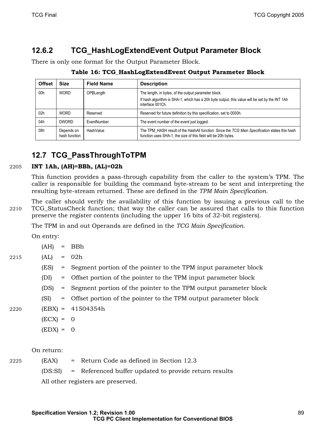# **12.6.2 TCG\_HashLogExtendEvent Output Parameter Block**

There is only one format for the Output Parameter Block.

| <b>Offset</b>   | <b>Size</b>                 | <b>Field Name</b> | <b>Description</b>                                                                                                                                               |
|-----------------|-----------------------------|-------------------|------------------------------------------------------------------------------------------------------------------------------------------------------------------|
| 00h             | <b>WORD</b>                 | OPBLength         | The length, in bytes, of the output parameter block.                                                                                                             |
|                 |                             |                   | If hash algorithm is SHA-1, which has a 20h byte output, this value will be set by the INT 1Ah<br>interface 001Ch.                                               |
| 02 <sub>h</sub> | <b>WORD</b>                 | Reserved          | Reserved for future definition by this specification, set to 0000h.                                                                                              |
| 04h             | <b>DWORD</b>                | EventNumber       | The event number of the event just logged.                                                                                                                       |
| 08h             | Depends on<br>hash function | HashValue         | The TPM HASH result of the HashAll function. Since the TCG Main Specification states this hash<br>function uses SHA-1, the size of this field will be 20h bytes. |

#### **Table 16: TCG\_HashLogExtendEvent Output Parameter Block**

# **12.7 TCG\_PassThroughToTPM**

#### 2205 **INT 1Ah, (AH)=BBh, (AL)=02h**

This function provides a pass-through capability from the caller to the system's TPM. The caller is responsible for building the command byte-stream to be sent and interpreting the resulting byte-stream returned. These are defined in the *TPM Main Specification.*

The caller should verify the availability of this function by issuing a previous call to the 2210 TCG\_StatusCheck function; that way the caller can be assured that calls to this function preserve the register contents (including the upper 16 bits of 32-bit registers).

The TPM in and out Operands are defined in the *TCG Main Specification*.

On entry:

 $(AH) = BBh$ 

2215 (AL) = 02h

- (ES) = Segment portion of the pointer to the TPM input parameter block
- (DI) = Offset portion of the pointer to the TPM input parameter block
- (DS) = Segment portion of the pointer to the TPM output parameter block
- (SI) = Offset portion of the pointer to the TPM output parameter block

2220 (EBX) = 41504354h

- $(ECX) = 0$
- $(EDX) = 0$

On return:

| 2225 | (EAX) | = Return Code as defined in Section 12.3                      |
|------|-------|---------------------------------------------------------------|
|      |       | (DS:SI) = Referenced buffer updated to provide return results |

All other registers are preserved.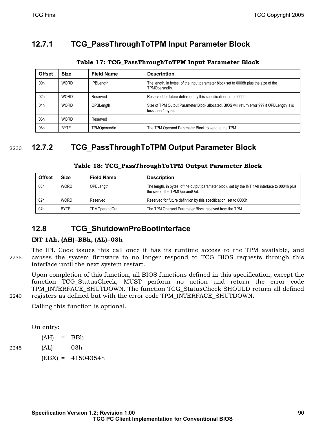# **12.7.1 TCG\_PassThroughToTPM Input Parameter Block**

| <b>Offset</b>   | <b>Size</b> | <b>Field Name</b> | <b>Description</b>                                                                                                |
|-----------------|-------------|-------------------|-------------------------------------------------------------------------------------------------------------------|
| 00h             | <b>WORD</b> | <b>IPBLength</b>  | The length, in bytes, of the input parameter block set to 0008h plus the size of the<br>TPMOperandIn.             |
| 02 <sub>h</sub> | <b>WORD</b> | Reserved          | Reserved for future definition by this specification, set to 0000h.                                               |
| 04h             | <b>WORD</b> | OPBLength         | Size of TPM Output Parameter Block allocated. BIOS will return error ??? if OPBLength is is<br>less than 4 bytes. |
| 06h             | <b>WORD</b> | Reserved          |                                                                                                                   |
| 08h             | <b>BYTE</b> | TPMOperandIn      | The TPM Operand Parameter Block to send to the TPM.                                                               |

#### **Table 17: TCG\_PassThroughToTPM Input Parameter Block**

# <sup>2230</sup>**12.7.2 TCG\_PassThroughToTPM Output Parameter Block**

| <b>Offset</b> | <b>Size</b> | <b>Field Name</b> | <b>Description</b>                                                                                                                |
|---------------|-------------|-------------------|-----------------------------------------------------------------------------------------------------------------------------------|
| 00h           | <b>WORD</b> | OPBLength         | The length, in bytes, of the output parameter block, set by the INT 1Ah interface to 0004h plus<br>the size of the TPMOperandOut. |
| 02h           | <b>WORD</b> | Reserved          | Reserved for future definition by this specification, set to 0000h.                                                               |
| 04h           | <b>BYTE</b> | TPMOperandOut     | The TPM Operand Parameter Block received from the TPM.                                                                            |

#### **Table 18: TCG\_PassThroughToTPM Output Parameter Block**

### **12.8 TCG\_ShutdownPreBootInterface**

#### **INT 1Ah, (AH)=BBh, (AL)=03h**

The IPL Code issues this call once it has its runtime access to the TPM available, and 2235 causes the system firmware to no longer respond to TCG BIOS requests through this interface until the next system restart.

Upon completion of this function, all BIOS functions defined in this specification, except the function TCG\_StatusCheck, MUST perform no action and return the error code TPM\_INTERFACE\_SHUTDOWN. The function TCG\_StatusCheck SHOULD return all defined 2240 registers as defined but with the error code TPM\_INTERFACE\_SHUTDOWN.

Calling this function is optional.

On entry:

$$
(AH) = BBh
$$

 $2245$  (AL) = 03h

(EBX) = 41504354h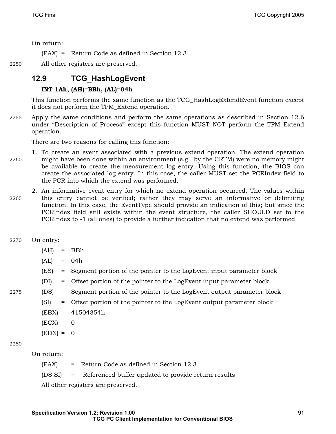On return:

(EAX) = Return Code as defined in Section 12.3

2250 All other registers are preserved.

## **12.9 TCG\_HashLogEvent**

#### **INT 1Ah, (AH)=BBh, (AL)=04h**

This function performs the same function as the TCG\_HashLogExtendEvent function except it does not perform the TPM\_Extend operation.

2255 Apply the same conditions and perform the same operations as described in Section 12.6 under "Description of Process" except this function MUST NOT perform the TPM\_Extend operation.

There are two reasons for calling this function:

- 1. To create an event associated with a previous extend operation. The extend operation 2260 might have been done within an environment (e.g., by the CRTM) were no memory might be available to create the measurement log entry. Using this function, the BIOS can create the associated log entry. In this case, the caller MUST set the PCRIndex field to the PCR into which the extend was performed.
- 2. An informative event entry for which no extend operation occurred. The values within 2265 this entry cannot be verified; rather they may serve an informative or delimiting function. In this case, the EventType should provide an indication of this; but since the PCRIndex field still exists within the event structure, the caller SHOULD set to the PCRIndex to -1 (all ones) to provide a further indication that no extend was performed.
- 2270 On entry:
	- $(AH) = BBh$
	- $(AL) = 04h$
	- (ES) = Segment portion of the pointer to the LogEvent input parameter block
	- (DI) = Offset portion of the pointer to the LogEvent input parameter block
- 

2275 (DS) = Segment portion of the pointer to the LogEvent output parameter block

- (SI) = Offset portion of the pointer to the LogEvent output parameter block (EBX) = 41504354h
- $(ECX) = 0$
- $(EDX) = 0$

#### 2280

- On return:
	- (EAX) = Return Code as defined in Section 12.3
	- (DS:SI) = Referenced buffer updated to provide return results

All other registers are preserved.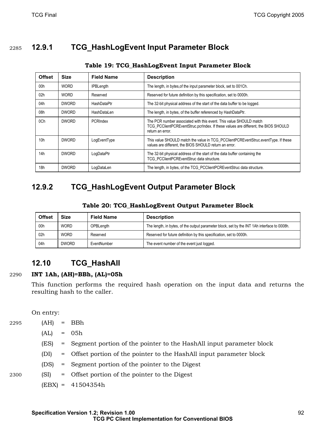# <sup>2285</sup>**12.9.1 TCG\_HashLogEvent Input Parameter Block**

| <b>Offset</b>   | <b>Size</b>  | <b>Field Name</b> | <b>Description</b>                                                                                                                                                           |
|-----------------|--------------|-------------------|------------------------------------------------------------------------------------------------------------------------------------------------------------------------------|
|                 |              |                   |                                                                                                                                                                              |
| 00h             | <b>WORD</b>  | <b>IPBLength</b>  | The length, in bytes, of the input parameter block, set to 001Ch.                                                                                                            |
| 02 <sub>h</sub> | <b>WORD</b>  | Reserved          | Reserved for future definition by this specification, set to 0000h.                                                                                                          |
| 04h             | <b>DWORD</b> | HashDataPtr       | The 32-bit physical address of the start of the data buffer to be logged.                                                                                                    |
| 08h             | <b>DWORD</b> | HashDataLen       | The length, in bytes, of the buffer referenced by HashDataPtr.                                                                                                               |
| 0Ch             | <b>DWORD</b> | PCRIndex          | The PCR number associated with this event. This value SHOULD match<br>TCG PCClientPCREventStruc.pcrIndex. If these values are different, the BIOS SHOULD<br>return an error. |
| 10h             | <b>DWORD</b> | LogEventType      | This value SHOULD match the value in TCG_PCClientPCREventStruc.eventType. If these<br>values are different, the BIOS SHOULD return an error.                                 |
| 14h             | <b>DWORD</b> | LogDataPtr        | The 32-bit physical address of the start of the data buffer containing the<br>TCG PCClientPCREventStruc data structure.                                                      |
| 18h             | <b>DWORD</b> | LogDataLen        | The length, in bytes, of the TCG_PCClientPCREventStruc data structure.                                                                                                       |

#### **Table 19: TCG\_HashLogEvent Input Parameter Block**

### **12.9.2 TCG\_HashLogEvent Output Parameter Block**

|  |  |  | Table 20: TCG_HashLogEvent Output Parameter Block |
|--|--|--|---------------------------------------------------|
|--|--|--|---------------------------------------------------|

| <b>Offset</b>   | <b>Size</b>  | <b>Field Name</b> | <b>Description</b>                                                                          |
|-----------------|--------------|-------------------|---------------------------------------------------------------------------------------------|
| 00h             | <b>WORD</b>  | OPBLength         | The length, in bytes, of the output parameter block, set by the INT 1Ah interface to 0008h. |
| 02 <sub>h</sub> | <b>WORD</b>  | Reserved          | Reserved for future definition by this specification, set to 0000h.                         |
| 04h             | <b>DWORD</b> | EventNumber       | The event number of the event just logged.                                                  |

### **12.10 TCG\_HashAll**

#### 2290 **INT 1Ah, (AH)=BBh, (AL)=05h**

This function performs the required hash operation on the input data and returns the resulting hash to the caller.

On entry:

2295 (AH) = BBh

 $(AL) = 05h$ 

(ES) = Segment portion of the pointer to the HashAll input parameter block

- (DI) = Offset portion of the pointer to the HashAll input parameter block
- (DS) = Segment portion of the pointer to the Digest
- 2300 (SI) = Offset portion of the pointer to the Digest

(EBX) = 41504354h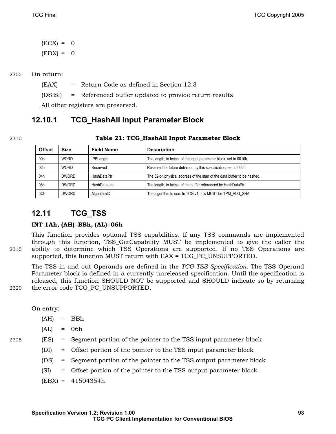$$
\begin{array}{rcl}\n\text{(ECX)} &=& 0 \\
\text{(EDX)} &=& 0\n\end{array}
$$

2305 On return:

(EAX) = Return Code as defined in Section 12.3

(DS:SI) = Referenced buffer updated to provide return results

All other registers are preserved.

## **12.10.1 TCG\_HashAll Input Parameter Block**

#### 2310 **Table 21: TCG\_HashAll Input Parameter Block**

| <b>Offset</b> | <b>Size</b>  | <b>Field Name</b><br><b>Description</b>                                               |                                                                           |  |
|---------------|--------------|---------------------------------------------------------------------------------------|---------------------------------------------------------------------------|--|
| 00h           | <b>WORD</b>  | The length, in bytes, of the input parameter block, set to 0010h.<br><b>IPBLength</b> |                                                                           |  |
| 02h           | <b>WORD</b>  | Reserved                                                                              | Reserved for future definition by this specification, set to 0000h.       |  |
| 04h           | <b>DWORD</b> | HashDataPtr                                                                           | The 32-bit physical address of the start of the data buffer to be hashed. |  |
| 08h           | <b>DWORD</b> | HashDataLen                                                                           | The length, in bytes, of the buffer referenced by HashDataPtr.            |  |
| 0Ch           | <b>DWORD</b> | AlgorithmID                                                                           | The algorithm to use. In TCG v1, this MUST be TPM ALG SHA.                |  |

### **12.11 TCG\_TSS**

#### **INT 1Ah, (AH)=BBh, (AL)=06h**

This function provides optional TSS capabilities. If any TSS commands are implemented through this function, TSS\_GetCapability MUST be implemented to give the caller the 2315 ability to determine which TSS Operations are supported. If no TSS Operations are supported, this function MUST return with EAX = TCG\_PC\_UNSUPPORTED.

The TSS in and out Operands are defined in the *TCG TSS Specification*. The TSS Operand Parameter block is defined in a currently unreleased specification. Until the specification is released, this function SHOULD NOT be supported and SHOULD indicate so by returning 2320 the error code TCG\_PC\_UNSUPPORTED.

On entry:

| í<br>1<br>` |  | n |
|-------------|--|---|
|-------------|--|---|

 $(AL) = 06h$ 

- 2325 (ES) = Segment portion of the pointer to the TSS input parameter block
	- (DI) = Offset portion of the pointer to the TSS input parameter block
	- (DS) = Segment portion of the pointer to the TSS output parameter block
	- (SI) = Offset portion of the pointer to the TSS output parameter block

(EBX) = 41504354h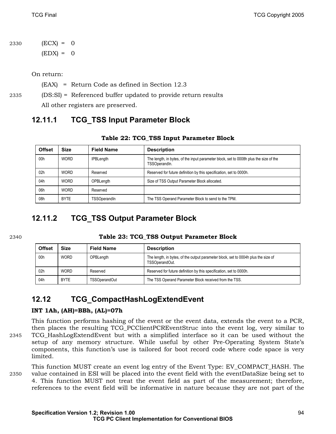$$
\begin{array}{rcl}\n\text{2330} & \text{(ECX)} = 0 \\
\text{(EDX)} = 0\n\end{array}
$$

On return:

(EAX) = Return Code as defined in Section 12.3

2335 (DS:SI) = Referenced buffer updated to provide return results All other registers are preserved.

# **12.11.1 TCG\_TSS Input Parameter Block**

#### **Table 22: TCG\_TSS Input Parameter Block**

| <b>Offset</b>   | <b>Size</b> | <b>Field Name</b>                                          | <b>Description</b>                                                                                     |
|-----------------|-------------|------------------------------------------------------------|--------------------------------------------------------------------------------------------------------|
| 00h             | <b>WORD</b> | <b>IPBLength</b>                                           | The length, in bytes, of the input parameter block, set to 0008h plus the size of the<br>TSSOperandln. |
| 02 <sub>h</sub> | <b>WORD</b> | Reserved                                                   | Reserved for future definition by this specification, set to 0000h.                                    |
| 04h             | <b>WORD</b> | Size of TSS Output Parameter Block allocated.<br>OPBLength |                                                                                                        |
| 06h             | <b>WORD</b> | Reserved                                                   |                                                                                                        |
| 08h             | <b>BYTE</b> | TSSOperandIn                                               | The TSS Operand Parameter Block to send to the TPM.                                                    |

# **12.11.2 TCG\_TSS Output Parameter Block**

#### 2340 **Table 23: TCG\_TSS Output Parameter Block**

| <b>Offset</b>   | Size        | <b>Field Name</b>    | <b>Description</b>                                                                                   |
|-----------------|-------------|----------------------|------------------------------------------------------------------------------------------------------|
| 00h             | <b>WORD</b> | OPBLength            | The length, in bytes, of the output parameter block, set to 0004h plus the size of<br>TSSOperandOut. |
| 02 <sub>h</sub> | <b>WORD</b> | Reserved             | Reserved for future definition by this specification, set to 0000h.                                  |
| 04h             | <b>RYTF</b> | <b>TSSOperandOut</b> | The TSS Operand Parameter Block received from the TSS.                                               |

# **12.12 TCG\_CompactHashLogExtendEvent**

#### **INT 1Ah, (AH)=BBh, (AL)=07h**

This function performs hashing of the event or the event data, extends the event to a PCR, then places the resulting TCG\_PCClientPCREventStruc into the event log, very similar to 2345 TCG\_HashLogExtendEvent but with a simplified interface so it can be used without the setup of any memory structure. While useful by other Pre-Operating System State's components, this function's use is tailored for boot record code where code space is very limited.

This function MUST create an event log entry of the Event Type: EV\_COMPACT\_HASH. The 2350 value contained in ESI will be placed into the event field with the eventDataSize being set to 4. This function MUST not treat the event field as part of the measurement; therefore, references to the event field will be informative in nature because they are not part of the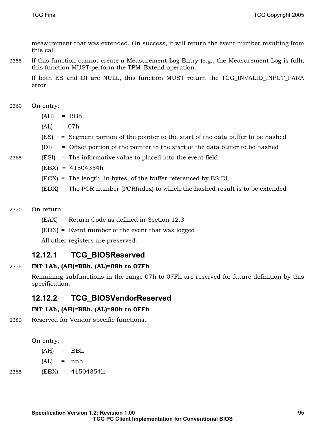measurement that was extended. On success, it will return the event number resulting from this call.

2355 If this function cannot create a Measurement Log Entry (e.g., the Measurement Log is full), this function MUST perform the TPM\_Extend operation.

If both ES and DI are NULL, this function MUST return the TCG\_INVALID\_INPUT\_PARA error.

2360 On entry:

 $(AH)$  = BBh

- $(AL) = 07h$
- (ES) = Segment portion of the pointer to the start of the data buffer to be hashed
- (DI) = Offset portion of the pointer to the start of the data buffer to be hashed
- 2365 (ESI) = The informative value to placed into the event field.
	- (EBX) = 41504354h
	- (ECX) = The length, in bytes, of the buffer referenced by ES:DI
	- (EDX) = The PCR number (PCRIndex) to which the hashed result is to be extended
- 2370 On return:

(EAX) = Return Code as defined in Section 12.3

(EDX) = Event number of the event that was logged

All other registers are preserved.

### **12.12.1 TCG\_BIOSReserved**

#### 2375 **INT 1Ah, (AH)=BBh, (AL)=08h to 07Fh**

Remaining subfunctions in the range 07h to 07Fh are reserved for future definition by this specification.

### **12.12.2 TCG\_BIOSVendorReserved**

#### **INT 1Ah, (AH)=BBh, (AL)=80h to 0FFh**

2380 Reserved for Vendor specific functions.

On entry:

 $(AH) = BBh$  $(AL) = nnh$ 

2385 (EBX) = 41504354h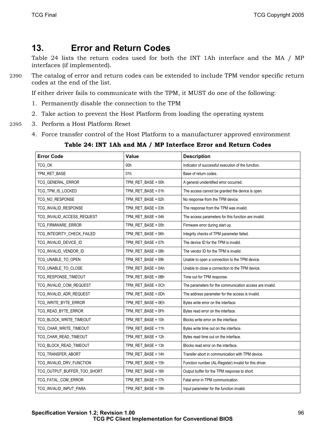# **13. Error and Return Codes**

Table 24 lists the return codes used for both the INT 1Ah interface and the MA / MP interfaces (if implemented).

If either driver fails to communicate with the TPM, it MUST do one of the following:

- 1. Permanently disable the connection to the TPM
- 2. Take action to prevent the Host Platform from loading the operating system
- 2395 3. Perform a Host Platform Reset
	- 4. Force transfer control of the Host Platform to a manufacturer approved environment

#### **Table 24: INT 1Ah and MA / MP Interface Error and Return Codes**

| <b>Error Code</b>           | Value              | <b>Description</b>                                       |
|-----------------------------|--------------------|----------------------------------------------------------|
| TCG_OK                      | 00h                | Indicator of successful execution of the function.       |
| TPM_RET_BASE                | 01h                | Base of return codes.                                    |
| TCG_GENERAL_ERROR           | TPM_RET_BASE + 00h | A general unidentified error occurred.                   |
| TCG_TPM_IS_LOCKED           | TPM_RET_BASE + 01h | The access cannot be granted the device is open.         |
| TCG_NO_RESPONSE             | TPM_RET_BASE + 02h | No response from the TPM device.                         |
| TCG_INVALID_RESPONSE        | TPM_RET_BASE + 03h | The response from the TPM was invalid.                   |
| TCG_INVALID_ACCESS_REQUEST  | TPM_RET_BASE + 04h | The access parameters for this function are invalid.     |
| TCG_FIRMWARE_ERROR          | TPM_RET_BASE + 05h | Firmware error during start up.                          |
| TCG_INTEGRITY_CHECK_FAILED  | TPM RET BASE + 06h | Integrity checks of TPM parameter failed.                |
| TCG_INVALID_DEVICE_ID       | TPM_RET_BASE + 07h | The device ID for the TPM is invalid.                    |
| TCG_INVALID_VENDOR_ID       | TPM_RET_BASE + 08h | The vendor ID for the TPM is invalid.                    |
| TCG_UNABLE_TO_OPEN          | TPM_RET_BASE + 09h | Unable to open a connection to the TPM device.           |
| TCG_UNABLE_TO_CLOSE         | TPM_RET_BASE + 0Ah | Unable to close a connection to the TPM device.          |
| TCG RESPONSE TIMEOUT        | TPM_RET_BASE + 0Bh | Time out for TPM response.                               |
| TCG_INVALID_COM_REQUEST     | TPM_RET_BASE + 0Ch | The parameters for the communication access are invalid. |
| TCG_INVALID_ADR_REQUEST     | TPM_RET_BASE + 0Dh | The address parameter for the access is invalid.         |
| TCG_WRITE_BYTE_ERROR        | TPM_RET_BASE + 0Eh | Bytes write error on the interface.                      |
| TCG_READ_BYTE_ERROR         | TPM_RET_BASE + 0Fh | Bytes read error on the interface.                       |
| TCG BLOCK WRITE TIMEOUT     | TPM_RET_BASE + 10h | Blocks write error on the interface.                     |
| TCG_CHAR_WRITE_TIMEOUT      | TPM_RET_BASE + 11h | Bytes write time out on the interface.                   |
| TCG_CHAR_READ_TIMEOUT       | TPM_RET_BASE + 12h | Bytes read time out on the interface.                    |
| TCG_BLOCK_READ_TIMEOUT      | TPM_RET_BASE + 13h | Blocks read error on the interface.                      |
| TCG_TRANSFER_ABORT          | TPM_RET_BASE + 14h | Transfer abort in communication with TPM device.         |
| TCG_INVALID_DRV_FUNCTION    | TPM_RET_BASE + 15h | Function number (AL-Register) invalid for this driver.   |
| TCG_OUTPUT_BUFFER_TOO_SHORT | TPM_RET_BASE + 16h | Output buffer for the TPM response to short.             |
| TCG_FATAL_COM_ERROR         | TPM_RET_BASE + 17h | Fatal error in TPM communication.                        |
| TCG_INVALID_INPUT_PARA      | TPM_RET_BASE + 18h | Input parameter for the function invalid.                |

<sup>2390</sup> The catalog of error and return codes can be extended to include TPM vendor specific return codes at the end of the list.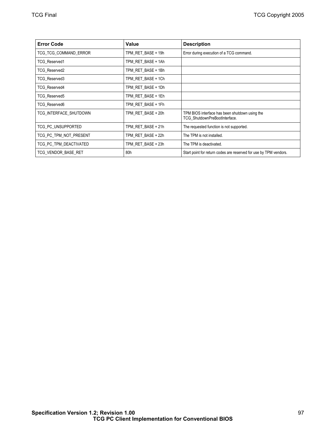| <b>Error Code</b>      | Value              | <b>Description</b>                                                              |
|------------------------|--------------------|---------------------------------------------------------------------------------|
| TCG_TCG_COMMAND_ERROR  | TPM_RET_BASE + 19h | Error during execution of a TCG command.                                        |
| TCG_Reserved1          | TPM_RET_BASE + 1Ah |                                                                                 |
| <b>TCG Reserved2</b>   | TPM_RET_BASE + 1Bh |                                                                                 |
| <b>TCG Reserved3</b>   | TPM RET BASE + 1Ch |                                                                                 |
| <b>TCG Reserved4</b>   | TPM RET BASE + 1Dh |                                                                                 |
| <b>TCG Reserved5</b>   | TPM RET BASE + 1Eh |                                                                                 |
| <b>TCG Reserved6</b>   | TPM RET BASE + 1Fh |                                                                                 |
| TCG INTERFACE SHUTDOWN | TPM RET BASE + 20h | TPM BIOS interface has been shutdown using the<br>TCG_ShutdownPreBootInterface. |
| TCG_PC_UNSUPPORTED     | TPM_RET_BASE + 21h | The requested function is not supported.                                        |
| TCG PC TPM NOT PRESENT | TPM RET BASE + 22h | The TPM is not installed.                                                       |
| TCG_PC_TPM_DEACTIVATED | TPM RET BASE + 23h | The TPM is deactivated.                                                         |
| TCG VENDOR BASE RET    | 80h                | Start point for return codes are reserved for use by TPM vendors.               |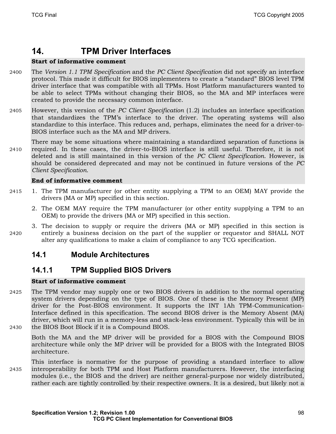# **14. TPM Driver Interfaces**

#### **Start of informative comment**

- 2400 The *Version 1.1 TPM Specification* and the *PC Client Specification* did not specify an interface protocol. This made it difficult for BIOS implementers to create a "standard" BIOS level TPM driver interface that was compatible with all TPMs. Host Platform manufacturers wanted to be able to select TPMs without changing their BIOS, so the MA and MP interfaces were created to provide the necessary common interface.
- 2405 However, this version of the *PC Client Specification* (1.2) includes an interface specification that standardizes the TPM's interface to the driver. The operating systems will also standardize to this interface. This reduces and, perhaps, eliminates the need for a driver-to-BIOS interface such as the MA and MP drivers.
- There may be some situations where maintaining a standardized separation of functions is 2410 required. In these cases, the driver-to-BIOS interface is still useful. Therefore, it is not deleted and is still maintained in this version of the *PC Client Specification*. However, is should be considered deprecated and may not be continued in future versions of the *PC Client Specification*.

#### **End of informative comment**

- 2415 1. The TPM manufacturer (or other entity supplying a TPM to an OEM) MAY provide the drivers (MA or MP) specified in this section.
	- 2. The OEM MAY require the TPM manufacturer (or other entity supplying a TPM to an OEM) to provide the drivers (MA or MP) specified in this section.
- 3. The decision to supply or require the drivers (MA or MP) specified in this section is 2420 entirely a business decision on the part of the supplier or requestor and SHALL NOT alter any qualifications to make a claim of compliance to any TCG specification.

### **14.1 Module Architectures**

### **14.1.1 TPM Supplied BIOS Drivers**

#### **Start of informative comment**

2425 The TPM vendor may supply one or two BIOS drivers in addition to the normal operating system drivers depending on the type of BIOS. One of these is the Memory Present (MP) driver for the Post-BIOS environment. It supports the INT 1Ah TPM-Communication-Interface defined in this specification. The second BIOS driver is the Memory Absent (MA) driver, which will run in a memory-less and stack-less environment. Typically this will be in 2430 the BIOS Boot Block if it is a Compound BIOS.

Both the MA and the MP driver will be provided for a BIOS with the Compound BIOS architecture while only the MP driver will be provided for a BIOS with the Integrated BIOS architecture.

This interface is normative for the purpose of providing a standard interface to allow 2435 interoperability for both TPM and Host Platform manufacturers. However, the interfacing modules (i.e., the BIOS and the driver) are neither general-purpose nor widely distributed, rather each are tightly controlled by their respective owners. It is a desired, but likely not a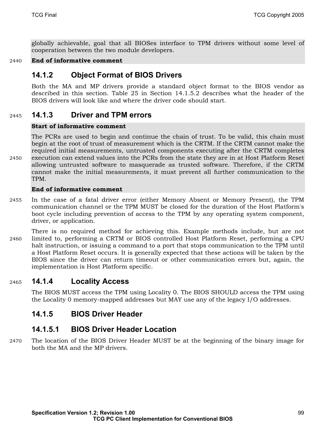globally achievable, goal that all BIOSes interface to TPM drivers without some level of cooperation between the two module developers.

#### 2440 **End of informative comment**

## **14.1.2 Object Format of BIOS Drivers**

Both the MA and MP drivers provide a standard object format to the BIOS vendor as described in this section. Table 25 in Section 14.1.5.2 describes what the header of the BIOS drivers will look like and where the driver code should start.

### <sup>2445</sup>**14.1.3 Driver and TPM errors**

#### **Start of informative comment**

The PCRs are used to begin and continue the chain of trust. To be valid, this chain must begin at the root of trust of measurement which is the CRTM. If the CRTM cannot make the required initial measurements, untrusted components executing after the CRTM completes 2450 execution can extend values into the PCRs from the state they are in at Host Platform Reset allowing untrusted software to masquerade as trusted software. Therefore, if the CRTM cannot make the initial measurements, it must prevent all further communication to the TPM.

#### **End of informative comment**

2455 In the case of a fatal driver error (either Memory Absent or Memory Present), the TPM communication channel or the TPM MUST be closed for the duration of the Host Platform's boot cycle including prevention of access to the TPM by any operating system component, driver, or application.

There is no required method for achieving this. Example methods include, but are not 2460 limited to, performing a CRTM or BIOS controlled Host Platform Reset, performing a CPU halt instruction, or issuing a command to a port that stops communication to the TPM until a Host Platform Reset occurs. It is generally expected that these actions will be taken by the BIOS since the driver can return timeout or other communication errors but, again, the implementation is Host Platform specific.

#### <sup>2465</sup>**14.1.4 Locality Access**

The BIOS MUST access the TPM using Locality 0. The BIOS SHOULD access the TPM using the Locality 0 memory-mapped addresses but MAY use any of the legacy I/O addresses.

### **14.1.5 BIOS Driver Header**

### **14.1.5.1 BIOS Driver Header Location**

2470 The location of the BIOS Driver Header MUST be at the beginning of the binary image for both the MA and the MP drivers.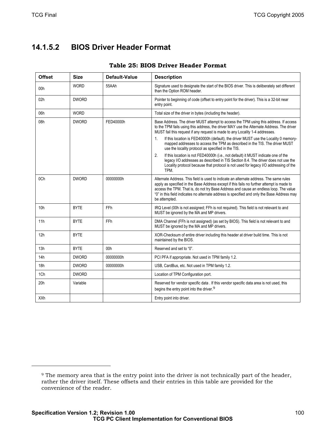$\overline{a}$ 

# **14.1.5.2 BIOS Driver Header Format**

| <b>Offset</b>   | <b>Size</b>  | Default-Value | <b>Description</b>                                                                                                                                                                                                                                                                                                                                                                           |
|-----------------|--------------|---------------|----------------------------------------------------------------------------------------------------------------------------------------------------------------------------------------------------------------------------------------------------------------------------------------------------------------------------------------------------------------------------------------------|
| 00h             | <b>WORD</b>  | 55AAh         | Signature used to designate the start of the BIOS driver. This is deliberately set different<br>than the Option ROM header.                                                                                                                                                                                                                                                                  |
| 02h             | <b>DWORD</b> |               | Pointer to beginning of code (offset to entry point for the driver). This is a 32-bit near<br>entry point.                                                                                                                                                                                                                                                                                   |
| 06h             | <b>WORD</b>  |               | Total size of the driver in bytes (including the header).                                                                                                                                                                                                                                                                                                                                    |
| 08h             | <b>DWORD</b> | FED40000h     | Base Address. The driver MUST attempt to access the TPM using this address. If access<br>to the TPM fails using this address, the driver MAY use the Alternate Address. The driver<br>MUST fail this request if any request is made to any Locality 1-4 addresses.                                                                                                                           |
|                 |              |               | 1.<br>If this location is FED40000h (default), the driver MUST use the Locality 0 memory-<br>mapped addresses to access the TPM as described in the TIS. The driver MUST<br>use the locality protocol as specified in the TIS.                                                                                                                                                               |
|                 |              |               | 2.<br>If this location is not FED40000h (i.e., not default) it MUST indicate one of the<br>legacy I/O addresses as described in TIS Section 8.4. The driver does not use the<br>Locality protocol because that protocol is not used for legacy I/O addressing of the<br>TPM.                                                                                                                 |
| 0Ch             | <b>DWORD</b> | 00000000h     | Alternate Address. This field is used to indicate an alternate address. The same rules<br>apply as specified in the Base Address except if this fails no further attempt is made to<br>access the TPM. That is, do not try Base Address and cause an endless loop. The value<br>"0" in this field indicates no alternate address is specified and only the Base Address may<br>be attempted. |
| 10 <sub>h</sub> | <b>BYTE</b>  | FFh           | IRQ Level (00h is not assigned; FFh is not required). This field is not relevant to and<br>MUST be ignored by the MA and MP drivers.                                                                                                                                                                                                                                                         |
| 11h             | <b>BYTE</b>  | FFh           | DMA Channel (FFh is not assigned) (as set by BIOS). This field is not relevant to and<br>MUST be ignored by the MA and MP drivers.                                                                                                                                                                                                                                                           |
| 12h             | <b>BYTE</b>  |               | XOR-Checksum of entire driver including this header at driver build time. This is not<br>maintained by the BIOS.                                                                                                                                                                                                                                                                             |
| 13h             | <b>BYTE</b>  | 00h           | Reserved and set to "0".                                                                                                                                                                                                                                                                                                                                                                     |
| 14h             | <b>DWORD</b> | 00000000h     | PCI PFA if appropriate. Not used in TPM family 1.2.                                                                                                                                                                                                                                                                                                                                          |
| 18h             | <b>DWORD</b> | 00000000h     | USB, CardBus, etc. Not used in TPM family 1.2.                                                                                                                                                                                                                                                                                                                                               |
| 1Ch             | <b>DWORD</b> |               | Location of TPM Configuration port.                                                                                                                                                                                                                                                                                                                                                          |
| 20h             | Variable     |               | Reserved for vendor specific data . If this vendor specific data area is not used, this<br>begins the entry point into the driver. <sup>9</sup>                                                                                                                                                                                                                                              |
| <b>XXh</b>      |              |               | Entry point into driver.                                                                                                                                                                                                                                                                                                                                                                     |

**Table 25: BIOS Driver Header Format** 

<sup>&</sup>lt;sup>9</sup> The memory area that is the entry point into the driver is not technically part of the header, rather the driver itself. These offsets and their entries in this table are provided for the convenience of the reader.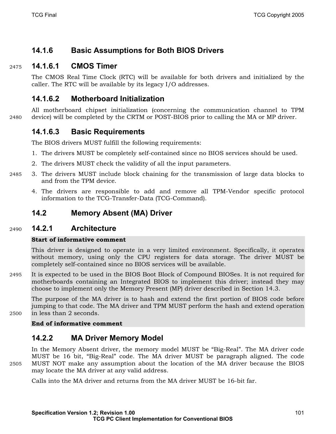# **14.1.6 Basic Assumptions for Both BIOS Drivers**

#### <sup>2475</sup>**14.1.6.1 CMOS Timer**

The CMOS Real Time Clock (RTC) will be available for both drivers and initialized by the caller. The RTC will be available by its legacy I/O addresses.

### **14.1.6.2 Motherboard Initialization**

All motherboard chipset initialization (concerning the communication channel to TPM 2480 device) will be completed by the CRTM or POST-BIOS prior to calling the MA or MP driver.

## **14.1.6.3 Basic Requirements**

The BIOS drivers MUST fulfill the following requirements:

- 1. The drivers MUST be completely self-contained since no BIOS services should be used.
- 2. The drivers MUST check the validity of all the input parameters.
- 2485 3. The drivers MUST include block chaining for the transmission of large data blocks to and from the TPM device.
	- 4. The drivers are responsible to add and remove all TPM-Vendor specific protocol information to the TCG-Transfer-Data (TCG-Command).

### **14.2 Memory Absent (MA) Driver**

### <sup>2490</sup>**14.2.1 Architecture**

#### **Start of informative comment**

This driver is designed to operate in a very limited environment. Specifically, it operates without memory, using only the CPU registers for data storage. The driver MUST be completely self-contained since no BIOS services will be available.

2495 It is expected to be used in the BIOS Boot Block of Compound BIOSes. It is not required for motherboards containing an Integrated BIOS to implement this driver; instead they may choose to implement only the Memory Present (MP) driver described in Section 14.3.

The purpose of the MA driver is to hash and extend the first portion of BIOS code before jumping to that code. The MA driver and TPM MUST perform the hash and extend operation 2500 in less than 2 seconds.

#### **End of informative comment**

### **14.2.2 MA Driver Memory Model**

In the Memory Absent driver, the memory model MUST be "Big-Real". The MA driver code MUST be 16 bit, "Big-Real" code. The MA driver MUST be paragraph aligned. The code 2505 MUST NOT make any assumption about the location of the MA driver because the BIOS may locate the MA driver at any valid address.

Calls into the MA driver and returns from the MA driver MUST be 16-bit far.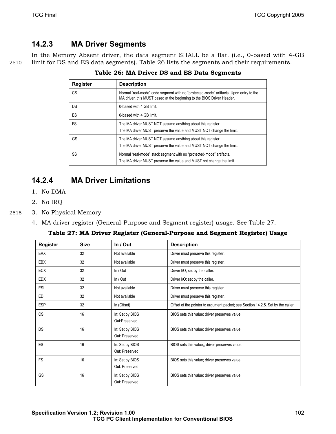### **14.2.3 MA Driver Segments**

In the Memory Absent driver, the data segment SHALL be a flat. (i.e., 0-based with 4-GB 2510 limit for DS and ES data segments). Table 26 lists the segments and their requirements.

| Register  | <b>Description</b>                                                                                                                                              |
|-----------|-----------------------------------------------------------------------------------------------------------------------------------------------------------------|
| CS.       | Normal "real-mode" code segment with no "protected-mode" artifacts. Upon entry to the<br>MA driver, this MUST based at the beginning to the BIOS Driver Header. |
| DS.       | 0-based with 4 GB limit.                                                                                                                                        |
| <b>ES</b> | 0-based with 4 GB limit.                                                                                                                                        |
| <b>FS</b> | The MA driver MUST NOT assume anything about this register.<br>The MA driver MUST preserve the value and MUST NOT change the limit.                             |
| GS        | The MA driver MUST NOT assume anything about this register.<br>The MA driver MUST preserve the value and MUST NOT change the limit.                             |
| SS        | Normal "real-mode" stack segment with no "protected-mode" artifacts.<br>The MA driver MUST preserve the value and MUST not change the limit.                    |

#### **Table 26: MA Driver DS and ES Data Segments**

## **14.2.4 MA Driver Limitations**

- 1. No DMA
- 2. No IRQ
- 2515 3. No Physical Memory
	- 4. MA driver register (General-Purpose and Segment register) usage. See Table 27.

#### **Table 27: MA Driver Register (General-Purpose and Segment Register) Usage**

| <b>Register</b> | <b>Size</b> | In / Out                          | <b>Description</b>                                                               |
|-----------------|-------------|-----------------------------------|----------------------------------------------------------------------------------|
| <b>EAX</b>      | 32          | Not available                     | Driver must preserve this register.                                              |
| <b>EBX</b>      | 32          | Not available                     | Driver must preserve this register.                                              |
| ECX             | 32          | In / Out                          | Driver I/O; set by the caller.                                                   |
| <b>EDX</b>      | 32          | In / Out                          | Driver I/O; set by the caller.                                                   |
| <b>ESI</b>      | 32          | Not available                     | Driver must preserve this register.                                              |
| <b>EDI</b>      | 32          | Not available                     | Driver must preserve this register.                                              |
| <b>ESP</b>      | 32          | In (Offset)                       | Offset of the pointer to argument packet; see Section 14.2.5. Set by the caller. |
| <b>CS</b>       | 16          | In: Set by BIOS<br>Out:Preserved  | BIOS sets this value; driver preserves value.                                    |
| <b>DS</b>       | 16          | In: Set by BIOS<br>Out: Preserved | BIOS sets this value; driver preserves value.                                    |
| ES              | 16          | In: Set by BIOS<br>Out: Preserved | BIOS sets this value;, driver preserves value.                                   |
| <b>FS</b>       | 16          | In: Set by BIOS<br>Out: Preserved | BIOS sets this value; driver preserves value.                                    |
| GS              | 16          | In: Set by BIOS<br>Out: Preserved | BIOS sets this value; driver preserves value.                                    |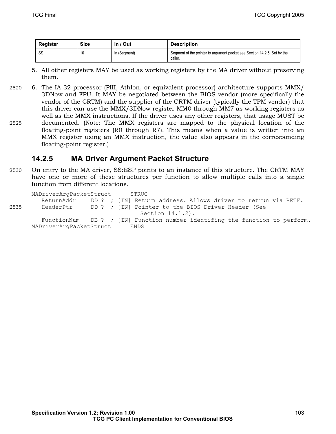| <b>Register</b> | <b>Size</b> | In / Out     | <b>Description</b>                                                                  |
|-----------------|-------------|--------------|-------------------------------------------------------------------------------------|
| SS              | 16          | In (Segment) | Segment of the pointer to argument packet see Section 14.2.5. Set by the<br>caller. |

- 5. All other registers MAY be used as working registers by the MA driver without preserving them.
- 2520 6. The IA-32 processor (PIII, Athlon, or equivalent processor) architecture supports MMX/ 3DNow and FPU. It MAY be negotiated between the BIOS vendor (more specifically the vendor of the CRTM) and the supplier of the CRTM driver (typically the TPM vendor) that this driver can use the MMX/3DNow register MM0 through MM7 as working registers as well as the MMX instructions. If the driver uses any other registers, that usage MUST be 2525 documented. (Note: The MMX registers are mapped to the physical location of the floating-point registers (R0 through R7). This means when a value is written into an MMX register using an MMX instruction, the value also appears in the corresponding floating-point register.)

### **14.2.5 MA Driver Argument Packet Structure**

2530 On entry to the MA driver, SS:ESP points to an instance of this structure. The CRTM MAY have one or more of these structures per function to allow multiple calls into a single function from different locations.

|      | MADriverArgPacketStruct | STRUC                                                                         |  |
|------|-------------------------|-------------------------------------------------------------------------------|--|
|      | ReturnAddr              | DD ? ; [IN] Return address. Allows driver to retrun via RETF.                 |  |
| 2535 | HeaderPtr               | DD ? ; [IN] Pointer to the BIOS Driver Header (See                            |  |
|      |                         | Section $14.1.2$ ).                                                           |  |
|      |                         | FunctionNum $DB$ ? ; [IN] Function number identifing the function to perform. |  |
|      | MADriverArgPacketStruct | ENDS                                                                          |  |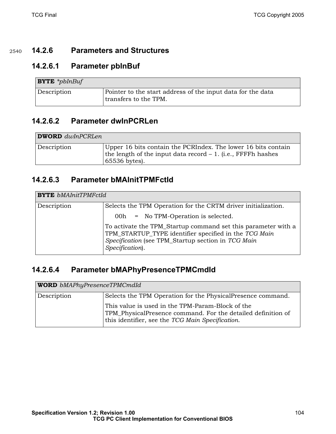### <sup>2540</sup>**14.2.6 Parameters and Structures**

### **14.2.6.1 Parameter pbInBuf**

| <b>BYTE</b> $*$ <i>pbInBuf</i> |                                                                                        |
|--------------------------------|----------------------------------------------------------------------------------------|
| Description                    | Pointer to the start address of the input data for the data<br>I transfers to the TPM. |

### **14.2.6.2 Parameter dwInPCRLen**

| <b>DWORD</b> dwInPCRLen |                                                                                                                                                    |
|-------------------------|----------------------------------------------------------------------------------------------------------------------------------------------------|
| Description             | Upper 16 bits contain the PCRIndex. The lower 16 bits contain<br>the length of the input data record $-1$ . (i.e., FFFFh hashes<br>$65536$ bytes). |

# **14.2.6.3 Parameter bMAInitTPMFctId**

| <b>BYTE</b> bMAInitTPMFctId |                                                                                                                                                                                                 |
|-----------------------------|-------------------------------------------------------------------------------------------------------------------------------------------------------------------------------------------------|
| Description                 | Selects the TPM Operation for the CRTM driver initialization.                                                                                                                                   |
|                             | $00h$ = No TPM-Operation is selected.                                                                                                                                                           |
|                             | To activate the TPM_Startup command set this parameter with a<br>TPM_STARTUP_TYPE identifier specified in the TCG Main<br>Specification (see TPM_Startup section in TCG Main<br>Specification). |

### **14.2.6.4 Parameter bMAPhyPresenceTPMCmdId**

| <b>WORD</b> bMAPhyPresenceTPMCmdId |                                                                                                                                                                      |
|------------------------------------|----------------------------------------------------------------------------------------------------------------------------------------------------------------------|
| Description                        | Selects the TPM Operation for the PhysicalPresence command.                                                                                                          |
|                                    | This value is used in the TPM-Param-Block of the<br>TPM_PhysicalPresence command. For the detailed definition of<br>this identifier, see the TCG Main Specification. |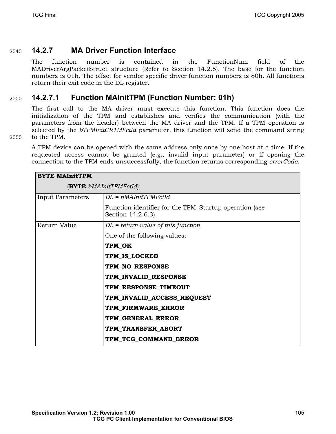# <sup>2545</sup>**14.2.7 MA Driver Function Interface**

The function number is contained in the FunctionNum field of the MADriverArgPacketStruct structure (Refer to Section 14.2.5). The base for the function numbers is 01h. The offset for vendor specific driver function numbers is 80h. All functions return their exit code in the DL register.

# <sup>2550</sup>**14.2.7.1 Function MAInitTPM (Function Number: 01h)**

The first call to the MA driver must execute this function. This function does the initialization of the TPM and establishes and verifies the communication (with the parameters from the header) between the MA driver and the TPM. If a TPM operation is selected by the *bTPMInitCRTMFctId* parameter, this function will send the command string 2555 to the TPM.

A TPM device can be opened with the same address only once by one host at a time. If the requested access cannot be granted (e.g., invalid input parameter) or if opening the connection to the TPM ends unsuccessfully, the function returns corresponding *errorCode*.

| <b>BYTE MAInitTPM</b>     |                                                                              |  |
|---------------------------|------------------------------------------------------------------------------|--|
| $(BYTE$ bMAInitTPMFctId); |                                                                              |  |
| <b>Input Parameters</b>   | $DL = bMAInitTPMFctId$                                                       |  |
|                           | Function identifier for the TPM_Startup operation (see<br>Section 14.2.6.3). |  |
| Return Value              | $DL = return$ value of this function                                         |  |
|                           | One of the following values:                                                 |  |
|                           | TPM_OK                                                                       |  |
|                           | TPM_IS_LOCKED                                                                |  |
|                           | TPM_NO_RESPONSE                                                              |  |
|                           | TPM_INVALID_RESPONSE                                                         |  |
|                           | TPM_RESPONSE_TIMEOUT                                                         |  |
|                           | TPM_INVALID_ACCESS_REQUEST                                                   |  |
|                           | TPM_FIRMWARE_ERROR                                                           |  |
|                           | TPM GENERAL ERROR                                                            |  |
|                           | TPM_TRANSFER_ABORT                                                           |  |
|                           | TPM_TCG_COMMAND_ERROR                                                        |  |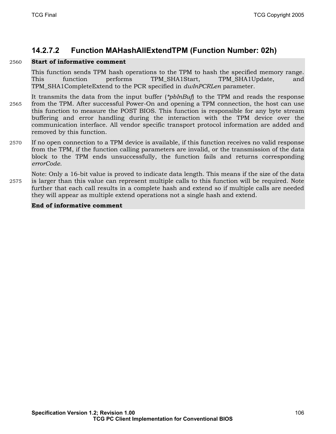### **14.2.7.2 Function MAHashAllExtendTPM (Function Number: 02h)**

#### 2560 **Start of informative comment**

This function sends TPM hash operations to the TPM to hash the specified memory range. This function performs TPM\_SHA1Start, TPM\_SHA1Update, and TPM\_SHA1CompleteExtend to the PCR specified in *dwInPCRLen* parameter.

- It transmits the data from the input buffer (*\*pbInBuf*) to the TPM and reads the response 2565 from the TPM. After successful Power-On and opening a TPM connection, the host can use this function to measure the POST BIOS. This function is responsible for any byte stream buffering and error handling during the interaction with the TPM device over the communication interface. All vendor specific transport protocol information are added and removed by this function.
- 2570 If no open connection to a TPM device is available, if this function receives no valid response from the TPM, if the function calling parameters are invalid, or the transmission of the data block to the TPM ends unsuccessfully, the function fails and returns corresponding *errorCode*.

Note: Only a 16-bit value is proved to indicate data length. This means if the size of the data 2575 is larger than this value can represent multiple calls to this function will be required. Note further that each call results in a complete hash and extend so if multiple calls are needed they will appear as multiple extend operations not a single hash and extend.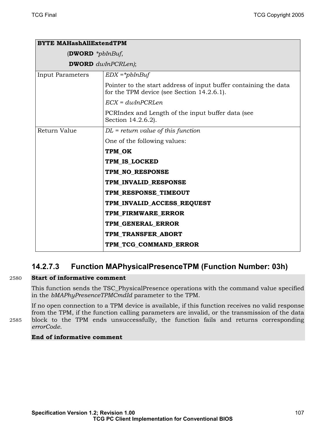| <b>BYTE MAHashAllExtendTPM</b> |                                                                                                                |  |
|--------------------------------|----------------------------------------------------------------------------------------------------------------|--|
| $(DWORD * pblnBuf,$            |                                                                                                                |  |
|                                | <b>DWORD</b> dwInPCRLen);                                                                                      |  |
| <b>Input Parameters</b>        | $EDX = *pbInBuf$                                                                                               |  |
|                                | Pointer to the start address of input buffer containing the data<br>for the TPM device (see Section 14.2.6.1). |  |
|                                | $ECX = dwInPCRLen$                                                                                             |  |
|                                | PCRIndex and Length of the input buffer data (see<br>Section 14.2.6.2).                                        |  |
| Return Value                   | $DL = return$ value of this function                                                                           |  |
|                                | One of the following values:                                                                                   |  |
|                                | TPM_OK                                                                                                         |  |
|                                | TPM_IS_LOCKED                                                                                                  |  |
|                                | TPM NO RESPONSE                                                                                                |  |
|                                | TPM_INVALID_RESPONSE                                                                                           |  |
|                                | TPM RESPONSE TIMEOUT                                                                                           |  |
|                                | TPM_INVALID_ACCESS_REQUEST                                                                                     |  |
|                                | TPM FIRMWARE ERROR                                                                                             |  |
|                                | TPM GENERAL ERROR                                                                                              |  |
|                                | TPM TRANSFER ABORT                                                                                             |  |
|                                | TPM_TCG_COMMAND_ERROR                                                                                          |  |

### **14.2.7.3 Function MAPhysicalPresenceTPM (Function Number: 03h)**

#### 2580 **Start of informative comment**

This function sends the TSC\_PhysicalPresence operations with the command value specified in the *bMAPhyPresenceTPMCmdId* parameter to the TPM.

If no open connection to a TPM device is available, if this function receives no valid response from the TPM, if the function calling parameters are invalid, or the transmission of the data 2585 block to the TPM ends unsuccessfully, the function fails and returns corresponding *errorCode*.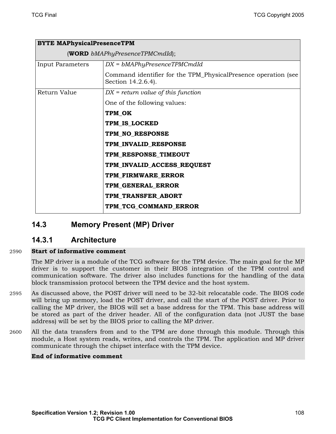| <b>BYTE MAPhysicalPresenceTPM</b> |                                                                                      |
|-----------------------------------|--------------------------------------------------------------------------------------|
| $(WORD$ bMAPhyPresenceTPMCmdId);  |                                                                                      |
| <b>Input Parameters</b>           | $DX = bMAPhypresence TPMC \, mdld$                                                   |
|                                   | Command identifier for the TPM_PhysicalPresence operation (see<br>Section 14.2.6.4). |
| Return Value                      | $DX = return$ value of this function                                                 |
|                                   | One of the following values:                                                         |
|                                   | TPM_OK                                                                               |
|                                   | TPM_IS_LOCKED                                                                        |
|                                   | TPM_NO_RESPONSE                                                                      |
|                                   | TPM_INVALID_RESPONSE                                                                 |
|                                   | TPM_RESPONSE_TIMEOUT                                                                 |
|                                   | TPM_INVALID_ACCESS_REQUEST                                                           |
|                                   | TPM_FIRMWARE_ERROR                                                                   |
|                                   | TPM_GENERAL_ERROR                                                                    |
|                                   | TPM_TRANSFER_ABORT                                                                   |
|                                   | TPM_TCG_COMMAND_ERROR                                                                |

### **14.3 Memory Present (MP) Driver**

### **14.3.1 Architecture**

#### 2590 **Start of informative comment**

The MP driver is a module of the TCG software for the TPM device. The main goal for the MP driver is to support the customer in their BIOS integration of the TPM control and communication software. The driver also includes functions for the handling of the data block transmission protocol between the TPM device and the host system.

- 2595 As discussed above, the POST driver will need to be 32-bit relocatable code. The BIOS code will bring up memory, load the POST driver, and call the start of the POST driver. Prior to calling the MP driver, the BIOS will set a base address for the TPM. This base address will be stored as part of the driver header. All of the configuration data (not JUST the base address) will be set by the BIOS prior to calling the MP driver.
- 2600 All the data transfers from and to the TPM are done through this module. Through this module, a Host system reads, writes, and controls the TPM. The application and MP driver communicate through the chipset interface with the TPM device.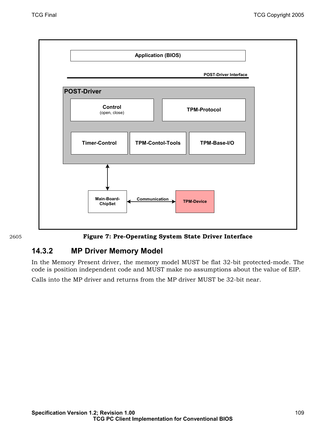

### 2605 **Figure 7: Pre-Operating System State Driver Interface**

### **14.3.2 MP Driver Memory Model**

In the Memory Present driver, the memory model MUST be flat 32-bit protected-mode. The code is position independent code and MUST make no assumptions about the value of EIP.

Calls into the MP driver and returns from the MP driver MUST be 32-bit near.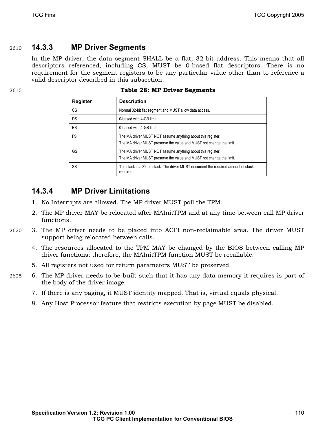## <sup>2610</sup>**14.3.3 MP Driver Segments**

In the MP driver, the data segment SHALL be a flat, 32-bit address. This means that all descriptors referenced, including CS, MUST be 0-based flat descriptors. There is no requirement for the segment registers to be any particular value other than to reference a valid descriptor described in this subsection.

| <b>Register</b> | <b>Description</b>                                                                                                                  |
|-----------------|-------------------------------------------------------------------------------------------------------------------------------------|
| <b>CS</b>       | Normal 32-bit flat segment and MUST allow data access.                                                                              |
| DS.             | 0-based with 4-GB limit.                                                                                                            |
| <b>ES</b>       | 0-based with 4-GB limit.                                                                                                            |
| <b>FS</b>       | The MA driver MUST NOT assume anything about this register.<br>The MA driver MUST preserve the value and MUST not change the limit. |
| GS              | The MA driver MUST NOT assume anything about this register.<br>The MA driver MUST preserve the value and MUST not change the limit. |
| SS              | The stack is a 32-bit stack. The driver MUST document the required amount of stack<br>required.                                     |

#### 2615 **Table 28: MP Driver Segments**

### **14.3.4 MP Driver Limitations**

- 1. No Interrupts are allowed. The MP driver MUST poll the TPM.
- 2. The MP driver MAY be relocated after MAInitTPM and at any time between call MP driver functions.
- 2620 3. The MP driver needs to be placed into ACPI non-reclaimable area. The driver MUST support being relocated between calls.
	- 4. The resources allocated to the TPM MAY be changed by the BIOS between calling MP driver functions; therefore, the MAInitTPM function MUST be recallable.
	- 5. All registers not used for return parameters MUST be preserved.
- 2625 6. The MP driver needs to be built such that it has any data memory it requires is part of the body of the driver image.
	- 7. If there is any paging, it MUST identity mapped. That is, virtual equals physical.
	- 8. Any Host Processor feature that restricts execution by page MUST be disabled.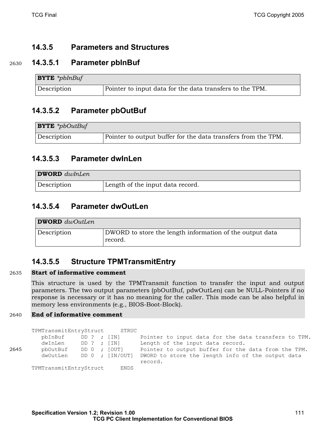## **14.3.5 Parameters and Structures**

### <sup>2630</sup>**14.3.5.1 Parameter pbInBuf**

| <b>BYTE</b> $*$ <i>pbInBuf</i> |                                                          |
|--------------------------------|----------------------------------------------------------|
| Description                    | Pointer to input data for the data transfers to the TPM. |

## **14.3.5.2 Parameter pbOutBuf**

| <b>BYTE</b> $*pbOutBuf$ |                                                               |
|-------------------------|---------------------------------------------------------------|
| Description             | Pointer to output buffer for the data transfers from the TPM. |

### **14.3.5.3 Parameter dwInLen**

| <b>DWORD</b> dwInLen |                                  |
|----------------------|----------------------------------|
| Description          | Length of the input data record. |

### **14.3.5.4 Parameter dwOutLen**

| <b>DWORD</b> dwOutLen |                                                                     |
|-----------------------|---------------------------------------------------------------------|
| Description           | DWORD to store the length information of the output data<br>record. |

### **14.3.5.5 Structure TPMTransmitEntry**

#### 2635 **Start of informative comment**

This structure is used by the TPMTransmit function to transfer the input and output parameters. The two output parameters (pbOutBuf, pdwOutLen) can be NULL-Pointers if no response is necessary or it has no meaning for the caller. This mode can be also helpful in memory less environments (e.g., BIOS-Boot-Block).

#### 2640 **End of informative comment**

|      | TPMTransmitEntryStruct |                 | STRUC            |                                                      |
|------|------------------------|-----------------|------------------|------------------------------------------------------|
|      | pbInBuf                | $DD$ ? ; $[IN]$ |                  | Pointer to input data for the data transfers to TPM. |
|      | dwInLen                | $DD$ ? ; $[IN]$ |                  | Length of the input data record.                     |
| 2645 | pbOutBuf               |                 | $DD 0$ ; $[OUT]$ | Pointer to output buffer for the data from the TPM.  |
|      | dwOutLen               |                 | DD 0 ; [IN/OUT]  | DWORD to store the length info of the output data    |
|      |                        |                 |                  | record.                                              |
|      | TPMTransmitEntryStruct |                 | <b>ENDS</b>      |                                                      |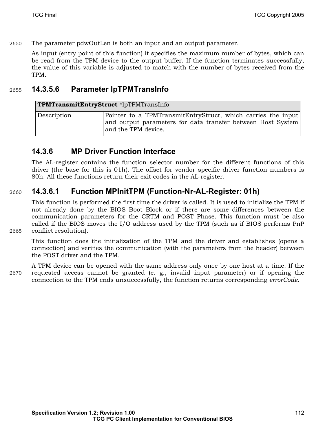2650 The parameter pdwOutLen is both an input and an output parameter.

As input (entry point of this function) it specifies the maximum number of bytes, which can be read from the TPM device to the output buffer. If the function terminates successfully, the value of this variable is adjusted to match with the number of bytes received from the TPM.

### <sup>2655</sup>**14.3.5.6 Parameter lpTPMTransInfo**

| TPMTransmitEntryStruct *lpTPMTransInfo |                                                                                                                                                    |  |
|----------------------------------------|----------------------------------------------------------------------------------------------------------------------------------------------------|--|
| Description                            | Pointer to a TPMTransmitEntryStruct, which carries the input<br>and output parameters for data transfer between Host System<br>and the TPM device. |  |

## **14.3.6 MP Driver Function Interface**

The AL-register contains the function selector number for the different functions of this driver (the base for this is 01h). The offset for vendor specific driver function numbers is 80h. All these functions return their exit codes in the AL-register.

### <sup>2660</sup>**14.3.6.1 Function MPInitTPM (Function-Nr-AL-Register: 01h)**

This function is performed the first time the driver is called. It is used to initialize the TPM if not already done by the BIOS Boot Block or if there are some differences between the communication parameters for the CRTM and POST Phase. This function must be also called if the BIOS moves the I/O address used by the TPM (such as if BIOS performs PnP 2665 conflict resolution).

This function does the initialization of the TPM and the driver and establishes (opens a connection) and verifies the communication (with the parameters from the header) between the POST driver and the TPM.

A TPM device can be opened with the same address only once by one host at a time. If the 2670 requested access cannot be granted (e. g., invalid input parameter) or if opening the connection to the TPM ends unsuccessfully, the function returns corresponding *errorCode*.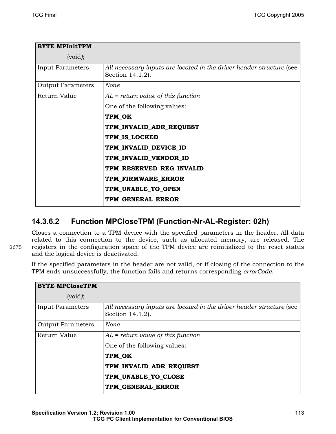| <b>BYTE MPInitTPM</b>    |                                                                                          |
|--------------------------|------------------------------------------------------------------------------------------|
| (void);                  |                                                                                          |
| <b>Input Parameters</b>  | All necessary inputs are located in the driver header structure (see<br>Section 14.1.2). |
| <b>Output Parameters</b> | <b>None</b>                                                                              |
| Return Value             | $AL = return$ value of this function                                                     |
|                          | One of the following values:                                                             |
|                          | TPM_OK                                                                                   |
|                          | TPM_INVALID_ADR_REQUEST                                                                  |
|                          | TPM_IS_LOCKED                                                                            |
|                          | TPM_INVALID_DEVICE_ID                                                                    |
|                          | TPM_INVALID_VENDOR_ID                                                                    |
|                          | TPM_RESERVED_REG_INVALID                                                                 |
|                          | TPM_FIRMWARE_ERROR                                                                       |
|                          | TPM UNABLE TO OPEN                                                                       |
|                          | TPM_GENERAL_ERROR                                                                        |

## **14.3.6.2 Function MPCloseTPM (Function-Nr-AL-Register: 02h)**

Closes a connection to a TPM device with the specified parameters in the header*.* All data related to this connection to the device, such as allocated memory, are released. The 2675 registers in the configuration space of the TPM device are reinitialized to the reset status and the logical device is deactivated.

If the specified parameters in the header are not valid, or if closing of the connection to the TPM ends unsuccessfully, the function fails and returns corresponding *errorCode*.

| <b>BYTE MPCloseTPM</b>   |                                                                                          |
|--------------------------|------------------------------------------------------------------------------------------|
| (void);                  |                                                                                          |
| <b>Input Parameters</b>  | All necessary inputs are located in the driver header structure (see<br>Section 14.1.2). |
| <b>Output Parameters</b> | <b>None</b>                                                                              |
| Return Value             | $AL = return value of this function$                                                     |
|                          | One of the following values:                                                             |
|                          | TPM OK                                                                                   |
|                          | TPM_INVALID_ADR_REQUEST                                                                  |
|                          | TPM UNABLE TO CLOSE                                                                      |
|                          | TPM GENERAL ERROR                                                                        |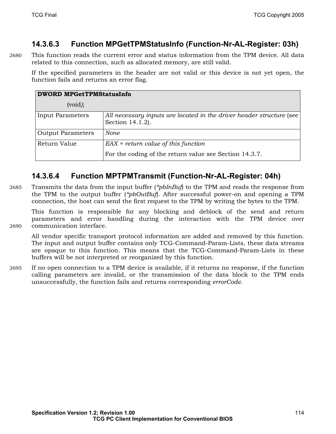## **14.3.6.3 Function MPGetTPMStatusInfo (Function-Nr-AL-Register: 03h)**

2680 This function reads the current error and status information from the TPM device. All data related to this connection, such as allocated memory, are still valid.

If the specified parameters in the header are not valid or this device is not yet open, the function fails and returns an error flag.

| <b>DWORD MPGetTPMStatusInfo</b> |                                                                                                 |  |
|---------------------------------|-------------------------------------------------------------------------------------------------|--|
| (void);                         |                                                                                                 |  |
| <b>Input Parameters</b>         | All necessary inputs are located in the driver header structure (see)<br>Section 14.1.2).       |  |
| <b>Output Parameters</b>        | None                                                                                            |  |
| Return Value                    | $EAX = return value of this function$<br>For the coding of the return value see Section 14.3.7. |  |

## **14.3.6.4 Function MPTPMTransmit (Function-Nr-AL-Register: 04h)**

2685 Transmits the data from the input buffer (*\*pbInBuf*) to the TPM and reads the response from the TPM to the output buffer (*\*pbOutBuf*). After successful power-on and opening a TPM connection, the host can send the first request to the TPM by writing the bytes to the TPM.

This function is responsible for any blocking and deblock of the send and return parameters and error handling during the interaction with the TPM device over 2690 communication interface.

All vendor specific transport protocol information are added and removed by this function. The input and output buffer contains only TCG-Command-Param-Lists, these data streams are opaque to this function. This means that the TCG-Command-Param-Lists in these buffers will be not interpreted or reorganized by this function.

2695 If no open connection to a TPM device is available, if it returns no response, if the function calling parameters are invalid, or the transmission of the data block to the TPM ends unsuccessfully, the function fails and returns corresponding *errorCode*.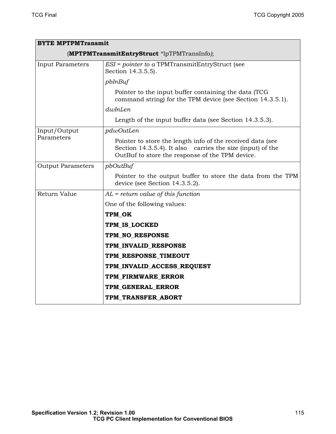| <b>BYTE MPTPMTransmit</b>                   |                                                                                                                                                                             |  |
|---------------------------------------------|-----------------------------------------------------------------------------------------------------------------------------------------------------------------------------|--|
| (MPTPMTransmitEntryStruct *lpTPMTransInfo); |                                                                                                                                                                             |  |
| <b>Input Parameters</b>                     | ESI = pointer to a TPMTransmitEntryStruct (see<br>Section 14.3.5.5).                                                                                                        |  |
|                                             | pbInBuf                                                                                                                                                                     |  |
|                                             | Pointer to the input buffer containing the data (TCG)<br>command string) for the TPM device (see Section 14.3.5.1).                                                         |  |
|                                             | $d$ wInLen                                                                                                                                                                  |  |
|                                             | Length of the input buffer data (see Section 14.3.5.3).                                                                                                                     |  |
| Input/Output                                | pdwOutLen                                                                                                                                                                   |  |
| Parameters                                  | Pointer to store the length info of the received data (see<br>Section 14.3.5.4). It also carries the size (input) of the<br>OutBuf to store the response of the TPM device. |  |
| <b>Output Parameters</b>                    | pbOutBuf                                                                                                                                                                    |  |
|                                             | Pointer to the output buffer to store the data from the TPM<br>device (see Section 14.3.5.2).                                                                               |  |
| Return Value                                | $AL = return value of this function$                                                                                                                                        |  |
|                                             | One of the following values:                                                                                                                                                |  |
|                                             | TPM_OK                                                                                                                                                                      |  |
|                                             | TPM_IS_LOCKED                                                                                                                                                               |  |
|                                             | TPM_NO_RESPONSE                                                                                                                                                             |  |
|                                             | TPM_INVALID_RESPONSE                                                                                                                                                        |  |
|                                             | TPM_RESPONSE_TIMEOUT                                                                                                                                                        |  |
|                                             | TPM_INVALID_ACCESS_REQUEST                                                                                                                                                  |  |
|                                             | TPM_FIRMWARE_ERROR                                                                                                                                                          |  |
|                                             | TPM_GENERAL_ERROR                                                                                                                                                           |  |
|                                             | TPM_TRANSFER_ABORT                                                                                                                                                          |  |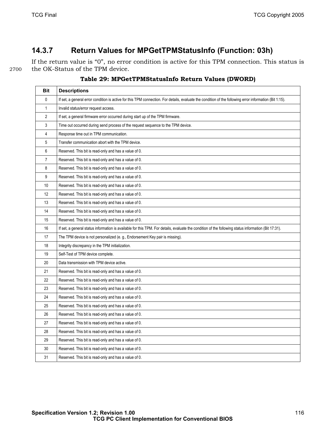## **14.3.7 Return Values for MPGetTPMStatusInfo (Function: 03h)**

If the return value is "0", no error condition is active for this TPM connection. This status is 2700 the OK-Status of the TPM device.

| <b>Bit</b>     | <b>Descriptions</b>                                                                                                                                     |
|----------------|---------------------------------------------------------------------------------------------------------------------------------------------------------|
| 0              | If set, a general error condition is active for this TPM connection. For details, evaluate the condition of the following error information (Bit 1:15). |
| 1              | Invalid status/error request access.                                                                                                                    |
| $\overline{2}$ | If set, a general firmware error occurred during start up of the TPM firmware.                                                                          |
| 3              | Time out occurred during send process of the request sequence to the TPM device.                                                                        |
| 4              | Response time out in TPM communication.                                                                                                                 |
| 5              | Transfer communication abort with the TPM device.                                                                                                       |
| 6              | Reserved. This bit is read-only and has a value of 0.                                                                                                   |
| $\overline{7}$ | Reserved. This bit is read-only and has a value of 0.                                                                                                   |
| 8              | Reserved. This bit is read-only and has a value of 0.                                                                                                   |
| 9              | Reserved. This bit is read-only and has a value of 0.                                                                                                   |
| 10             | Reserved. This bit is read-only and has a value of 0.                                                                                                   |
| 12             | Reserved. This bit is read-only and has a value of 0.                                                                                                   |
| 13             | Reserved. This bit is read-only and has a value of 0.                                                                                                   |
| 14             | Reserved. This bit is read-only and has a value of 0.                                                                                                   |
| 15             | Reserved. This bit is read-only and has a value of 0.                                                                                                   |
| 16             | If set, a general status information is available for this TPM. For details, evaluate the condition of the following status information (Bit 17:31).    |
| 17             | The TPM device is not personalized (e. g., Endorsement Key pair is missing).                                                                            |
| 18             | Integrity discrepancy in the TPM initialization.                                                                                                        |
| 19             | Self-Test of TPM device complete.                                                                                                                       |
| 20             | Data transmission with TPM device active.                                                                                                               |
| 21             | Reserved. This bit is read-only and has a value of 0.                                                                                                   |
| 22             | Reserved. This bit is read-only and has a value of 0.                                                                                                   |
| 23             | Reserved. This bit is read-only and has a value of 0.                                                                                                   |
| 24             | Reserved. This bit is read-only and has a value of 0.                                                                                                   |
| 25             | Reserved. This bit is read-only and has a value of 0.                                                                                                   |
| 26             | Reserved. This bit is read-only and has a value of 0.                                                                                                   |
| 27             | Reserved. This bit is read-only and has a value of 0.                                                                                                   |
| 28             | Reserved. This bit is read-only and has a value of 0.                                                                                                   |
| 29             | Reserved. This bit is read-only and has a value of 0.                                                                                                   |
| 30             | Reserved. This bit is read-only and has a value of 0.                                                                                                   |
| 31             | Reserved. This bit is read-only and has a value of 0.                                                                                                   |

#### **Table 29: MPGetTPMStatusInfo Return Values (DWORD)**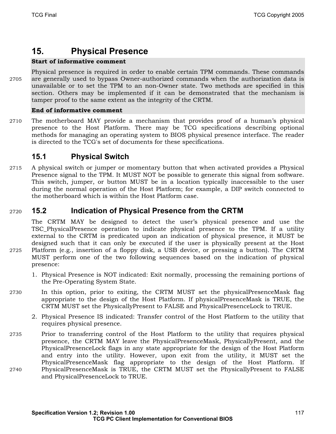# **15. Physical Presence**

#### **Start of informative comment**

Physical presence is required in order to enable certain TPM commands. These commands 2705 are generally used to bypass Owner-authorized commands when the authorization data is unavailable or to set the TPM to an non-Owner state. Two methods are specified in this section. Others may be implemented if it can be demonstrated that the mechanism is tamper proof to the same extent as the integrity of the CRTM.

### **End of informative comment**

2710 The motherboard MAY provide a mechanism that provides proof of a human's physical presence to the Host Platform. There may be TCG specifications describing optional methods for managing an operating system to BIOS physical presence interface. The reader is directed to the TCG's set of documents for these specifications.

## **15.1 Physical Switch**

2715 A physical switch or jumper or momentary button that when activated provides a Physical Presence signal to the TPM. It MUST NOT be possible to generate this signal from software. This switch, jumper, or button MUST be in a location typically inaccessible to the user during the normal operation of the Host Platform; for example, a DIP switch connected to the motherboard which is within the Host Platform case.

## <sup>2720</sup>**15.2 Indication of Physical Presence from the CRTM**

The CRTM MAY be designed to detect the user's physical presence and use the TSC\_PhysicalPresence operation to indicate physical presence to the TPM. If a utility external to the CRTM is predicated upon an indication of physical presence, it MUST be designed such that it can only be executed if the user is physically present at the Host 2725 Platform (e.g., insertion of a floppy disk, a USB device, or pressing a button). The CRTM MUST perform one of the two following sequences based on the indication of physical presence:

- 1. Physical Presence is NOT indicated: Exit normally, processing the remaining portions of the Pre-Operating System State.
- 2730 In this option, prior to exiting, the CRTM MUST set the physicalPresenceMask flag appropriate to the design of the Host Platform. If physicalPresenceMask is TRUE, the CRTM MUST set the PhysicallyPresent to FALSE and PhysicalPresenceLock to TRUE.
	- 2. Physical Presence IS indicated: Transfer control of the Host Platform to the utility that requires physical presence.
- 2735 Prior to transferring control of the Host Platform to the utility that requires physical presence, the CRTM MAY leave the PhysicalPresenceMask, PhysicallyPresent, and the PhysicalPresenceLock flags in any state appropriate for the design of the Host Platform and entry into the utility. However, upon exit from the utility, it MUST set the PhysicalPresenceMask flag appropriate to the design of the Host Platform. If 2740 PhysicalPresenceMask is TRUE, the CRTM MUST set the PhysicallyPresent to FALSE and PhysicalPresenceLock to TRUE.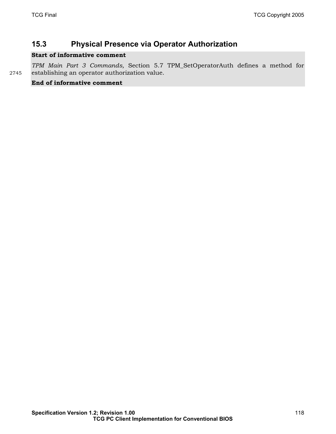## **15.3 Physical Presence via Operator Authorization**

#### **Start of informative comment**

*TPM Main Part 3 Commands,* Section 5.7 TPM\_SetOperatorAuth defines a method for 2745 establishing an operator authorization value.

#### **End of informative comment**